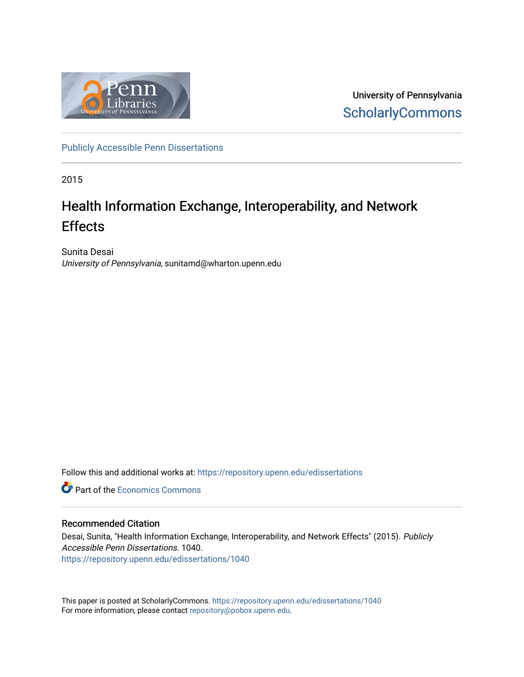

University of Pennsylvania **ScholarlyCommons** 

[Publicly Accessible Penn Dissertations](https://repository.upenn.edu/edissertations)

2015

# Health Information Exchange, Interoperability, and Network Effects

Sunita Desai University of Pennsylvania, sunitamd@wharton.upenn.edu

Follow this and additional works at: [https://repository.upenn.edu/edissertations](https://repository.upenn.edu/edissertations?utm_source=repository.upenn.edu%2Fedissertations%2F1040&utm_medium=PDF&utm_campaign=PDFCoverPages) 

**C** Part of the [Economics Commons](http://network.bepress.com/hgg/discipline/340?utm_source=repository.upenn.edu%2Fedissertations%2F1040&utm_medium=PDF&utm_campaign=PDFCoverPages)

### Recommended Citation

Desai, Sunita, "Health Information Exchange, Interoperability, and Network Effects" (2015). Publicly Accessible Penn Dissertations. 1040. [https://repository.upenn.edu/edissertations/1040](https://repository.upenn.edu/edissertations/1040?utm_source=repository.upenn.edu%2Fedissertations%2F1040&utm_medium=PDF&utm_campaign=PDFCoverPages) 

This paper is posted at ScholarlyCommons.<https://repository.upenn.edu/edissertations/1040> For more information, please contact [repository@pobox.upenn.edu.](mailto:repository@pobox.upenn.edu)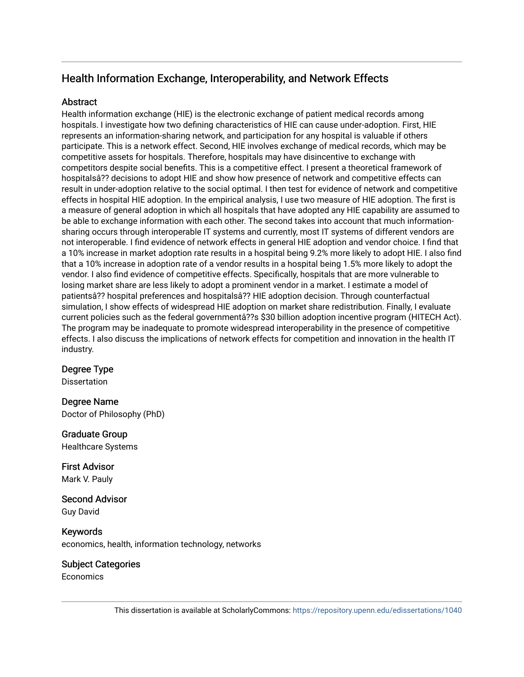## Health Information Exchange, Interoperability, and Network Effects

### **Abstract**

Health information exchange (HIE) is the electronic exchange of patient medical records among hospitals. I investigate how two defining characteristics of HIE can cause under-adoption. First, HIE represents an information-sharing network, and participation for any hospital is valuable if others participate. This is a network effect. Second, HIE involves exchange of medical records, which may be competitive assets for hospitals. Therefore, hospitals may have disincentive to exchange with competitors despite social benefits. This is a competitive effect. I present a theoretical framework of hospitalsâ?? decisions to adopt HIE and show how presence of network and competitive effects can result in under-adoption relative to the social optimal. I then test for evidence of network and competitive effects in hospital HIE adoption. In the empirical analysis, I use two measure of HIE adoption. The first is a measure of general adoption in which all hospitals that have adopted any HIE capability are assumed to be able to exchange information with each other. The second takes into account that much informationsharing occurs through interoperable IT systems and currently, most IT systems of different vendors are not interoperable. I find evidence of network effects in general HIE adoption and vendor choice. I find that a 10% increase in market adoption rate results in a hospital being 9.2% more likely to adopt HIE. I also find that a 10% increase in adoption rate of a vendor results in a hospital being 1.5% more likely to adopt the vendor. I also find evidence of competitive effects. Specifically, hospitals that are more vulnerable to losing market share are less likely to adopt a prominent vendor in a market. I estimate a model of patientsâ?? hospital preferences and hospitalsâ?? HIE adoption decision. Through counterfactual simulation, I show effects of widespread HIE adoption on market share redistribution. Finally, I evaluate current policies such as the federal governmentâ??s \$30 billion adoption incentive program (HITECH Act). The program may be inadequate to promote widespread interoperability in the presence of competitive effects. I also discuss the implications of network effects for competition and innovation in the health IT industry.

### Degree Type

**Dissertation** 

### Degree Name

Doctor of Philosophy (PhD)

### Graduate Group

Healthcare Systems

First Advisor Mark V. Pauly

Second Advisor Guy David

Keywords economics, health, information technology, networks

### Subject Categories

**Economics**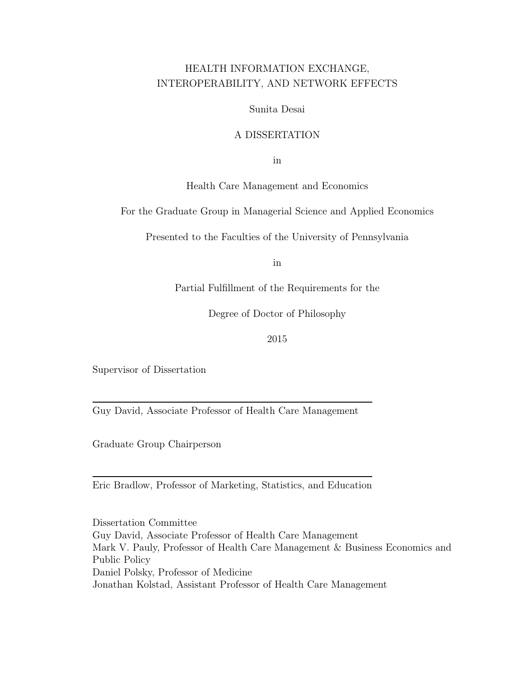## HEALTH INFORMATION EXCHANGE, INTEROPERABILITY, AND NETWORK EFFECTS

Sunita Desai

### A DISSERTATION

in

Health Care Management and Economics

For the Graduate Group in Managerial Science and Applied Economics

Presented to the Faculties of the University of Pennsylvania

in

Partial Fulfillment of the Requirements for the

Degree of Doctor of Philosophy

2015

Supervisor of Dissertation

Guy David, Associate Professor of Health Care Management

Graduate Group Chairperson

Eric Bradlow, Professor of Marketing, Statistics, and Education

Dissertation Committee Guy David, Associate Professor of Health Care Management Mark V. Pauly, Professor of Health Care Management & Business Economics and Public Policy Daniel Polsky, Professor of Medicine Jonathan Kolstad, Assistant Professor of Health Care Management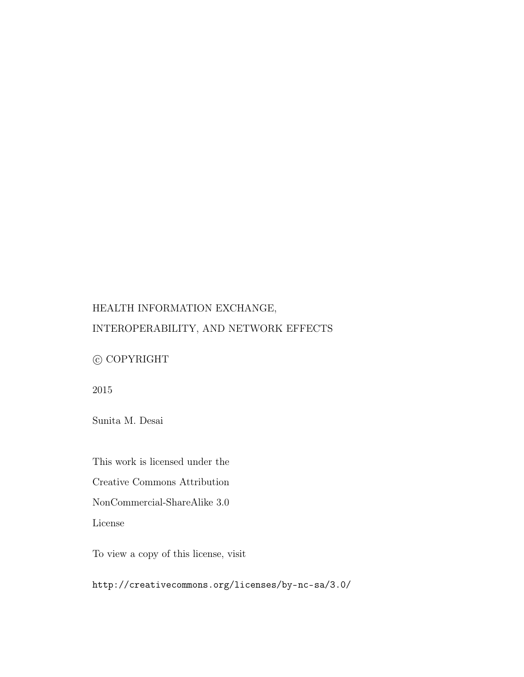## HEALTH INFORMATION EXCHANGE,

## INTEROPERABILITY, AND NETWORK EFFECTS

## $\copyright$  COPYRIGHT

2015

Sunita M. Desai

This work is licensed under the

Creative Commons Attribution

NonCommercial-ShareAlike 3.0

License

To view a copy of this license, visit

http://creativecommons.org/licenses/by-nc-sa/3.0/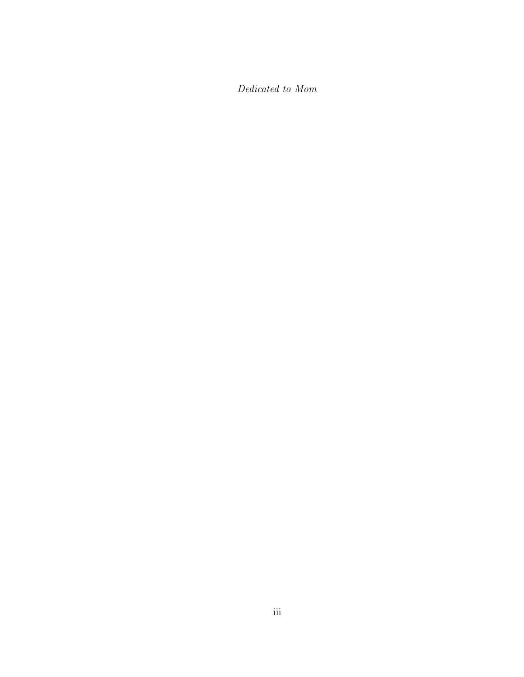Dedicated to Mom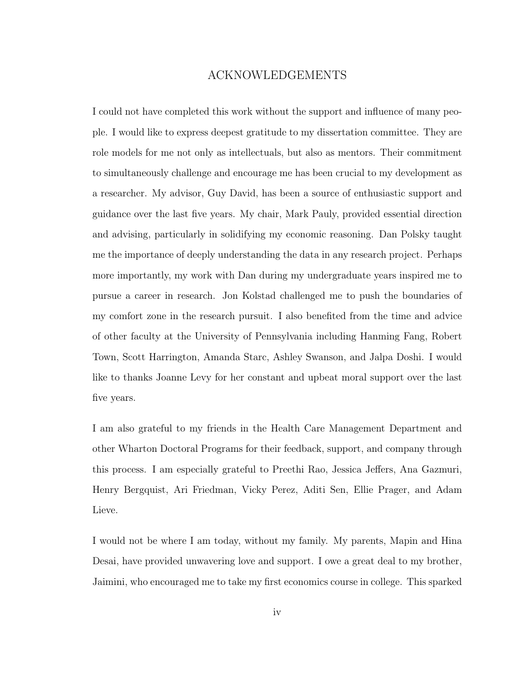### ACKNOWLEDGEMENTS

I could not have completed this work without the support and influence of many people. I would like to express deepest gratitude to my dissertation committee. They are role models for me not only as intellectuals, but also as mentors. Their commitment to simultaneously challenge and encourage me has been crucial to my development as a researcher. My advisor, Guy David, has been a source of enthusiastic support and guidance over the last five years. My chair, Mark Pauly, provided essential direction and advising, particularly in solidifying my economic reasoning. Dan Polsky taught me the importance of deeply understanding the data in any research project. Perhaps more importantly, my work with Dan during my undergraduate years inspired me to pursue a career in research. Jon Kolstad challenged me to push the boundaries of my comfort zone in the research pursuit. I also benefited from the time and advice of other faculty at the University of Pennsylvania including Hanming Fang, Robert Town, Scott Harrington, Amanda Starc, Ashley Swanson, and Jalpa Doshi. I would like to thanks Joanne Levy for her constant and upbeat moral support over the last five years.

I am also grateful to my friends in the Health Care Management Department and other Wharton Doctoral Programs for their feedback, support, and company through this process. I am especially grateful to Preethi Rao, Jessica Jeffers, Ana Gazmuri, Henry Bergquist, Ari Friedman, Vicky Perez, Aditi Sen, Ellie Prager, and Adam Lieve.

I would not be where I am today, without my family. My parents, Mapin and Hina Desai, have provided unwavering love and support. I owe a great deal to my brother, Jaimini, who encouraged me to take my first economics course in college. This sparked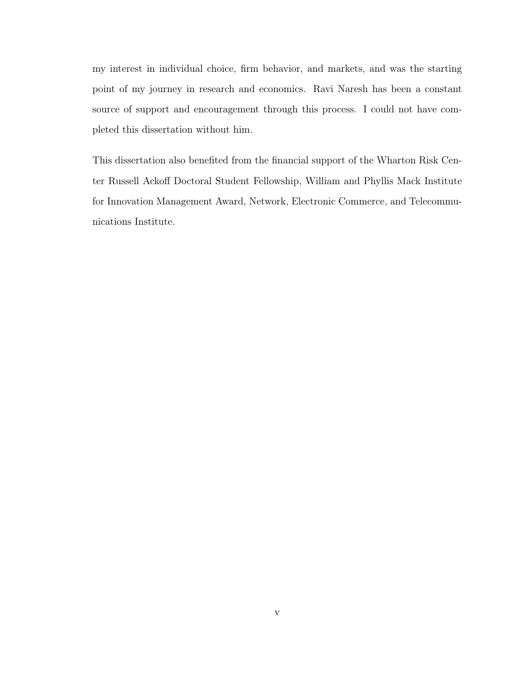my interest in individual choice, firm behavior, and markets, and was the starting point of my journey in research and economics. Ravi Naresh has been a constant source of support and encouragement through this process. I could not have completed this dissertation without him.

This dissertation also benefited from the financial support of the Wharton Risk Center Russell Ackoff Doctoral Student Fellowship, William and Phyllis Mack Institute for Innovation Management Award, Network, Electronic Commerce, and Telecommunications Institute.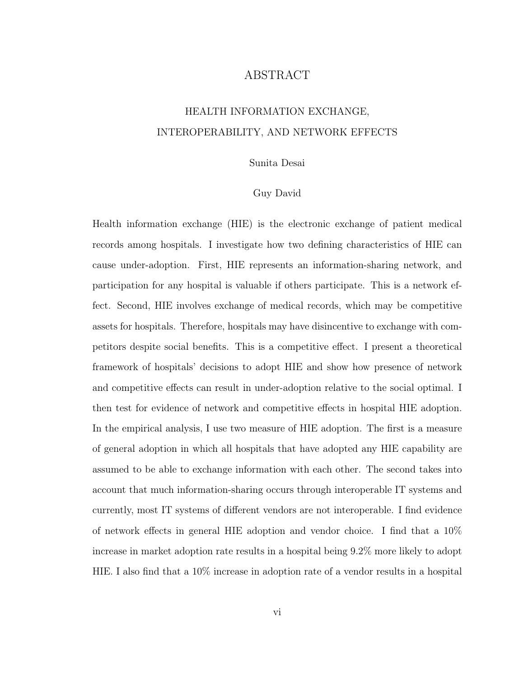### ABSTRACT

## HEALTH INFORMATION EXCHANGE, INTEROPERABILITY, AND NETWORK EFFECTS

#### Sunita Desai

#### Guy David

Health information exchange (HIE) is the electronic exchange of patient medical records among hospitals. I investigate how two defining characteristics of HIE can cause under-adoption. First, HIE represents an information-sharing network, and participation for any hospital is valuable if others participate. This is a network effect. Second, HIE involves exchange of medical records, which may be competitive assets for hospitals. Therefore, hospitals may have disincentive to exchange with competitors despite social benefits. This is a competitive effect. I present a theoretical framework of hospitals' decisions to adopt HIE and show how presence of network and competitive effects can result in under-adoption relative to the social optimal. I then test for evidence of network and competitive effects in hospital HIE adoption. In the empirical analysis, I use two measure of HIE adoption. The first is a measure of general adoption in which all hospitals that have adopted any HIE capability are assumed to be able to exchange information with each other. The second takes into account that much information-sharing occurs through interoperable IT systems and currently, most IT systems of different vendors are not interoperable. I find evidence of network effects in general HIE adoption and vendor choice. I find that a 10% increase in market adoption rate results in a hospital being 9.2% more likely to adopt HIE. I also find that a 10% increase in adoption rate of a vendor results in a hospital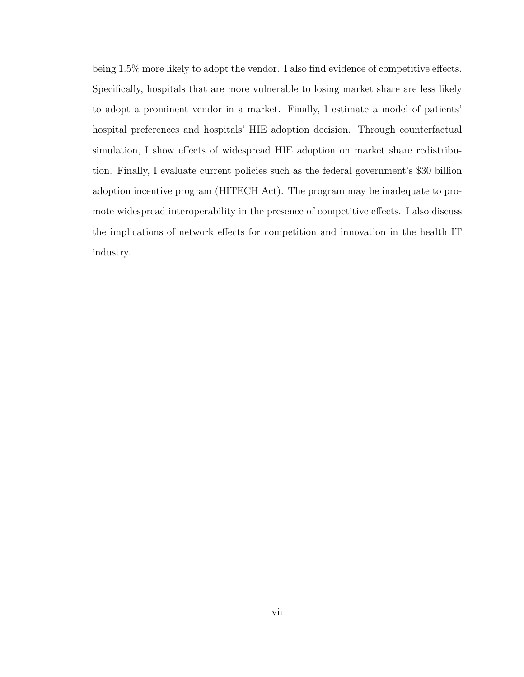being 1.5% more likely to adopt the vendor. I also find evidence of competitive effects. Specifically, hospitals that are more vulnerable to losing market share are less likely to adopt a prominent vendor in a market. Finally, I estimate a model of patients' hospital preferences and hospitals' HIE adoption decision. Through counterfactual simulation, I show effects of widespread HIE adoption on market share redistribution. Finally, I evaluate current policies such as the federal government's \$30 billion adoption incentive program (HITECH Act). The program may be inadequate to promote widespread interoperability in the presence of competitive effects. I also discuss the implications of network effects for competition and innovation in the health IT industry.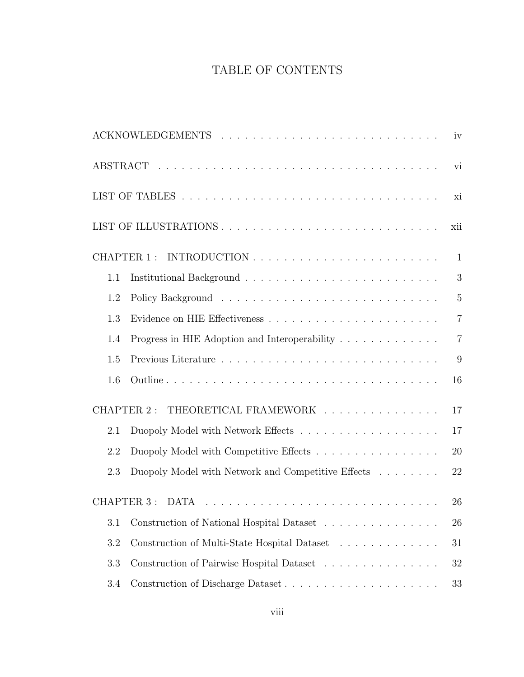## TABLE OF CONTENTS

|     |                                                    | iv             |
|-----|----------------------------------------------------|----------------|
|     |                                                    | vi             |
|     |                                                    | xi             |
|     |                                                    | xii            |
|     | CHAPTER 1:                                         | $\mathbf{1}$   |
| 1.1 |                                                    | 3              |
| 1.2 |                                                    | $\overline{5}$ |
| 1.3 |                                                    | $\overline{7}$ |
| 1.4 |                                                    | $\overline{7}$ |
| 1.5 |                                                    | 9              |
| 1.6 |                                                    | 16             |
|     | THEORETICAL FRAMEWORK<br>CHAPTER 2:                | 17             |
| 2.1 |                                                    | 17             |
| 2.2 |                                                    | 20             |
| 2.3 | Duopoly Model with Network and Competitive Effects | 22             |
|     | CHAPTER 3 :                                        | 26             |
| 3.1 | Construction of National Hospital Dataset          | 26             |
| 3.2 | Construction of Multi-State Hospital Dataset       | 31             |
| 3.3 | Construction of Pairwise Hospital Dataset          | 32             |
| 3.4 |                                                    | 33             |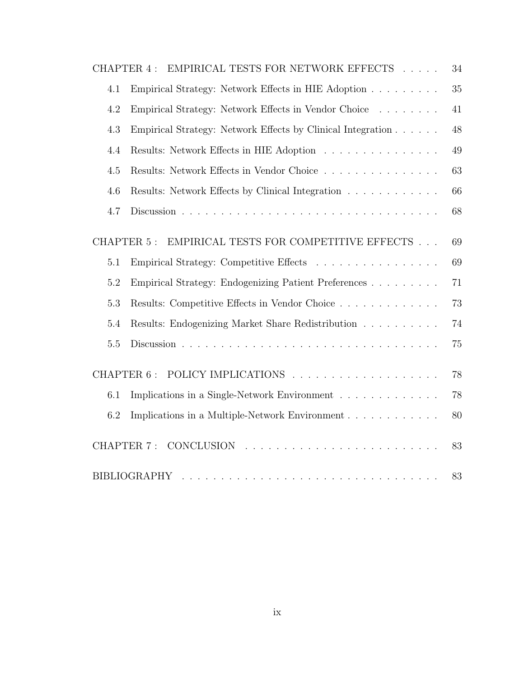| CHAPTER 4:        | EMPIRICAL TESTS FOR NETWORK EFFECTS                         | 34     |
|-------------------|-------------------------------------------------------------|--------|
| 4.1               | Empirical Strategy: Network Effects in HIE Adoption         | 35     |
| 4.2               | Empirical Strategy: Network Effects in Vendor Choice        | 41     |
| 4.3               | Empirical Strategy: Network Effects by Clinical Integration | 48     |
| 4.4               | Results: Network Effects in HIE Adoption                    | 49     |
| 4.5               | Results: Network Effects in Vendor Choice                   | 63     |
| 4.6               | Results: Network Effects by Clinical Integration            | 66     |
| 4.7               |                                                             | 68     |
| CHAPTER 5:        | EMPIRICAL TESTS FOR COMPETITIVE EFFECTS $\ldots$ .          | 69     |
| 5.1               | Empirical Strategy: Competitive Effects                     | 69     |
| 5.2               | Empirical Strategy: Endogenizing Patient Preferences        | $71\,$ |
| 5.3               | Results: Competitive Effects in Vendor Choice               | 73     |
| 5.4               | Results: Endogenizing Market Share Redistribution           | 74     |
| 5.5               |                                                             | 75     |
| CHAPTER 6:        |                                                             | 78     |
| 6.1               | Implications in a Single-Network Environment                | 78     |
| 6.2               | Implications in a Multiple-Network Environment              | 80     |
| <b>CHAPTER 7:</b> |                                                             | 83     |
|                   | <b>BIBLIOGRAPHY</b>                                         | 83     |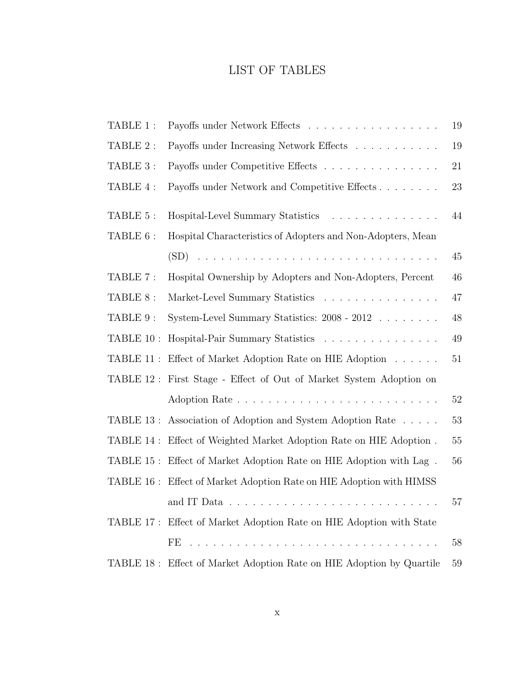## LIST OF TABLES

| TABLE 1 :  | Payoffs under Network Effects                                        | 19     |
|------------|----------------------------------------------------------------------|--------|
| TABLE 2:   | Payoffs under Increasing Network Effects                             | 19     |
| TABLE 3 :  | Payoffs under Competitive Effects                                    | 21     |
| TABLE 4 :  | Payoffs under Network and Competitive Effects                        | 23     |
| TABLE 5:   | Hospital-Level Summary Statistics                                    | 44     |
| TABLE 6:   | Hospital Characteristics of Adopters and Non-Adopters, Mean          |        |
|            |                                                                      | 45     |
| TABLE 7 :  | Hospital Ownership by Adopters and Non-Adopters, Percent             | 46     |
| TABLE 8:   | Market-Level Summary Statistics                                      | 47     |
| TABLE 9 :  | System-Level Summary Statistics: 2008 - 2012                         | 48     |
| TABLE 10 : | Hospital-Pair Summary Statistics                                     | 49     |
| TABLE 11 : | Effect of Market Adoption Rate on HIE Adoption                       | 51     |
| TABLE 12 : | First Stage - Effect of Out of Market System Adoption on             |        |
|            |                                                                      | $52\,$ |
|            | TABLE 13: Association of Adoption and System Adoption Rate           | 53     |
| TABLE 14 : | Effect of Weighted Market Adoption Rate on HIE Adoption.             | 55     |
|            | TABLE 15: Effect of Market Adoption Rate on HIE Adoption with Lag.   | 56     |
|            | TABLE 16: Effect of Market Adoption Rate on HIE Adoption with HIMSS  |        |
|            | and IT Data                                                          | 57     |
|            | TABLE 17: Effect of Market Adoption Rate on HIE Adoption with State  |        |
|            |                                                                      | 58     |
|            | TABLE 18: Effect of Market Adoption Rate on HIE Adoption by Quartile | 59     |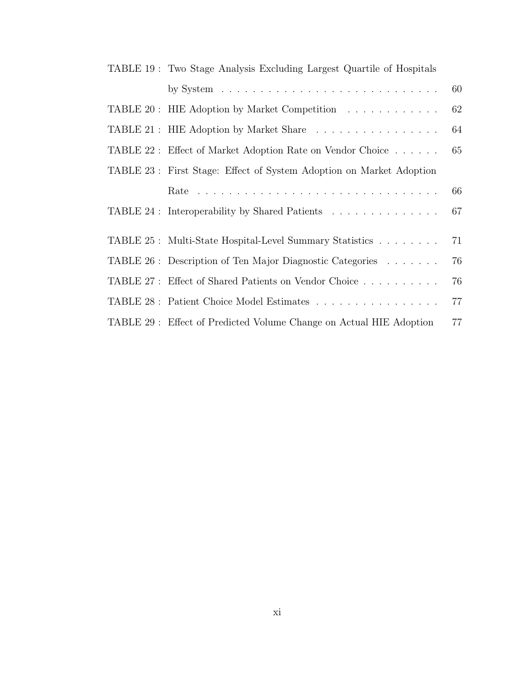| TABLE 19: Two Stage Analysis Excluding Largest Quartile of Hospitals |    |
|----------------------------------------------------------------------|----|
|                                                                      | 60 |
| TABLE 20: HIE Adoption by Market Competition                         | 62 |
| TABLE 21: HIE Adoption by Market Share                               | 64 |
| TABLE 22 : Effect of Market Adoption Rate on Vendor Choice           | 65 |
| TABLE 23: First Stage: Effect of System Adoption on Market Adoption  |    |
|                                                                      | 66 |
| TABLE 24 : Interoperability by Shared Patients                       | 67 |
| TABLE 25: Multi-State Hospital-Level Summary Statistics              | 71 |
| TABLE 26: Description of Ten Major Diagnostic Categories             | 76 |
| TABLE 27: Effect of Shared Patients on Vendor Choice                 | 76 |
| TABLE 28 : Patient Choice Model Estimates                            | 77 |
| TABLE 29: Effect of Predicted Volume Change on Actual HIE Adoption   | 77 |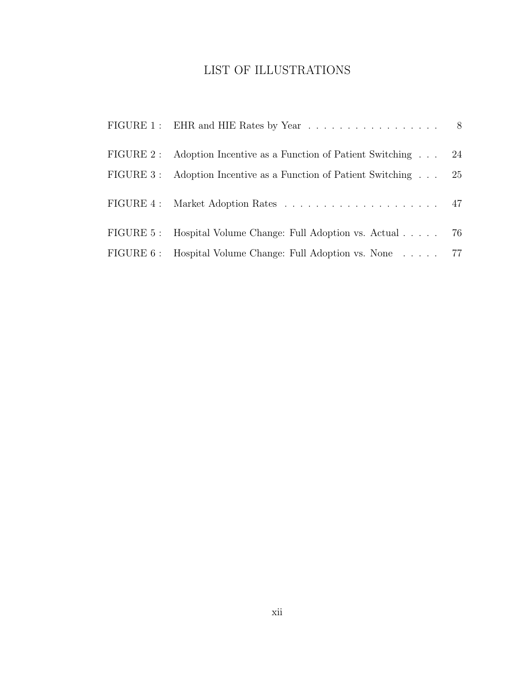## LIST OF ILLUSTRATIONS

| FIGURE 2: Adoption Incentive as a Function of Patient Switching    | 24 |
|--------------------------------------------------------------------|----|
| FIGURE 3: Adoption Incentive as a Function of Patient Switching 25 |    |
|                                                                    |    |
| FIGURE 5: Hospital Volume Change: Full Adoption vs. Actual 76      |    |
| FIGURE 6: Hospital Volume Change: Full Adoption vs. None 77        |    |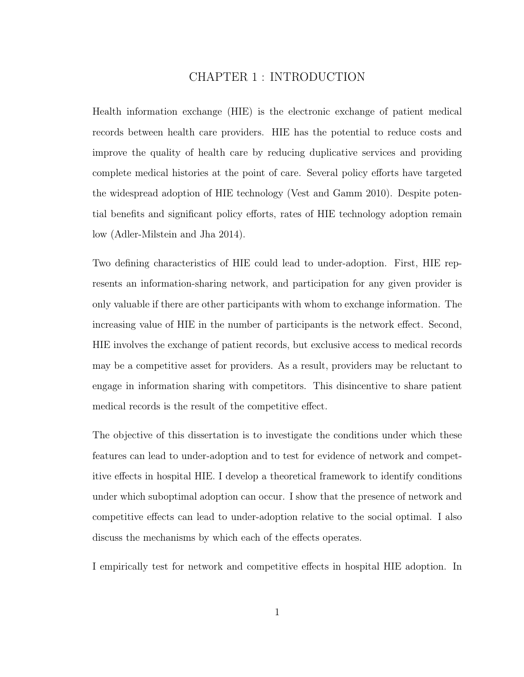## CHAPTER 1 : INTRODUCTION

Health information exchange (HIE) is the electronic exchange of patient medical records between health care providers. HIE has the potential to reduce costs and improve the quality of health care by reducing duplicative services and providing complete medical histories at the point of care. Several policy efforts have targeted the widespread adoption of HIE technology (Vest and Gamm 2010). Despite potential benefits and significant policy efforts, rates of HIE technology adoption remain low (Adler-Milstein and Jha 2014).

Two defining characteristics of HIE could lead to under-adoption. First, HIE represents an information-sharing network, and participation for any given provider is only valuable if there are other participants with whom to exchange information. The increasing value of HIE in the number of participants is the network effect. Second, HIE involves the exchange of patient records, but exclusive access to medical records may be a competitive asset for providers. As a result, providers may be reluctant to engage in information sharing with competitors. This disincentive to share patient medical records is the result of the competitive effect.

The objective of this dissertation is to investigate the conditions under which these features can lead to under-adoption and to test for evidence of network and competitive effects in hospital HIE. I develop a theoretical framework to identify conditions under which suboptimal adoption can occur. I show that the presence of network and competitive effects can lead to under-adoption relative to the social optimal. I also discuss the mechanisms by which each of the effects operates.

I empirically test for network and competitive effects in hospital HIE adoption. In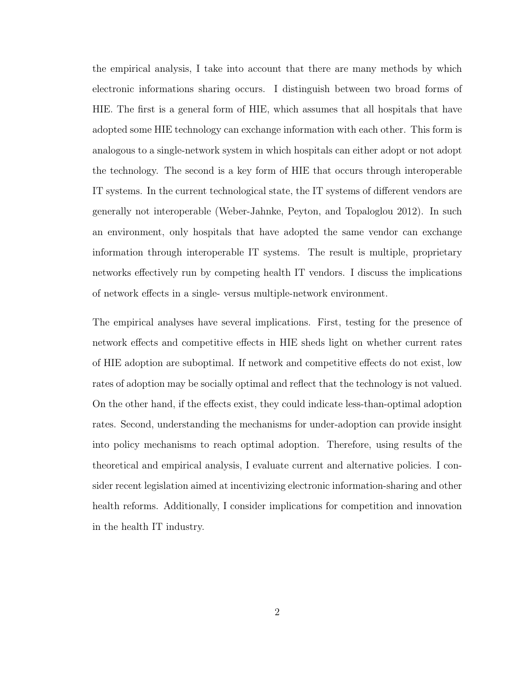the empirical analysis, I take into account that there are many methods by which electronic informations sharing occurs. I distinguish between two broad forms of HIE. The first is a general form of HIE, which assumes that all hospitals that have adopted some HIE technology can exchange information with each other. This form is analogous to a single-network system in which hospitals can either adopt or not adopt the technology. The second is a key form of HIE that occurs through interoperable IT systems. In the current technological state, the IT systems of different vendors are generally not interoperable (Weber-Jahnke, Peyton, and Topaloglou 2012). In such an environment, only hospitals that have adopted the same vendor can exchange information through interoperable IT systems. The result is multiple, proprietary networks effectively run by competing health IT vendors. I discuss the implications of network effects in a single- versus multiple-network environment.

The empirical analyses have several implications. First, testing for the presence of network effects and competitive effects in HIE sheds light on whether current rates of HIE adoption are suboptimal. If network and competitive effects do not exist, low rates of adoption may be socially optimal and reflect that the technology is not valued. On the other hand, if the effects exist, they could indicate less-than-optimal adoption rates. Second, understanding the mechanisms for under-adoption can provide insight into policy mechanisms to reach optimal adoption. Therefore, using results of the theoretical and empirical analysis, I evaluate current and alternative policies. I consider recent legislation aimed at incentivizing electronic information-sharing and other health reforms. Additionally, I consider implications for competition and innovation in the health IT industry.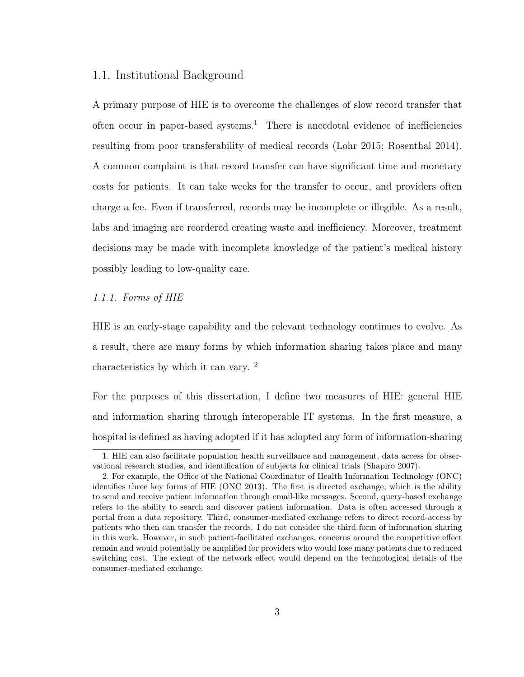### 1.1. Institutional Background

A primary purpose of HIE is to overcome the challenges of slow record transfer that often occur in paper-based systems.<sup>1</sup> There is anecdotal evidence of inefficiencies resulting from poor transferability of medical records (Lohr 2015; Rosenthal 2014). A common complaint is that record transfer can have significant time and monetary costs for patients. It can take weeks for the transfer to occur, and providers often charge a fee. Even if transferred, records may be incomplete or illegible. As a result, labs and imaging are reordered creating waste and inefficiency. Moreover, treatment decisions may be made with incomplete knowledge of the patient's medical history possibly leading to low-quality care.

#### 1.1.1. Forms of HIE

HIE is an early-stage capability and the relevant technology continues to evolve. As a result, there are many forms by which information sharing takes place and many characteristics by which it can vary. <sup>2</sup>

For the purposes of this dissertation, I define two measures of HIE: general HIE and information sharing through interoperable IT systems. In the first measure, a hospital is defined as having adopted if it has adopted any form of information-sharing

<sup>1.</sup> HIE can also facilitate population health surveillance and management, data access for observational research studies, and identification of subjects for clinical trials (Shapiro 2007).

<sup>2.</sup> For example, the Office of the National Coordinator of Health Information Technology (ONC) identifies three key forms of HIE (ONC 2013). The first is directed exchange, which is the ability to send and receive patient information through email-like messages. Second, query-based exchange refers to the ability to search and discover patient information. Data is often accessed through a portal from a data repository. Third, consumer-mediated exchange refers to direct record-access by patients who then can transfer the records. I do not consider the third form of information sharing in this work. However, in such patient-facilitated exchanges, concerns around the competitive effect remain and would potentially be amplified for providers who would lose many patients due to reduced switching cost. The extent of the network effect would depend on the technological details of the consumer-mediated exchange.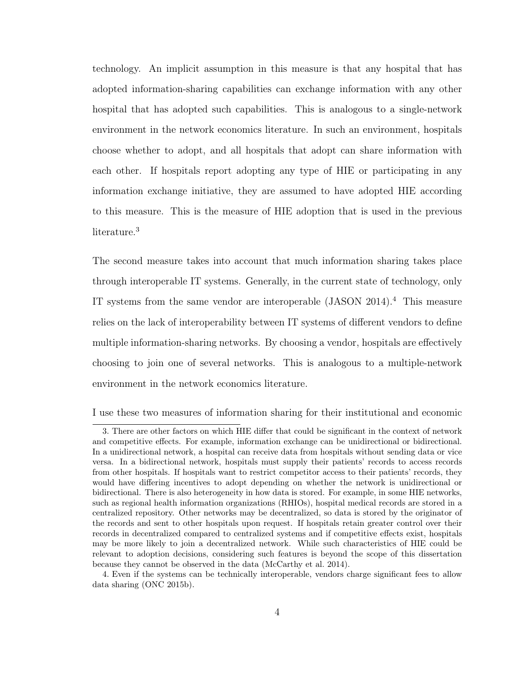technology. An implicit assumption in this measure is that any hospital that has adopted information-sharing capabilities can exchange information with any other hospital that has adopted such capabilities. This is analogous to a single-network environment in the network economics literature. In such an environment, hospitals choose whether to adopt, and all hospitals that adopt can share information with each other. If hospitals report adopting any type of HIE or participating in any information exchange initiative, they are assumed to have adopted HIE according to this measure. This is the measure of HIE adoption that is used in the previous literature.<sup>3</sup>

The second measure takes into account that much information sharing takes place through interoperable IT systems. Generally, in the current state of technology, only IT systems from the same vendor are interoperable  $(JASON 2014).<sup>4</sup>$  This measure relies on the lack of interoperability between IT systems of different vendors to define multiple information-sharing networks. By choosing a vendor, hospitals are effectively choosing to join one of several networks. This is analogous to a multiple-network environment in the network economics literature.

I use these two measures of information sharing for their institutional and economic

<sup>3.</sup> There are other factors on which HIE differ that could be significant in the context of network and competitive effects. For example, information exchange can be unidirectional or bidirectional. In a unidirectional network, a hospital can receive data from hospitals without sending data or vice versa. In a bidirectional network, hospitals must supply their patients' records to access records from other hospitals. If hospitals want to restrict competitor access to their patients' records, they would have differing incentives to adopt depending on whether the network is unidirectional or bidirectional. There is also heterogeneity in how data is stored. For example, in some HIE networks, such as regional health information organizations (RHIOs), hospital medical records are stored in a centralized repository. Other networks may be decentralized, so data is stored by the originator of the records and sent to other hospitals upon request. If hospitals retain greater control over their records in decentralized compared to centralized systems and if competitive effects exist, hospitals may be more likely to join a decentralized network. While such characteristics of HIE could be relevant to adoption decisions, considering such features is beyond the scope of this dissertation because they cannot be observed in the data (McCarthy et al. 2014).

<sup>4.</sup> Even if the systems can be technically interoperable, vendors charge significant fees to allow data sharing (ONC 2015b).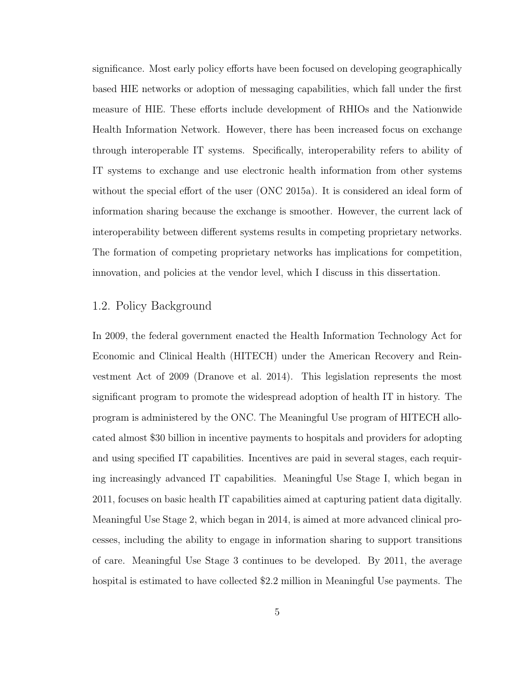significance. Most early policy efforts have been focused on developing geographically based HIE networks or adoption of messaging capabilities, which fall under the first measure of HIE. These efforts include development of RHIOs and the Nationwide Health Information Network. However, there has been increased focus on exchange through interoperable IT systems. Specifically, interoperability refers to ability of IT systems to exchange and use electronic health information from other systems without the special effort of the user (ONC 2015a). It is considered an ideal form of information sharing because the exchange is smoother. However, the current lack of interoperability between different systems results in competing proprietary networks. The formation of competing proprietary networks has implications for competition, innovation, and policies at the vendor level, which I discuss in this dissertation.

## 1.2. Policy Background

In 2009, the federal government enacted the Health Information Technology Act for Economic and Clinical Health (HITECH) under the American Recovery and Reinvestment Act of 2009 (Dranove et al. 2014). This legislation represents the most significant program to promote the widespread adoption of health IT in history. The program is administered by the ONC. The Meaningful Use program of HITECH allocated almost \$30 billion in incentive payments to hospitals and providers for adopting and using specified IT capabilities. Incentives are paid in several stages, each requiring increasingly advanced IT capabilities. Meaningful Use Stage I, which began in 2011, focuses on basic health IT capabilities aimed at capturing patient data digitally. Meaningful Use Stage 2, which began in 2014, is aimed at more advanced clinical processes, including the ability to engage in information sharing to support transitions of care. Meaningful Use Stage 3 continues to be developed. By 2011, the average hospital is estimated to have collected \$2.2 million in Meaningful Use payments. The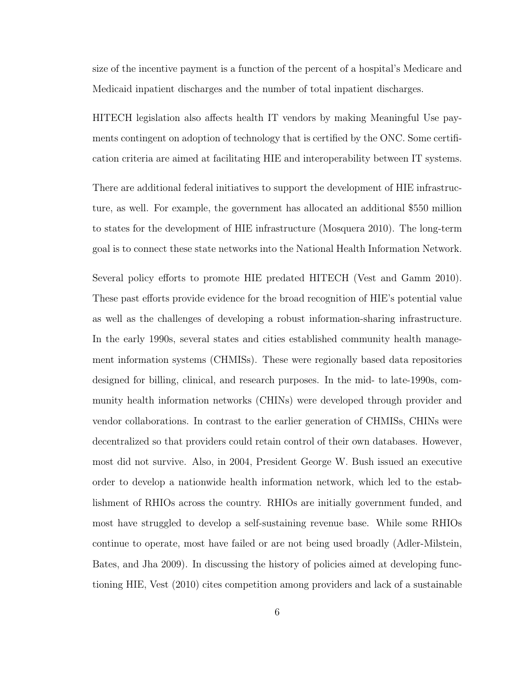size of the incentive payment is a function of the percent of a hospital's Medicare and Medicaid inpatient discharges and the number of total inpatient discharges.

HITECH legislation also affects health IT vendors by making Meaningful Use payments contingent on adoption of technology that is certified by the ONC. Some certification criteria are aimed at facilitating HIE and interoperability between IT systems.

There are additional federal initiatives to support the development of HIE infrastructure, as well. For example, the government has allocated an additional \$550 million to states for the development of HIE infrastructure (Mosquera 2010). The long-term goal is to connect these state networks into the National Health Information Network.

Several policy efforts to promote HIE predated HITECH (Vest and Gamm 2010). These past efforts provide evidence for the broad recognition of HIE's potential value as well as the challenges of developing a robust information-sharing infrastructure. In the early 1990s, several states and cities established community health management information systems (CHMISs). These were regionally based data repositories designed for billing, clinical, and research purposes. In the mid- to late-1990s, community health information networks (CHINs) were developed through provider and vendor collaborations. In contrast to the earlier generation of CHMISs, CHINs were decentralized so that providers could retain control of their own databases. However, most did not survive. Also, in 2004, President George W. Bush issued an executive order to develop a nationwide health information network, which led to the establishment of RHIOs across the country. RHIOs are initially government funded, and most have struggled to develop a self-sustaining revenue base. While some RHIOs continue to operate, most have failed or are not being used broadly (Adler-Milstein, Bates, and Jha 2009). In discussing the history of policies aimed at developing functioning HIE, Vest (2010) cites competition among providers and lack of a sustainable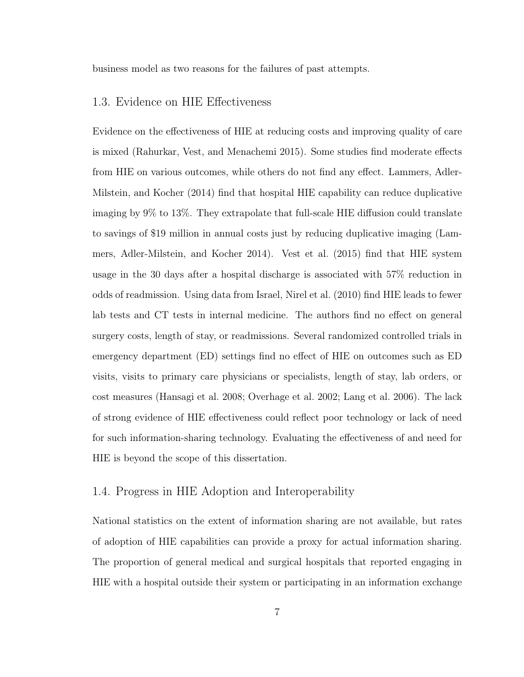business model as two reasons for the failures of past attempts.

### 1.3. Evidence on HIE Effectiveness

Evidence on the effectiveness of HIE at reducing costs and improving quality of care is mixed (Rahurkar, Vest, and Menachemi 2015). Some studies find moderate effects from HIE on various outcomes, while others do not find any effect. Lammers, Adler-Milstein, and Kocher (2014) find that hospital HIE capability can reduce duplicative imaging by 9% to 13%. They extrapolate that full-scale HIE diffusion could translate to savings of \$19 million in annual costs just by reducing duplicative imaging (Lammers, Adler-Milstein, and Kocher 2014). Vest et al. (2015) find that HIE system usage in the 30 days after a hospital discharge is associated with 57% reduction in odds of readmission. Using data from Israel, Nirel et al. (2010) find HIE leads to fewer lab tests and CT tests in internal medicine. The authors find no effect on general surgery costs, length of stay, or readmissions. Several randomized controlled trials in emergency department (ED) settings find no effect of HIE on outcomes such as ED visits, visits to primary care physicians or specialists, length of stay, lab orders, or cost measures (Hansagi et al. 2008; Overhage et al. 2002; Lang et al. 2006). The lack of strong evidence of HIE effectiveness could reflect poor technology or lack of need for such information-sharing technology. Evaluating the effectiveness of and need for HIE is beyond the scope of this dissertation.

### 1.4. Progress in HIE Adoption and Interoperability

National statistics on the extent of information sharing are not available, but rates of adoption of HIE capabilities can provide a proxy for actual information sharing. The proportion of general medical and surgical hospitals that reported engaging in HIE with a hospital outside their system or participating in an information exchange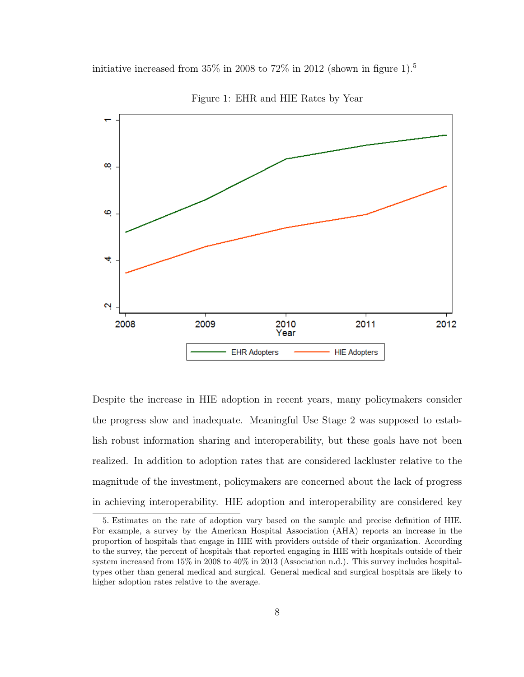initiative increased from  $35\%$  in 2008 to  $72\%$  in 2012 (shown in figure 1).<sup>5</sup>



Figure 1: EHR and HIE Rates by Year

Despite the increase in HIE adoption in recent years, many policymakers consider the progress slow and inadequate. Meaningful Use Stage 2 was supposed to establish robust information sharing and interoperability, but these goals have not been realized. In addition to adoption rates that are considered lackluster relative to the magnitude of the investment, policymakers are concerned about the lack of progress in achieving interoperability. HIE adoption and interoperability are considered key

<sup>5.</sup> Estimates on the rate of adoption vary based on the sample and precise definition of HIE. For example, a survey by the American Hospital Association (AHA) reports an increase in the proportion of hospitals that engage in HIE with providers outside of their organization. According to the survey, the percent of hospitals that reported engaging in HIE with hospitals outside of their system increased from 15% in 2008 to 40% in 2013 (Association n.d.). This survey includes hospitaltypes other than general medical and surgical. General medical and surgical hospitals are likely to higher adoption rates relative to the average.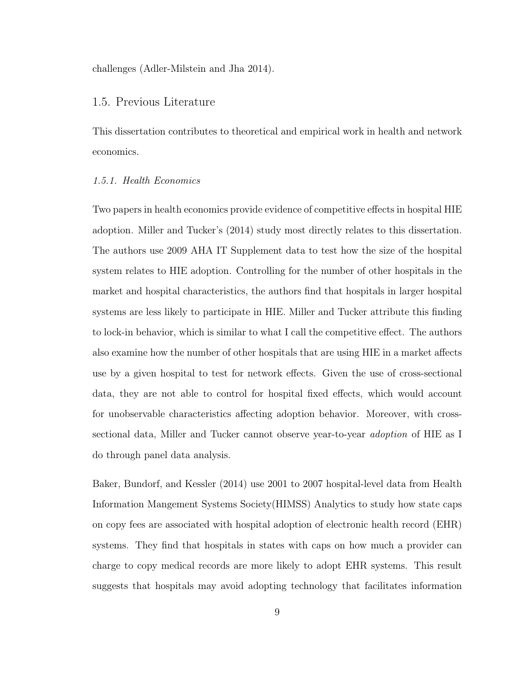challenges (Adler-Milstein and Jha 2014).

### 1.5. Previous Literature

This dissertation contributes to theoretical and empirical work in health and network economics.

#### 1.5.1. Health Economics

Two papers in health economics provide evidence of competitive effects in hospital HIE adoption. Miller and Tucker's (2014) study most directly relates to this dissertation. The authors use 2009 AHA IT Supplement data to test how the size of the hospital system relates to HIE adoption. Controlling for the number of other hospitals in the market and hospital characteristics, the authors find that hospitals in larger hospital systems are less likely to participate in HIE. Miller and Tucker attribute this finding to lock-in behavior, which is similar to what I call the competitive effect. The authors also examine how the number of other hospitals that are using HIE in a market affects use by a given hospital to test for network effects. Given the use of cross-sectional data, they are not able to control for hospital fixed effects, which would account for unobservable characteristics affecting adoption behavior. Moreover, with crosssectional data, Miller and Tucker cannot observe year-to-year adoption of HIE as I do through panel data analysis.

Baker, Bundorf, and Kessler (2014) use 2001 to 2007 hospital-level data from Health Information Mangement Systems Society(HIMSS) Analytics to study how state caps on copy fees are associated with hospital adoption of electronic health record (EHR) systems. They find that hospitals in states with caps on how much a provider can charge to copy medical records are more likely to adopt EHR systems. This result suggests that hospitals may avoid adopting technology that facilitates information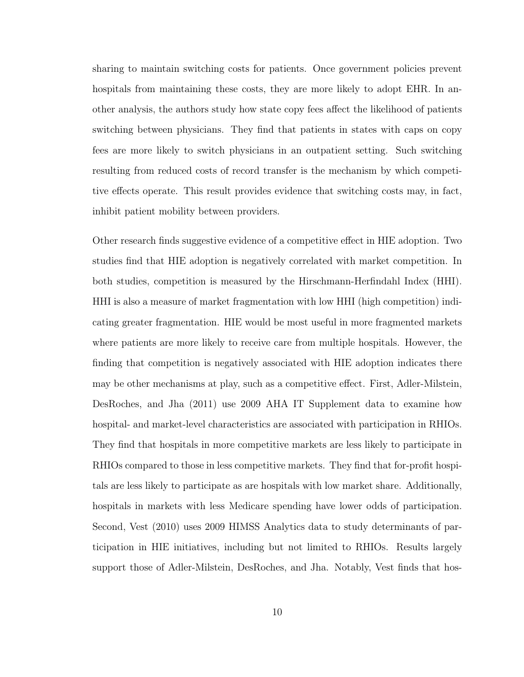sharing to maintain switching costs for patients. Once government policies prevent hospitals from maintaining these costs, they are more likely to adopt EHR. In another analysis, the authors study how state copy fees affect the likelihood of patients switching between physicians. They find that patients in states with caps on copy fees are more likely to switch physicians in an outpatient setting. Such switching resulting from reduced costs of record transfer is the mechanism by which competitive effects operate. This result provides evidence that switching costs may, in fact, inhibit patient mobility between providers.

Other research finds suggestive evidence of a competitive effect in HIE adoption. Two studies find that HIE adoption is negatively correlated with market competition. In both studies, competition is measured by the Hirschmann-Herfindahl Index (HHI). HHI is also a measure of market fragmentation with low HHI (high competition) indicating greater fragmentation. HIE would be most useful in more fragmented markets where patients are more likely to receive care from multiple hospitals. However, the finding that competition is negatively associated with HIE adoption indicates there may be other mechanisms at play, such as a competitive effect. First, Adler-Milstein, DesRoches, and Jha (2011) use 2009 AHA IT Supplement data to examine how hospital- and market-level characteristics are associated with participation in RHIOs. They find that hospitals in more competitive markets are less likely to participate in RHIOs compared to those in less competitive markets. They find that for-profit hospitals are less likely to participate as are hospitals with low market share. Additionally, hospitals in markets with less Medicare spending have lower odds of participation. Second, Vest (2010) uses 2009 HIMSS Analytics data to study determinants of participation in HIE initiatives, including but not limited to RHIOs. Results largely support those of Adler-Milstein, DesRoches, and Jha. Notably, Vest finds that hos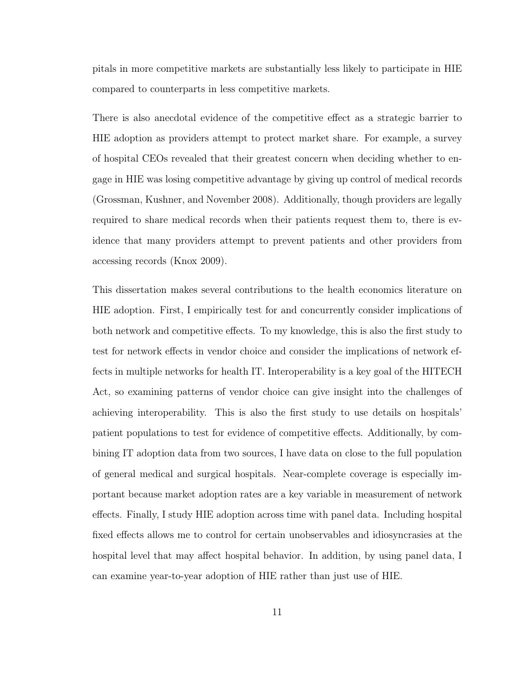pitals in more competitive markets are substantially less likely to participate in HIE compared to counterparts in less competitive markets.

There is also anecdotal evidence of the competitive effect as a strategic barrier to HIE adoption as providers attempt to protect market share. For example, a survey of hospital CEOs revealed that their greatest concern when deciding whether to engage in HIE was losing competitive advantage by giving up control of medical records (Grossman, Kushner, and November 2008). Additionally, though providers are legally required to share medical records when their patients request them to, there is evidence that many providers attempt to prevent patients and other providers from accessing records (Knox 2009).

This dissertation makes several contributions to the health economics literature on HIE adoption. First, I empirically test for and concurrently consider implications of both network and competitive effects. To my knowledge, this is also the first study to test for network effects in vendor choice and consider the implications of network effects in multiple networks for health IT. Interoperability is a key goal of the HITECH Act, so examining patterns of vendor choice can give insight into the challenges of achieving interoperability. This is also the first study to use details on hospitals' patient populations to test for evidence of competitive effects. Additionally, by combining IT adoption data from two sources, I have data on close to the full population of general medical and surgical hospitals. Near-complete coverage is especially important because market adoption rates are a key variable in measurement of network effects. Finally, I study HIE adoption across time with panel data. Including hospital fixed effects allows me to control for certain unobservables and idiosyncrasies at the hospital level that may affect hospital behavior. In addition, by using panel data, I can examine year-to-year adoption of HIE rather than just use of HIE.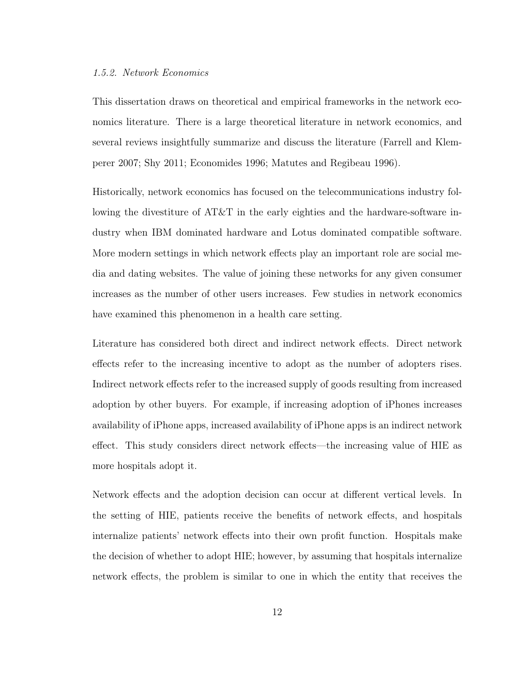#### 1.5.2. Network Economics

This dissertation draws on theoretical and empirical frameworks in the network economics literature. There is a large theoretical literature in network economics, and several reviews insightfully summarize and discuss the literature (Farrell and Klemperer 2007; Shy 2011; Economides 1996; Matutes and Regibeau 1996).

Historically, network economics has focused on the telecommunications industry following the divestiture of AT&T in the early eighties and the hardware-software industry when IBM dominated hardware and Lotus dominated compatible software. More modern settings in which network effects play an important role are social media and dating websites. The value of joining these networks for any given consumer increases as the number of other users increases. Few studies in network economics have examined this phenomenon in a health care setting.

Literature has considered both direct and indirect network effects. Direct network effects refer to the increasing incentive to adopt as the number of adopters rises. Indirect network effects refer to the increased supply of goods resulting from increased adoption by other buyers. For example, if increasing adoption of iPhones increases availability of iPhone apps, increased availability of iPhone apps is an indirect network effect. This study considers direct network effects—the increasing value of HIE as more hospitals adopt it.

Network effects and the adoption decision can occur at different vertical levels. In the setting of HIE, patients receive the benefits of network effects, and hospitals internalize patients' network effects into their own profit function. Hospitals make the decision of whether to adopt HIE; however, by assuming that hospitals internalize network effects, the problem is similar to one in which the entity that receives the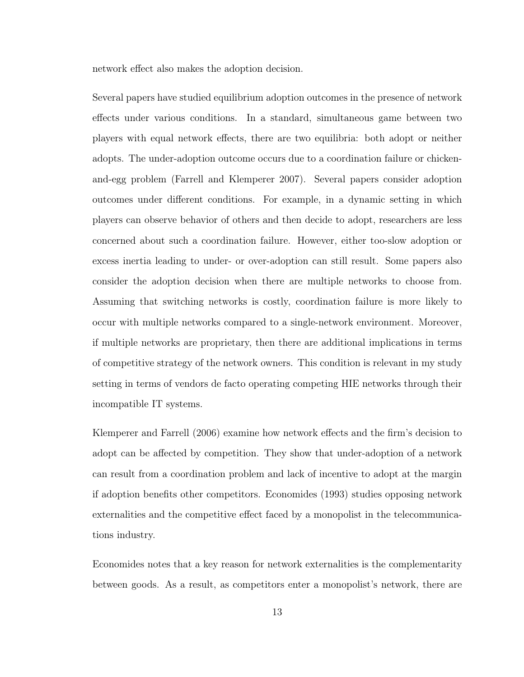network effect also makes the adoption decision.

Several papers have studied equilibrium adoption outcomes in the presence of network effects under various conditions. In a standard, simultaneous game between two players with equal network effects, there are two equilibria: both adopt or neither adopts. The under-adoption outcome occurs due to a coordination failure or chickenand-egg problem (Farrell and Klemperer 2007). Several papers consider adoption outcomes under different conditions. For example, in a dynamic setting in which players can observe behavior of others and then decide to adopt, researchers are less concerned about such a coordination failure. However, either too-slow adoption or excess inertia leading to under- or over-adoption can still result. Some papers also consider the adoption decision when there are multiple networks to choose from. Assuming that switching networks is costly, coordination failure is more likely to occur with multiple networks compared to a single-network environment. Moreover, if multiple networks are proprietary, then there are additional implications in terms of competitive strategy of the network owners. This condition is relevant in my study setting in terms of vendors de facto operating competing HIE networks through their incompatible IT systems.

Klemperer and Farrell (2006) examine how network effects and the firm's decision to adopt can be affected by competition. They show that under-adoption of a network can result from a coordination problem and lack of incentive to adopt at the margin if adoption benefits other competitors. Economides (1993) studies opposing network externalities and the competitive effect faced by a monopolist in the telecommunications industry.

Economides notes that a key reason for network externalities is the complementarity between goods. As a result, as competitors enter a monopolist's network, there are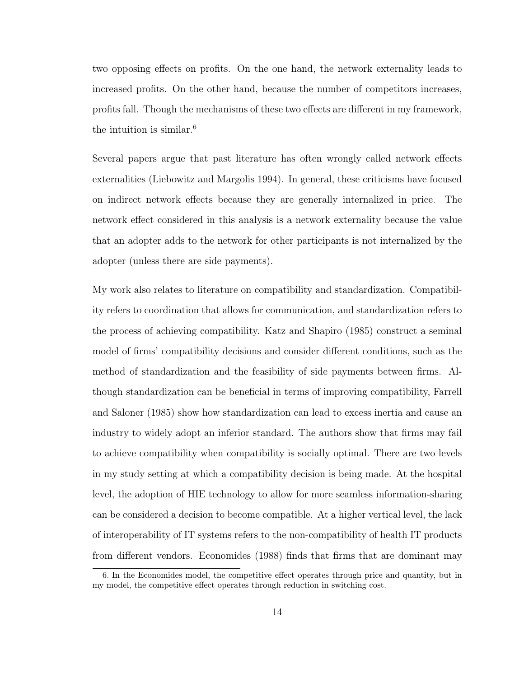two opposing effects on profits. On the one hand, the network externality leads to increased profits. On the other hand, because the number of competitors increases, profits fall. Though the mechanisms of these two effects are different in my framework, the intuition is similar.<sup>6</sup>

Several papers argue that past literature has often wrongly called network effects externalities (Liebowitz and Margolis 1994). In general, these criticisms have focused on indirect network effects because they are generally internalized in price. The network effect considered in this analysis is a network externality because the value that an adopter adds to the network for other participants is not internalized by the adopter (unless there are side payments).

My work also relates to literature on compatibility and standardization. Compatibility refers to coordination that allows for communication, and standardization refers to the process of achieving compatibility. Katz and Shapiro (1985) construct a seminal model of firms' compatibility decisions and consider different conditions, such as the method of standardization and the feasibility of side payments between firms. Although standardization can be beneficial in terms of improving compatibility, Farrell and Saloner (1985) show how standardization can lead to excess inertia and cause an industry to widely adopt an inferior standard. The authors show that firms may fail to achieve compatibility when compatibility is socially optimal. There are two levels in my study setting at which a compatibility decision is being made. At the hospital level, the adoption of HIE technology to allow for more seamless information-sharing can be considered a decision to become compatible. At a higher vertical level, the lack of interoperability of IT systems refers to the non-compatibility of health IT products from different vendors. Economides (1988) finds that firms that are dominant may

<sup>6.</sup> In the Economides model, the competitive effect operates through price and quantity, but in my model, the competitive effect operates through reduction in switching cost.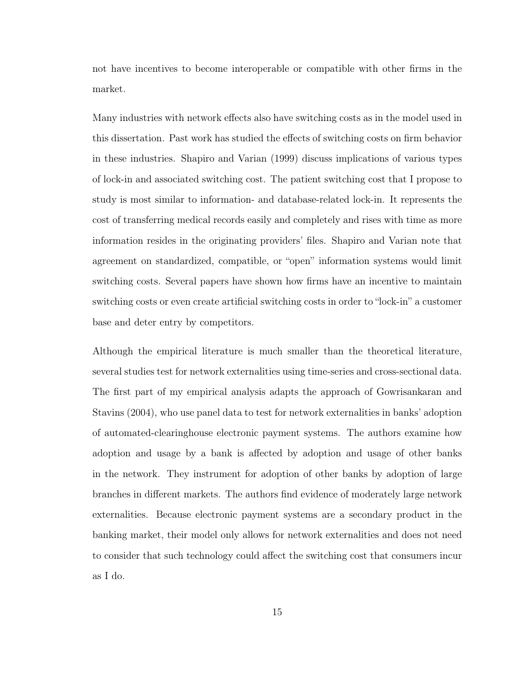not have incentives to become interoperable or compatible with other firms in the market.

Many industries with network effects also have switching costs as in the model used in this dissertation. Past work has studied the effects of switching costs on firm behavior in these industries. Shapiro and Varian (1999) discuss implications of various types of lock-in and associated switching cost. The patient switching cost that I propose to study is most similar to information- and database-related lock-in. It represents the cost of transferring medical records easily and completely and rises with time as more information resides in the originating providers' files. Shapiro and Varian note that agreement on standardized, compatible, or "open" information systems would limit switching costs. Several papers have shown how firms have an incentive to maintain switching costs or even create artificial switching costs in order to "lock-in" a customer base and deter entry by competitors.

Although the empirical literature is much smaller than the theoretical literature, several studies test for network externalities using time-series and cross-sectional data. The first part of my empirical analysis adapts the approach of Gowrisankaran and Stavins (2004), who use panel data to test for network externalities in banks' adoption of automated-clearinghouse electronic payment systems. The authors examine how adoption and usage by a bank is affected by adoption and usage of other banks in the network. They instrument for adoption of other banks by adoption of large branches in different markets. The authors find evidence of moderately large network externalities. Because electronic payment systems are a secondary product in the banking market, their model only allows for network externalities and does not need to consider that such technology could affect the switching cost that consumers incur as I do.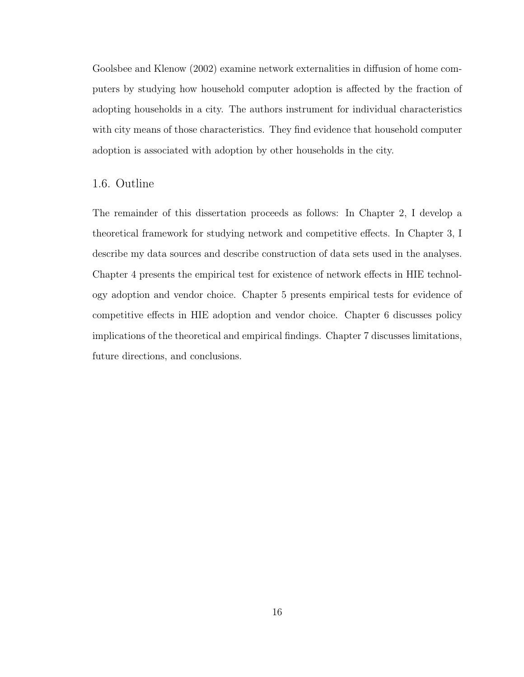Goolsbee and Klenow (2002) examine network externalities in diffusion of home computers by studying how household computer adoption is affected by the fraction of adopting households in a city. The authors instrument for individual characteristics with city means of those characteristics. They find evidence that household computer adoption is associated with adoption by other households in the city.

### 1.6. Outline

The remainder of this dissertation proceeds as follows: In Chapter 2, I develop a theoretical framework for studying network and competitive effects. In Chapter 3, I describe my data sources and describe construction of data sets used in the analyses. Chapter 4 presents the empirical test for existence of network effects in HIE technology adoption and vendor choice. Chapter 5 presents empirical tests for evidence of competitive effects in HIE adoption and vendor choice. Chapter 6 discusses policy implications of the theoretical and empirical findings. Chapter 7 discusses limitations, future directions, and conclusions.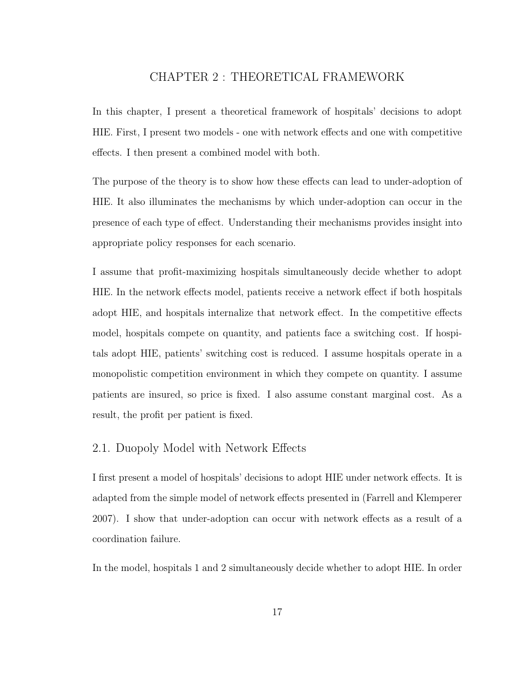## CHAPTER 2 : THEORETICAL FRAMEWORK

In this chapter, I present a theoretical framework of hospitals' decisions to adopt HIE. First, I present two models - one with network effects and one with competitive effects. I then present a combined model with both.

The purpose of the theory is to show how these effects can lead to under-adoption of HIE. It also illuminates the mechanisms by which under-adoption can occur in the presence of each type of effect. Understanding their mechanisms provides insight into appropriate policy responses for each scenario.

I assume that profit-maximizing hospitals simultaneously decide whether to adopt HIE. In the network effects model, patients receive a network effect if both hospitals adopt HIE, and hospitals internalize that network effect. In the competitive effects model, hospitals compete on quantity, and patients face a switching cost. If hospitals adopt HIE, patients' switching cost is reduced. I assume hospitals operate in a monopolistic competition environment in which they compete on quantity. I assume patients are insured, so price is fixed. I also assume constant marginal cost. As a result, the profit per patient is fixed.

### 2.1. Duopoly Model with Network Effects

I first present a model of hospitals' decisions to adopt HIE under network effects. It is adapted from the simple model of network effects presented in (Farrell and Klemperer 2007). I show that under-adoption can occur with network effects as a result of a coordination failure.

In the model, hospitals 1 and 2 simultaneously decide whether to adopt HIE. In order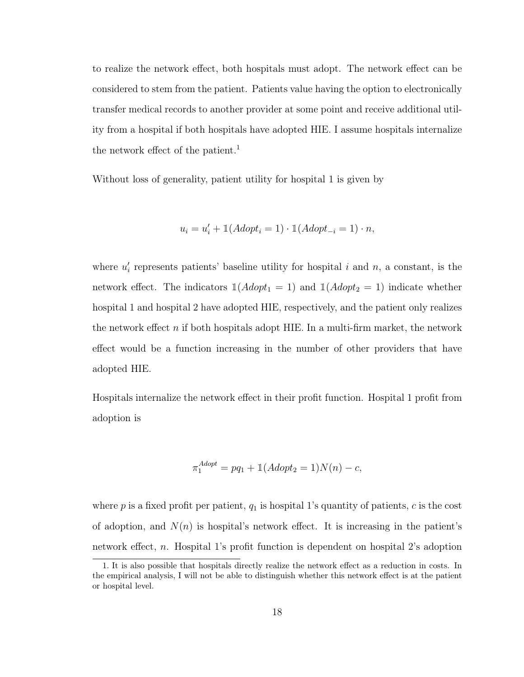to realize the network effect, both hospitals must adopt. The network effect can be considered to stem from the patient. Patients value having the option to electronically transfer medical records to another provider at some point and receive additional utility from a hospital if both hospitals have adopted HIE. I assume hospitals internalize the network effect of the patient.<sup>1</sup>

Without loss of generality, patient utility for hospital 1 is given by

$$
u_i = u'_i + \mathbb{1}(Adopt_i = 1) \cdot \mathbb{1}(Adopt_{-i} = 1) \cdot n,
$$

where  $u_i'$  represents patients' baseline utility for hospital i and n, a constant, is the network effect. The indicators  $\mathbb{1}(Adopt_1 = 1)$  and  $\mathbb{1}(Adopt_2 = 1)$  indicate whether hospital 1 and hospital 2 have adopted HIE, respectively, and the patient only realizes the network effect  $n$  if both hospitals adopt HIE. In a multi-firm market, the network effect would be a function increasing in the number of other providers that have adopted HIE.

Hospitals internalize the network effect in their profit function. Hospital 1 profit from adoption is

$$
\pi_1^{Adopt} = pq_1 + \mathbb{1}(Adopt_2 = 1)N(n) - c,
$$

where p is a fixed profit per patient,  $q_1$  is hospital 1's quantity of patients, c is the cost of adoption, and  $N(n)$  is hospital's network effect. It is increasing in the patient's network effect, n. Hospital 1's profit function is dependent on hospital 2's adoption

<sup>1.</sup> It is also possible that hospitals directly realize the network effect as a reduction in costs. In the empirical analysis, I will not be able to distinguish whether this network effect is at the patient or hospital level.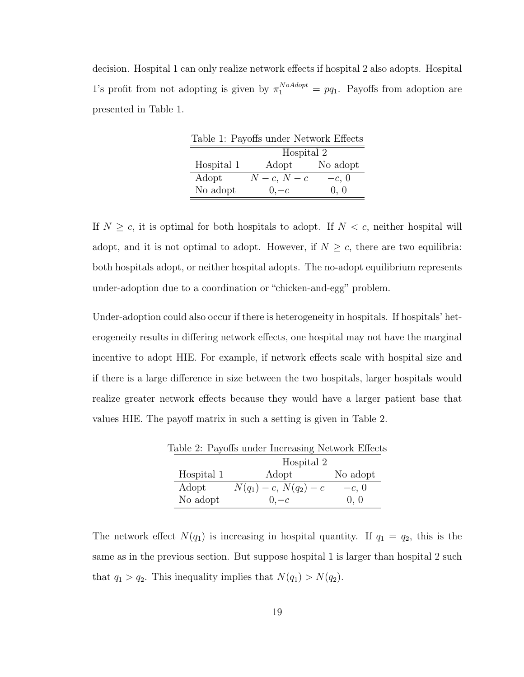decision. Hospital 1 can only realize network effects if hospital 2 also adopts. Hospital 1's profit from not adopting is given by  $\pi_1^{NoAdopt} = pq_1$ . Payoffs from adoption are presented in Table 1.

|            | Table 1: Payoffs under Network Effects |          |
|------------|----------------------------------------|----------|
| Hospital 2 |                                        |          |
| Hospital 1 | Adopt                                  | No adopt |
| Adopt      | $N-c, N-c$                             | $-c, 0$  |
| No adopt   | $0,-c$                                 | 0, 0     |

If  $N \geq c$ , it is optimal for both hospitals to adopt. If  $N < c$ , neither hospital will adopt, and it is not optimal to adopt. However, if  $N \geq c$ , there are two equilibria: both hospitals adopt, or neither hospital adopts. The no-adopt equilibrium represents under-adoption due to a coordination or "chicken-and-egg" problem.

Under-adoption could also occur if there is heterogeneity in hospitals. If hospitals' heterogeneity results in differing network effects, one hospital may not have the marginal incentive to adopt HIE. For example, if network effects scale with hospital size and if there is a large difference in size between the two hospitals, larger hospitals would realize greater network effects because they would have a larger patient base that values HIE. The payoff matrix in such a setting is given in Table 2.

| Table 2: Payoffs under Increasing Network Effects |                          |          |  |
|---------------------------------------------------|--------------------------|----------|--|
| Hospital 2                                        |                          |          |  |
| Hospital 1                                        | Adopt                    | No adopt |  |
| Adopt                                             | $N(q_1) - c, N(q_2) - c$ | $-c, 0$  |  |
| No adopt                                          | $0,-c$                   | 0, 0     |  |

 $T_{\rm e}$ kle  $2$ :  $D_{\rm core}$   $f_{\rm g}$  under Increasing Network Effects

The network effect  $N(q_1)$  is increasing in hospital quantity. If  $q_1 = q_2$ , this is the same as in the previous section. But suppose hospital 1 is larger than hospital 2 such that  $q_1 > q_2$ . This inequality implies that  $N(q_1) > N(q_2)$ .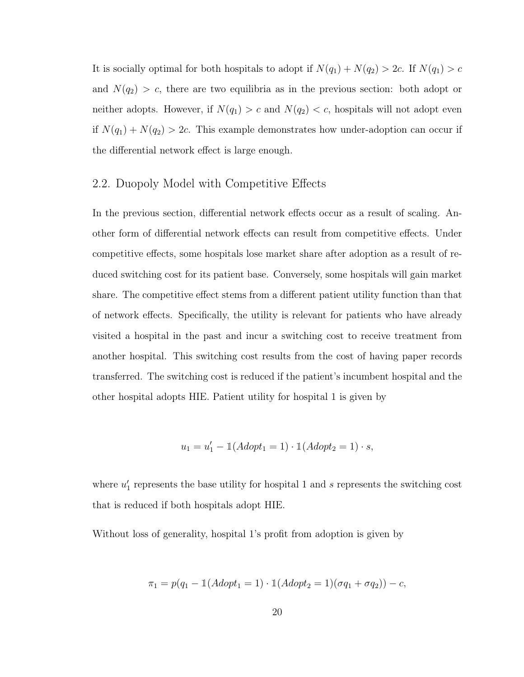It is socially optimal for both hospitals to adopt if  $N(q_1) + N(q_2) > 2c$ . If  $N(q_1) > c$ and  $N(q_2) > c$ , there are two equilibria as in the previous section: both adopt or neither adopts. However, if  $N(q_1) > c$  and  $N(q_2) < c$ , hospitals will not adopt even if  $N(q_1) + N(q_2) > 2c$ . This example demonstrates how under-adoption can occur if the differential network effect is large enough.

### 2.2. Duopoly Model with Competitive Effects

In the previous section, differential network effects occur as a result of scaling. Another form of differential network effects can result from competitive effects. Under competitive effects, some hospitals lose market share after adoption as a result of reduced switching cost for its patient base. Conversely, some hospitals will gain market share. The competitive effect stems from a different patient utility function than that of network effects. Specifically, the utility is relevant for patients who have already visited a hospital in the past and incur a switching cost to receive treatment from another hospital. This switching cost results from the cost of having paper records transferred. The switching cost is reduced if the patient's incumbent hospital and the other hospital adopts HIE. Patient utility for hospital 1 is given by

$$
u_1 = u_1' - \mathbb{1}(Adopt_1 = 1) \cdot \mathbb{1}(Adopt_2 = 1) \cdot s,
$$

where  $u'_1$  represents the base utility for hospital 1 and s represents the switching cost that is reduced if both hospitals adopt HIE.

Without loss of generality, hospital 1's profit from adoption is given by

$$
\pi_1 = p(q_1 - \mathbb{1}(Adopt_1 = 1) \cdot \mathbb{1}(Adopt_2 = 1)(\sigma q_1 + \sigma q_2)) - c,
$$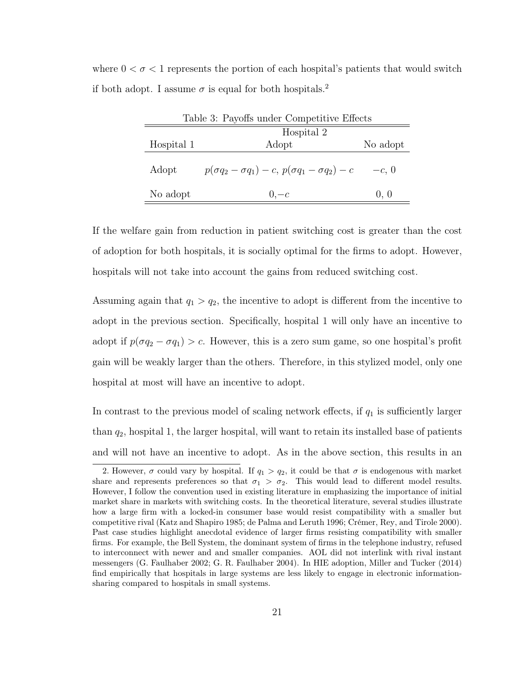where  $0 < \sigma < 1$  represents the portion of each hospital's patients that would switch if both adopt. I assume  $\sigma$  is equal for both hospitals.<sup>2</sup>

| Table 3: Payoffs under Competitive Effects |                                                                  |          |
|--------------------------------------------|------------------------------------------------------------------|----------|
| Hospital 2                                 |                                                                  |          |
| Hospital 1                                 | Adopt                                                            | No adopt |
| Adopt                                      | $p(\sigma q_2 - \sigma q_1) - c, p(\sigma q_1 - \sigma q_2) - c$ | $-c, 0$  |
| No adopt                                   | $0,-c$                                                           | 0, 0     |

If the welfare gain from reduction in patient switching cost is greater than the cost of adoption for both hospitals, it is socially optimal for the firms to adopt. However, hospitals will not take into account the gains from reduced switching cost.

Assuming again that  $q_1 > q_2$ , the incentive to adopt is different from the incentive to adopt in the previous section. Specifically, hospital 1 will only have an incentive to adopt if  $p(\sigma q_2 - \sigma q_1) > c$ . However, this is a zero sum game, so one hospital's profit gain will be weakly larger than the others. Therefore, in this stylized model, only one hospital at most will have an incentive to adopt.

In contrast to the previous model of scaling network effects, if  $q_1$  is sufficiently larger than  $q_2$ , hospital 1, the larger hospital, will want to retain its installed base of patients and will not have an incentive to adopt. As in the above section, this results in an

<sup>2.</sup> However,  $\sigma$  could vary by hospital. If  $q_1 > q_2$ , it could be that  $\sigma$  is endogenous with market share and represents preferences so that  $\sigma_1 > \sigma_2$ . This would lead to different model results. However, I follow the convention used in existing literature in emphasizing the importance of initial market share in markets with switching costs. In the theoretical literature, several studies illustrate how a large firm with a locked-in consumer base would resist compatibility with a smaller but competitive rival (Katz and Shapiro 1985; de Palma and Leruth 1996; Crémer, Rey, and Tirole 2000). Past case studies highlight anecdotal evidence of larger firms resisting compatibility with smaller firms. For example, the Bell System, the dominant system of firms in the telephone industry, refused to interconnect with newer and and smaller companies. AOL did not interlink with rival instant messengers (G. Faulhaber 2002; G. R. Faulhaber 2004). In HIE adoption, Miller and Tucker (2014) find empirically that hospitals in large systems are less likely to engage in electronic informationsharing compared to hospitals in small systems.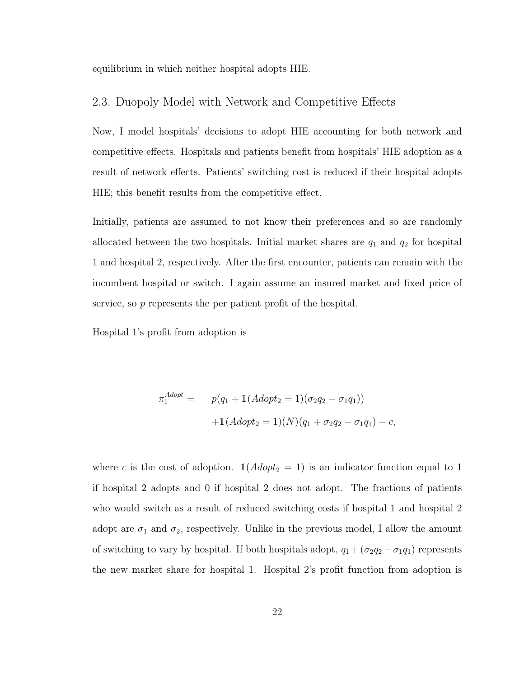equilibrium in which neither hospital adopts HIE.

### 2.3. Duopoly Model with Network and Competitive Effects

Now, I model hospitals' decisions to adopt HIE accounting for both network and competitive effects. Hospitals and patients benefit from hospitals' HIE adoption as a result of network effects. Patients' switching cost is reduced if their hospital adopts HIE; this benefit results from the competitive effect.

Initially, patients are assumed to not know their preferences and so are randomly allocated between the two hospitals. Initial market shares are  $q_1$  and  $q_2$  for hospital 1 and hospital 2, respectively. After the first encounter, patients can remain with the incumbent hospital or switch. I again assume an insured market and fixed price of service, so p represents the per patient profit of the hospital.

Hospital 1's profit from adoption is

$$
\pi_1^{Adopt} = p(q_1 + \mathbb{1}(Adopt_2 = 1)(\sigma_2 q_2 - \sigma_1 q_1))
$$

$$
+ \mathbb{1}(Adopt_2 = 1)(N)(q_1 + \sigma_2 q_2 - \sigma_1 q_1) - c,
$$

where c is the cost of adoption.  $\mathbb{1}(Adopt_2 = 1)$  is an indicator function equal to 1 if hospital 2 adopts and 0 if hospital 2 does not adopt. The fractions of patients who would switch as a result of reduced switching costs if hospital 1 and hospital 2 adopt are  $\sigma_1$  and  $\sigma_2$ , respectively. Unlike in the previous model, I allow the amount of switching to vary by hospital. If both hospitals adopt,  $q_1 + (\sigma_2 q_2 - \sigma_1 q_1)$  represents the new market share for hospital 1. Hospital 2's profit function from adoption is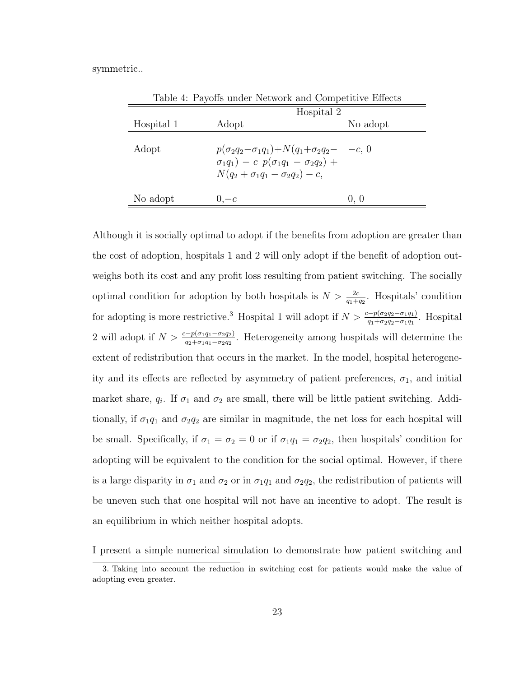symmetric..

|            | Table 4: Payoffs under Network and Competitive Effects                                                                                                            |            |          |
|------------|-------------------------------------------------------------------------------------------------------------------------------------------------------------------|------------|----------|
|            |                                                                                                                                                                   | Hospital 2 |          |
| Hospital 1 | Adopt                                                                                                                                                             |            | No adopt |
| Adopt      | $p(\sigma_2q_2-\sigma_1q_1)+N(q_1+\sigma_2q_2-\ -c, 0)$<br>$\sigma_1 q_1$ ) – c $p(\sigma_1 q_1 - \sigma_2 q_2)$ +<br>$N(q_2 + \sigma_1 q_1 - \sigma_2 q_2) - c,$ |            |          |
| No adopt   | $0,-c$                                                                                                                                                            |            | 0, 0     |

Although it is socially optimal to adopt if the benefits from adoption are greater than the cost of adoption, hospitals 1 and 2 will only adopt if the benefit of adoption outweighs both its cost and any profit loss resulting from patient switching. The socially optimal condition for adoption by both hospitals is  $N > \frac{2c}{q_1+q_2}$ . Hospitals' condition for adopting is more restrictive.<sup>3</sup> Hospital 1 will adopt if  $N > \frac{c - p(\sigma_2 q_2 - \sigma_1 q_1)}{q_1 + \sigma_2 q_2 - \sigma_1 q_1}$ . Hospital 2 will adopt if  $N > \frac{c-p(\sigma_1q_1-\sigma_2q_2)}{q_2+\sigma_1q_1-\sigma_2q_2}$ . Heterogeneity among hospitals will determine the extent of redistribution that occurs in the market. In the model, hospital heterogeneity and its effects are reflected by asymmetry of patient preferences,  $\sigma_1$ , and initial market share,  $q_i$ . If  $\sigma_1$  and  $\sigma_2$  are small, there will be little patient switching. Additionally, if  $\sigma_1q_1$  and  $\sigma_2q_2$  are similar in magnitude, the net loss for each hospital will be small. Specifically, if  $\sigma_1 = \sigma_2 = 0$  or if  $\sigma_1 q_1 = \sigma_2 q_2$ , then hospitals' condition for adopting will be equivalent to the condition for the social optimal. However, if there is a large disparity in  $\sigma_1$  and  $\sigma_2$  or in  $\sigma_1 q_1$  and  $\sigma_2 q_2$ , the redistribution of patients will be uneven such that one hospital will not have an incentive to adopt. The result is an equilibrium in which neither hospital adopts.

I present a simple numerical simulation to demonstrate how patient switching and

<sup>3.</sup> Taking into account the reduction in switching cost for patients would make the value of adopting even greater.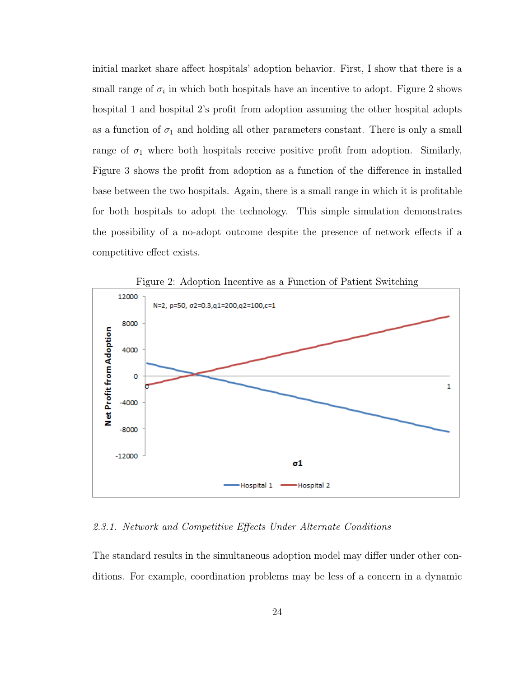initial market share affect hospitals' adoption behavior. First, I show that there is a small range of  $\sigma_i$  in which both hospitals have an incentive to adopt. Figure 2 shows hospital 1 and hospital 2's profit from adoption assuming the other hospital adopts as a function of  $\sigma_1$  and holding all other parameters constant. There is only a small range of  $\sigma_1$  where both hospitals receive positive profit from adoption. Similarly, Figure 3 shows the profit from adoption as a function of the difference in installed base between the two hospitals. Again, there is a small range in which it is profitable for both hospitals to adopt the technology. This simple simulation demonstrates the possibility of a no-adopt outcome despite the presence of network effects if a competitive effect exists.



2.3.1. Network and Competitive Effects Under Alternate Conditions

The standard results in the simultaneous adoption model may differ under other conditions. For example, coordination problems may be less of a concern in a dynamic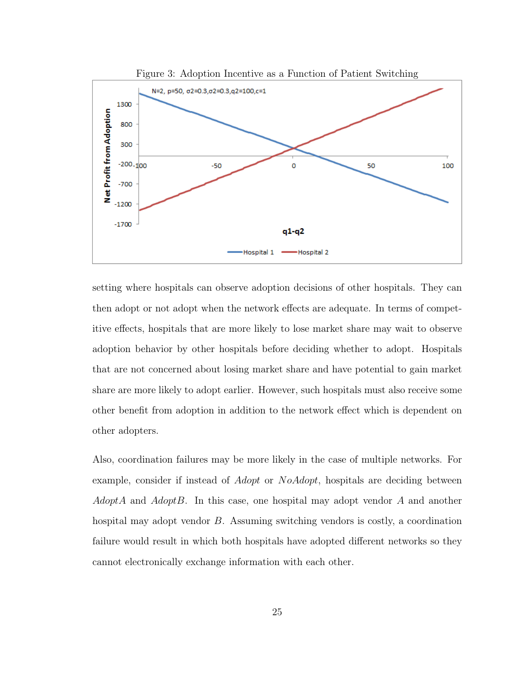

setting where hospitals can observe adoption decisions of other hospitals. They can then adopt or not adopt when the network effects are adequate. In terms of competitive effects, hospitals that are more likely to lose market share may wait to observe adoption behavior by other hospitals before deciding whether to adopt. Hospitals that are not concerned about losing market share and have potential to gain market share are more likely to adopt earlier. However, such hospitals must also receive some other benefit from adoption in addition to the network effect which is dependent on other adopters.

Also, coordination failures may be more likely in the case of multiple networks. For example, consider if instead of *Adopt* or *NoAdopt*, hospitals are deciding between  $AdoptA$  and  $AdoptB$ . In this case, one hospital may adopt vendor A and another hospital may adopt vendor B. Assuming switching vendors is costly, a coordination failure would result in which both hospitals have adopted different networks so they cannot electronically exchange information with each other.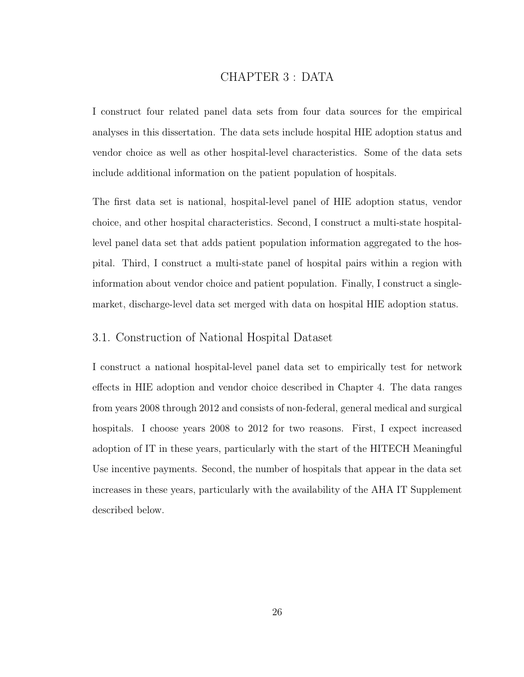# CHAPTER 3 : DATA

I construct four related panel data sets from four data sources for the empirical analyses in this dissertation. The data sets include hospital HIE adoption status and vendor choice as well as other hospital-level characteristics. Some of the data sets include additional information on the patient population of hospitals.

The first data set is national, hospital-level panel of HIE adoption status, vendor choice, and other hospital characteristics. Second, I construct a multi-state hospitallevel panel data set that adds patient population information aggregated to the hospital. Third, I construct a multi-state panel of hospital pairs within a region with information about vendor choice and patient population. Finally, I construct a singlemarket, discharge-level data set merged with data on hospital HIE adoption status.

# 3.1. Construction of National Hospital Dataset

I construct a national hospital-level panel data set to empirically test for network effects in HIE adoption and vendor choice described in Chapter 4. The data ranges from years 2008 through 2012 and consists of non-federal, general medical and surgical hospitals. I choose years 2008 to 2012 for two reasons. First, I expect increased adoption of IT in these years, particularly with the start of the HITECH Meaningful Use incentive payments. Second, the number of hospitals that appear in the data set increases in these years, particularly with the availability of the AHA IT Supplement described below.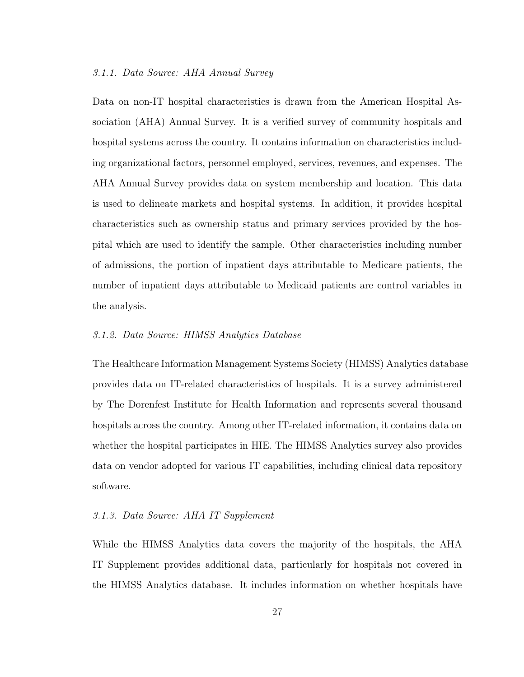### 3.1.1. Data Source: AHA Annual Survey

Data on non-IT hospital characteristics is drawn from the American Hospital Association (AHA) Annual Survey. It is a verified survey of community hospitals and hospital systems across the country. It contains information on characteristics including organizational factors, personnel employed, services, revenues, and expenses. The AHA Annual Survey provides data on system membership and location. This data is used to delineate markets and hospital systems. In addition, it provides hospital characteristics such as ownership status and primary services provided by the hospital which are used to identify the sample. Other characteristics including number of admissions, the portion of inpatient days attributable to Medicare patients, the number of inpatient days attributable to Medicaid patients are control variables in the analysis.

### 3.1.2. Data Source: HIMSS Analytics Database

The Healthcare Information Management Systems Society (HIMSS) Analytics database provides data on IT-related characteristics of hospitals. It is a survey administered by The Dorenfest Institute for Health Information and represents several thousand hospitals across the country. Among other IT-related information, it contains data on whether the hospital participates in HIE. The HIMSS Analytics survey also provides data on vendor adopted for various IT capabilities, including clinical data repository software.

## 3.1.3. Data Source: AHA IT Supplement

While the HIMSS Analytics data covers the majority of the hospitals, the AHA IT Supplement provides additional data, particularly for hospitals not covered in the HIMSS Analytics database. It includes information on whether hospitals have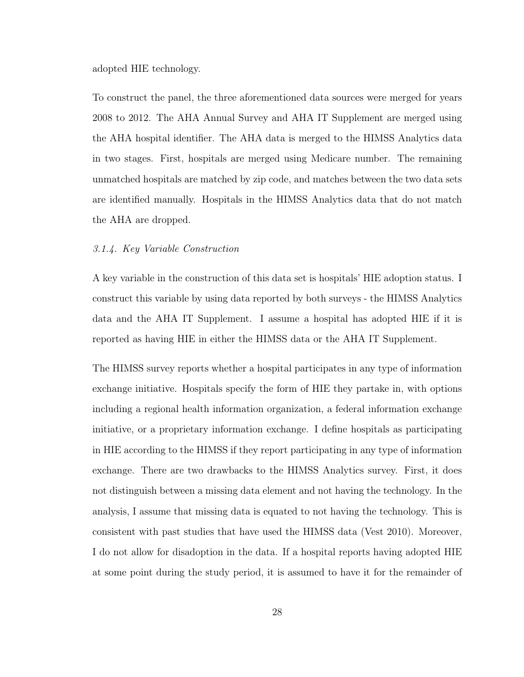adopted HIE technology.

To construct the panel, the three aforementioned data sources were merged for years 2008 to 2012. The AHA Annual Survey and AHA IT Supplement are merged using the AHA hospital identifier. The AHA data is merged to the HIMSS Analytics data in two stages. First, hospitals are merged using Medicare number. The remaining unmatched hospitals are matched by zip code, and matches between the two data sets are identified manually. Hospitals in the HIMSS Analytics data that do not match the AHA are dropped.

### 3.1.4. Key Variable Construction

A key variable in the construction of this data set is hospitals' HIE adoption status. I construct this variable by using data reported by both surveys - the HIMSS Analytics data and the AHA IT Supplement. I assume a hospital has adopted HIE if it is reported as having HIE in either the HIMSS data or the AHA IT Supplement.

The HIMSS survey reports whether a hospital participates in any type of information exchange initiative. Hospitals specify the form of HIE they partake in, with options including a regional health information organization, a federal information exchange initiative, or a proprietary information exchange. I define hospitals as participating in HIE according to the HIMSS if they report participating in any type of information exchange. There are two drawbacks to the HIMSS Analytics survey. First, it does not distinguish between a missing data element and not having the technology. In the analysis, I assume that missing data is equated to not having the technology. This is consistent with past studies that have used the HIMSS data (Vest 2010). Moreover, I do not allow for disadoption in the data. If a hospital reports having adopted HIE at some point during the study period, it is assumed to have it for the remainder of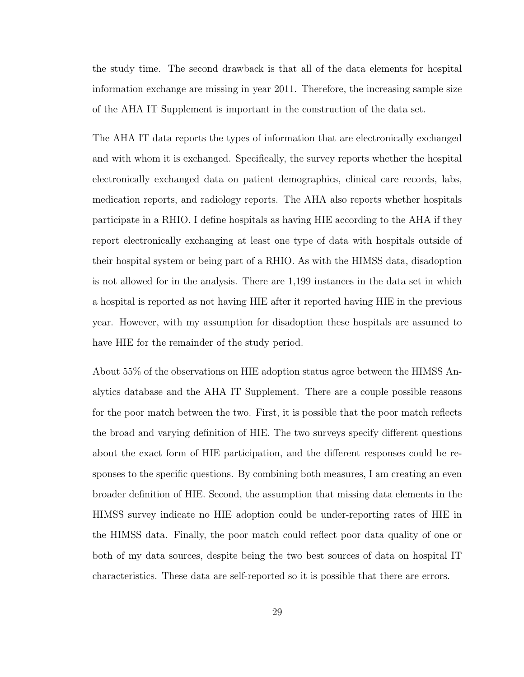the study time. The second drawback is that all of the data elements for hospital information exchange are missing in year 2011. Therefore, the increasing sample size of the AHA IT Supplement is important in the construction of the data set.

The AHA IT data reports the types of information that are electronically exchanged and with whom it is exchanged. Specifically, the survey reports whether the hospital electronically exchanged data on patient demographics, clinical care records, labs, medication reports, and radiology reports. The AHA also reports whether hospitals participate in a RHIO. I define hospitals as having HIE according to the AHA if they report electronically exchanging at least one type of data with hospitals outside of their hospital system or being part of a RHIO. As with the HIMSS data, disadoption is not allowed for in the analysis. There are 1,199 instances in the data set in which a hospital is reported as not having HIE after it reported having HIE in the previous year. However, with my assumption for disadoption these hospitals are assumed to have HIE for the remainder of the study period.

About 55% of the observations on HIE adoption status agree between the HIMSS Analytics database and the AHA IT Supplement. There are a couple possible reasons for the poor match between the two. First, it is possible that the poor match reflects the broad and varying definition of HIE. The two surveys specify different questions about the exact form of HIE participation, and the different responses could be responses to the specific questions. By combining both measures, I am creating an even broader definition of HIE. Second, the assumption that missing data elements in the HIMSS survey indicate no HIE adoption could be under-reporting rates of HIE in the HIMSS data. Finally, the poor match could reflect poor data quality of one or both of my data sources, despite being the two best sources of data on hospital IT characteristics. These data are self-reported so it is possible that there are errors.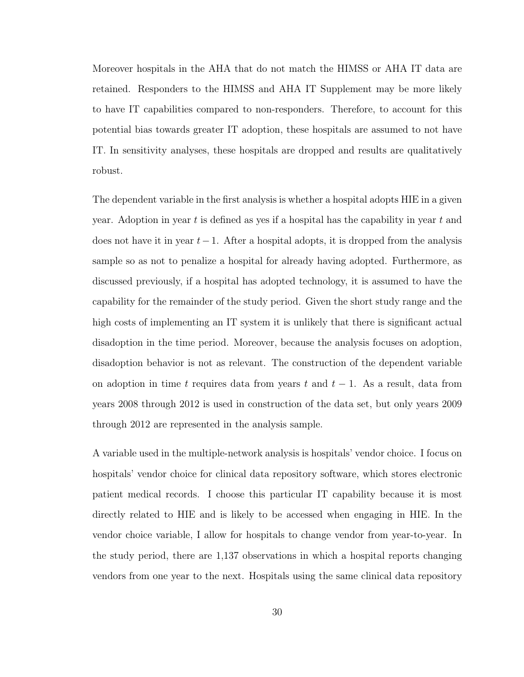Moreover hospitals in the AHA that do not match the HIMSS or AHA IT data are retained. Responders to the HIMSS and AHA IT Supplement may be more likely to have IT capabilities compared to non-responders. Therefore, to account for this potential bias towards greater IT adoption, these hospitals are assumed to not have IT. In sensitivity analyses, these hospitals are dropped and results are qualitatively robust.

The dependent variable in the first analysis is whether a hospital adopts HIE in a given year. Adoption in year  $t$  is defined as yes if a hospital has the capability in year  $t$  and does not have it in year  $t-1$ . After a hospital adopts, it is dropped from the analysis sample so as not to penalize a hospital for already having adopted. Furthermore, as discussed previously, if a hospital has adopted technology, it is assumed to have the capability for the remainder of the study period. Given the short study range and the high costs of implementing an IT system it is unlikely that there is significant actual disadoption in the time period. Moreover, because the analysis focuses on adoption, disadoption behavior is not as relevant. The construction of the dependent variable on adoption in time t requires data from years t and  $t-1$ . As a result, data from years 2008 through 2012 is used in construction of the data set, but only years 2009 through 2012 are represented in the analysis sample.

A variable used in the multiple-network analysis is hospitals' vendor choice. I focus on hospitals' vendor choice for clinical data repository software, which stores electronic patient medical records. I choose this particular IT capability because it is most directly related to HIE and is likely to be accessed when engaging in HIE. In the vendor choice variable, I allow for hospitals to change vendor from year-to-year. In the study period, there are 1,137 observations in which a hospital reports changing vendors from one year to the next. Hospitals using the same clinical data repository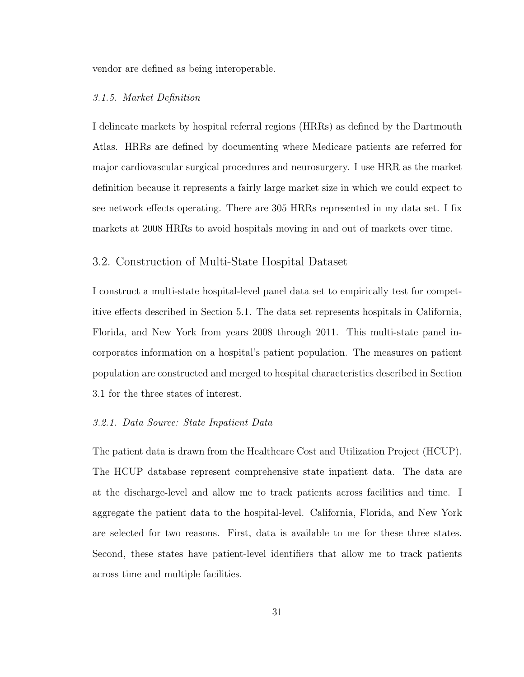vendor are defined as being interoperable.

#### 3.1.5. Market Definition

I delineate markets by hospital referral regions (HRRs) as defined by the Dartmouth Atlas. HRRs are defined by documenting where Medicare patients are referred for major cardiovascular surgical procedures and neurosurgery. I use HRR as the market definition because it represents a fairly large market size in which we could expect to see network effects operating. There are 305 HRRs represented in my data set. I fix markets at 2008 HRRs to avoid hospitals moving in and out of markets over time.

# 3.2. Construction of Multi-State Hospital Dataset

I construct a multi-state hospital-level panel data set to empirically test for competitive effects described in Section 5.1. The data set represents hospitals in California, Florida, and New York from years 2008 through 2011. This multi-state panel incorporates information on a hospital's patient population. The measures on patient population are constructed and merged to hospital characteristics described in Section 3.1 for the three states of interest.

### 3.2.1. Data Source: State Inpatient Data

The patient data is drawn from the Healthcare Cost and Utilization Project (HCUP). The HCUP database represent comprehensive state inpatient data. The data are at the discharge-level and allow me to track patients across facilities and time. I aggregate the patient data to the hospital-level. California, Florida, and New York are selected for two reasons. First, data is available to me for these three states. Second, these states have patient-level identifiers that allow me to track patients across time and multiple facilities.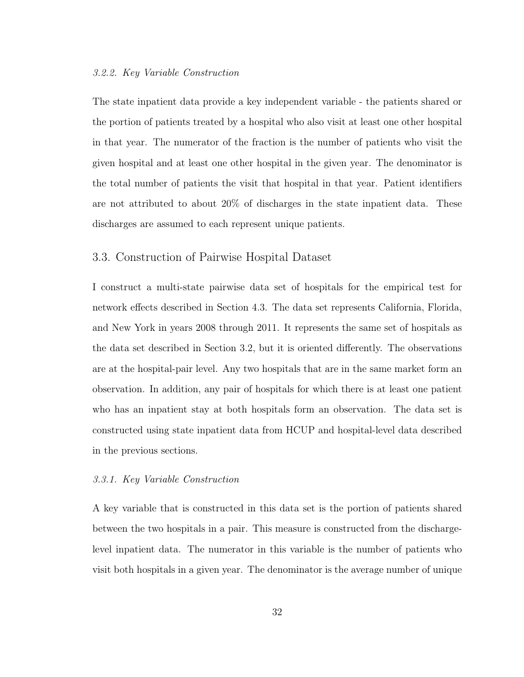### 3.2.2. Key Variable Construction

The state inpatient data provide a key independent variable - the patients shared or the portion of patients treated by a hospital who also visit at least one other hospital in that year. The numerator of the fraction is the number of patients who visit the given hospital and at least one other hospital in the given year. The denominator is the total number of patients the visit that hospital in that year. Patient identifiers are not attributed to about 20% of discharges in the state inpatient data. These discharges are assumed to each represent unique patients.

## 3.3. Construction of Pairwise Hospital Dataset

I construct a multi-state pairwise data set of hospitals for the empirical test for network effects described in Section 4.3. The data set represents California, Florida, and New York in years 2008 through 2011. It represents the same set of hospitals as the data set described in Section 3.2, but it is oriented differently. The observations are at the hospital-pair level. Any two hospitals that are in the same market form an observation. In addition, any pair of hospitals for which there is at least one patient who has an inpatient stay at both hospitals form an observation. The data set is constructed using state inpatient data from HCUP and hospital-level data described in the previous sections.

### 3.3.1. Key Variable Construction

A key variable that is constructed in this data set is the portion of patients shared between the two hospitals in a pair. This measure is constructed from the dischargelevel inpatient data. The numerator in this variable is the number of patients who visit both hospitals in a given year. The denominator is the average number of unique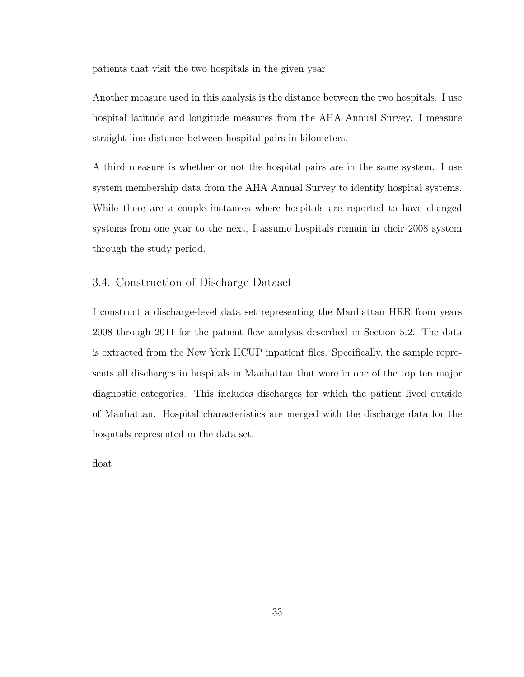patients that visit the two hospitals in the given year.

Another measure used in this analysis is the distance between the two hospitals. I use hospital latitude and longitude measures from the AHA Annual Survey. I measure straight-line distance between hospital pairs in kilometers.

A third measure is whether or not the hospital pairs are in the same system. I use system membership data from the AHA Annual Survey to identify hospital systems. While there are a couple instances where hospitals are reported to have changed systems from one year to the next, I assume hospitals remain in their 2008 system through the study period.

# 3.4. Construction of Discharge Dataset

I construct a discharge-level data set representing the Manhattan HRR from years 2008 through 2011 for the patient flow analysis described in Section 5.2. The data is extracted from the New York HCUP inpatient files. Specifically, the sample represents all discharges in hospitals in Manhattan that were in one of the top ten major diagnostic categories. This includes discharges for which the patient lived outside of Manhattan. Hospital characteristics are merged with the discharge data for the hospitals represented in the data set.

float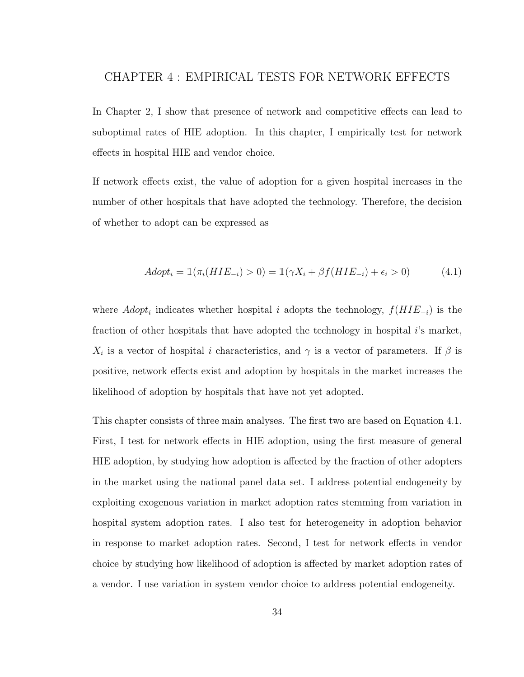# CHAPTER 4 : EMPIRICAL TESTS FOR NETWORK EFFECTS

In Chapter 2, I show that presence of network and competitive effects can lead to suboptimal rates of HIE adoption. In this chapter, I empirically test for network effects in hospital HIE and vendor choice.

If network effects exist, the value of adoption for a given hospital increases in the number of other hospitals that have adopted the technology. Therefore, the decision of whether to adopt can be expressed as

$$
Adopt_i = 1(\pi_i(HIE_{-i}) > 0) = 1(\gamma X_i + \beta f(HIE_{-i}) + \epsilon_i > 0)
$$
\n(4.1)

where  $Adopt_i$  indicates whether hospital i adopts the technology,  $f(HIE_{-i})$  is the fraction of other hospitals that have adopted the technology in hospital  $i$ 's market,  $X_i$  is a vector of hospital i characteristics, and  $\gamma$  is a vector of parameters. If  $\beta$  is positive, network effects exist and adoption by hospitals in the market increases the likelihood of adoption by hospitals that have not yet adopted.

This chapter consists of three main analyses. The first two are based on Equation 4.1. First, I test for network effects in HIE adoption, using the first measure of general HIE adoption, by studying how adoption is affected by the fraction of other adopters in the market using the national panel data set. I address potential endogeneity by exploiting exogenous variation in market adoption rates stemming from variation in hospital system adoption rates. I also test for heterogeneity in adoption behavior in response to market adoption rates. Second, I test for network effects in vendor choice by studying how likelihood of adoption is affected by market adoption rates of a vendor. I use variation in system vendor choice to address potential endogeneity.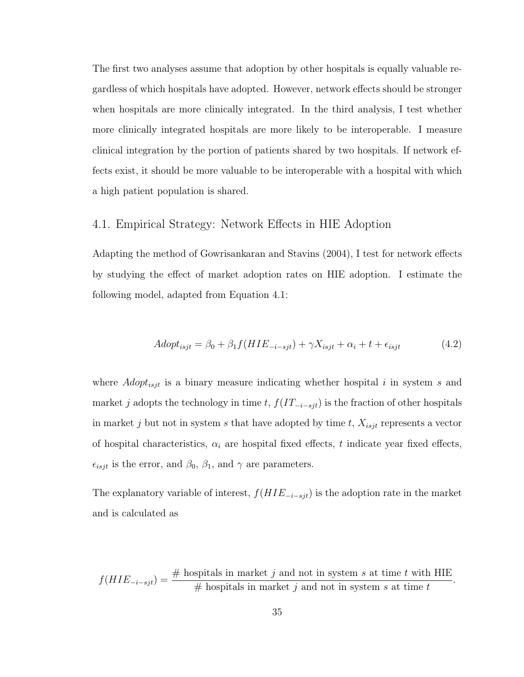The first two analyses assume that adoption by other hospitals is equally valuable regardless of which hospitals have adopted. However, network effects should be stronger when hospitals are more clinically integrated. In the third analysis, I test whether more clinically integrated hospitals are more likely to be interoperable. I measure clinical integration by the portion of patients shared by two hospitals. If network effects exist, it should be more valuable to be interoperable with a hospital with which a high patient population is shared.

## 4.1. Empirical Strategy: Network Effects in HIE Adoption

Adapting the method of Gowrisankaran and Stavins (2004), I test for network effects by studying the effect of market adoption rates on HIE adoption. I estimate the following model, adapted from Equation 4.1:

$$
Adopt_{isjt} = \beta_0 + \beta_1 f(HIE_{-i-sjt}) + \gamma X_{isjt} + \alpha_i + t + \epsilon_{isjt}
$$
\n
$$
(4.2)
$$

where  $Adopt_{isjt}$  is a binary measure indicating whether hospital i in system s and market j adopts the technology in time t,  $f(IT_{-i-sjt})$  is the fraction of other hospitals in market j but not in system s that have adopted by time t,  $X_{isjt}$  represents a vector of hospital characteristics,  $\alpha_i$  are hospital fixed effects, t indicate year fixed effects,  $\epsilon_{isjt}$  is the error, and  $\beta_0$ ,  $\beta_1$ , and  $\gamma$  are parameters.

The explanatory variable of interest,  $f(HIE_{-i-sjt})$  is the adoption rate in the market and is calculated as

$$
f(HIE_{-i-sjt}) = \frac{\text{# hospitals in market } j \text{ and not in system } s \text{ at time } t \text{ with HIE}}{\text{# hospitals in market } j \text{ and not in system } s \text{ at time } t}
$$

.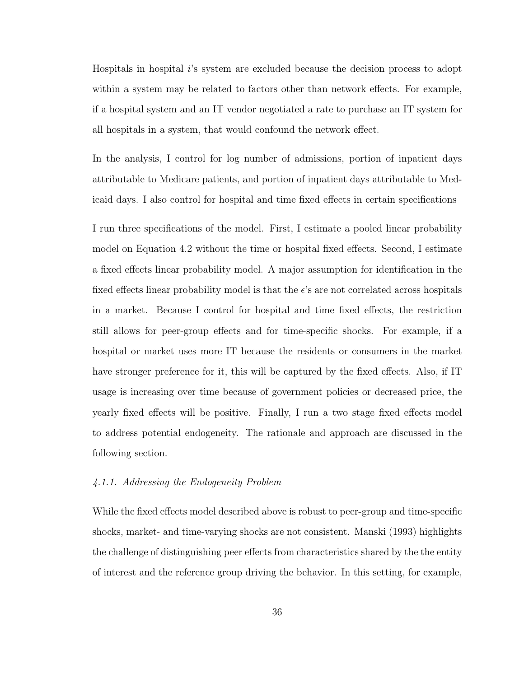Hospitals in hospital i's system are excluded because the decision process to adopt within a system may be related to factors other than network effects. For example, if a hospital system and an IT vendor negotiated a rate to purchase an IT system for all hospitals in a system, that would confound the network effect.

In the analysis, I control for log number of admissions, portion of inpatient days attributable to Medicare patients, and portion of inpatient days attributable to Medicaid days. I also control for hospital and time fixed effects in certain specifications

I run three specifications of the model. First, I estimate a pooled linear probability model on Equation 4.2 without the time or hospital fixed effects. Second, I estimate a fixed effects linear probability model. A major assumption for identification in the fixed effects linear probability model is that the  $\epsilon$ 's are not correlated across hospitals in a market. Because I control for hospital and time fixed effects, the restriction still allows for peer-group effects and for time-specific shocks. For example, if a hospital or market uses more IT because the residents or consumers in the market have stronger preference for it, this will be captured by the fixed effects. Also, if IT usage is increasing over time because of government policies or decreased price, the yearly fixed effects will be positive. Finally, I run a two stage fixed effects model to address potential endogeneity. The rationale and approach are discussed in the following section.

#### 4.1.1. Addressing the Endogeneity Problem

While the fixed effects model described above is robust to peer-group and time-specific shocks, market- and time-varying shocks are not consistent. Manski (1993) highlights the challenge of distinguishing peer effects from characteristics shared by the the entity of interest and the reference group driving the behavior. In this setting, for example,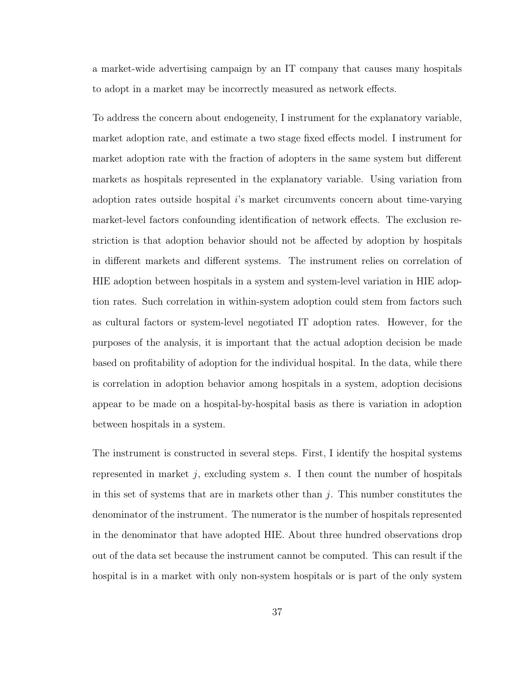a market-wide advertising campaign by an IT company that causes many hospitals to adopt in a market may be incorrectly measured as network effects.

To address the concern about endogeneity, I instrument for the explanatory variable, market adoption rate, and estimate a two stage fixed effects model. I instrument for market adoption rate with the fraction of adopters in the same system but different markets as hospitals represented in the explanatory variable. Using variation from adoption rates outside hospital i's market circumvents concern about time-varying market-level factors confounding identification of network effects. The exclusion restriction is that adoption behavior should not be affected by adoption by hospitals in different markets and different systems. The instrument relies on correlation of HIE adoption between hospitals in a system and system-level variation in HIE adoption rates. Such correlation in within-system adoption could stem from factors such as cultural factors or system-level negotiated IT adoption rates. However, for the purposes of the analysis, it is important that the actual adoption decision be made based on profitability of adoption for the individual hospital. In the data, while there is correlation in adoption behavior among hospitals in a system, adoption decisions appear to be made on a hospital-by-hospital basis as there is variation in adoption between hospitals in a system.

The instrument is constructed in several steps. First, I identify the hospital systems represented in market  $j$ , excluding system  $s$ . I then count the number of hospitals in this set of systems that are in markets other than  $j$ . This number constitutes the denominator of the instrument. The numerator is the number of hospitals represented in the denominator that have adopted HIE. About three hundred observations drop out of the data set because the instrument cannot be computed. This can result if the hospital is in a market with only non-system hospitals or is part of the only system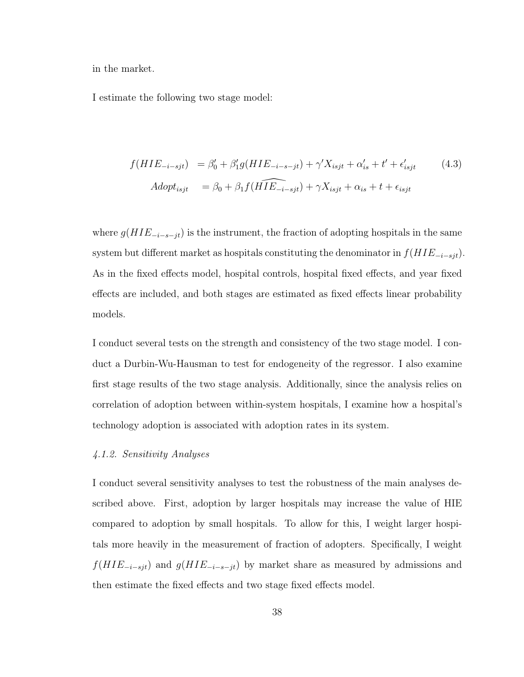in the market.

I estimate the following two stage model:

$$
f(HIE_{-i-sjt}) = \beta_0' + \beta_1' g(HIE_{-i-s-jt}) + \gamma' X_{isjt} + \alpha_{is}' + t' + \epsilon_{isjt}' \tag{4.3}
$$
  
Adopt<sub>isjt</sub> =  $\beta_0 + \beta_1 f(\widehat{HIE}_{-i-sjt}) + \gamma X_{isjt} + \alpha_{is} + t + \epsilon_{isjt}$ 

where  $g(HIE_{-i-s-jt})$  is the instrument, the fraction of adopting hospitals in the same system but different market as hospitals constituting the denominator in  $f(HIE_{-i-sjt})$ . As in the fixed effects model, hospital controls, hospital fixed effects, and year fixed effects are included, and both stages are estimated as fixed effects linear probability models.

I conduct several tests on the strength and consistency of the two stage model. I conduct a Durbin-Wu-Hausman to test for endogeneity of the regressor. I also examine first stage results of the two stage analysis. Additionally, since the analysis relies on correlation of adoption between within-system hospitals, I examine how a hospital's technology adoption is associated with adoption rates in its system.

#### 4.1.2. Sensitivity Analyses

I conduct several sensitivity analyses to test the robustness of the main analyses described above. First, adoption by larger hospitals may increase the value of HIE compared to adoption by small hospitals. To allow for this, I weight larger hospitals more heavily in the measurement of fraction of adopters. Specifically, I weight  $f(HIE_{-i-sjt})$  and  $g(HIE_{-i-s-jt})$  by market share as measured by admissions and then estimate the fixed effects and two stage fixed effects model.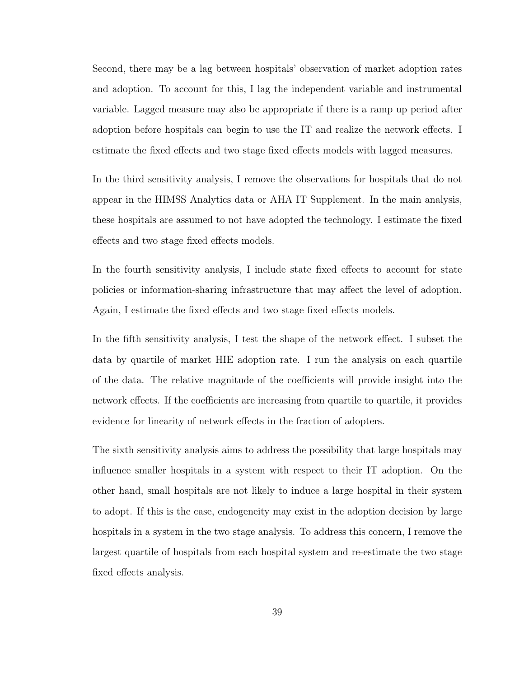Second, there may be a lag between hospitals' observation of market adoption rates and adoption. To account for this, I lag the independent variable and instrumental variable. Lagged measure may also be appropriate if there is a ramp up period after adoption before hospitals can begin to use the IT and realize the network effects. I estimate the fixed effects and two stage fixed effects models with lagged measures.

In the third sensitivity analysis, I remove the observations for hospitals that do not appear in the HIMSS Analytics data or AHA IT Supplement. In the main analysis, these hospitals are assumed to not have adopted the technology. I estimate the fixed effects and two stage fixed effects models.

In the fourth sensitivity analysis, I include state fixed effects to account for state policies or information-sharing infrastructure that may affect the level of adoption. Again, I estimate the fixed effects and two stage fixed effects models.

In the fifth sensitivity analysis, I test the shape of the network effect. I subset the data by quartile of market HIE adoption rate. I run the analysis on each quartile of the data. The relative magnitude of the coefficients will provide insight into the network effects. If the coefficients are increasing from quartile to quartile, it provides evidence for linearity of network effects in the fraction of adopters.

The sixth sensitivity analysis aims to address the possibility that large hospitals may influence smaller hospitals in a system with respect to their IT adoption. On the other hand, small hospitals are not likely to induce a large hospital in their system to adopt. If this is the case, endogeneity may exist in the adoption decision by large hospitals in a system in the two stage analysis. To address this concern, I remove the largest quartile of hospitals from each hospital system and re-estimate the two stage fixed effects analysis.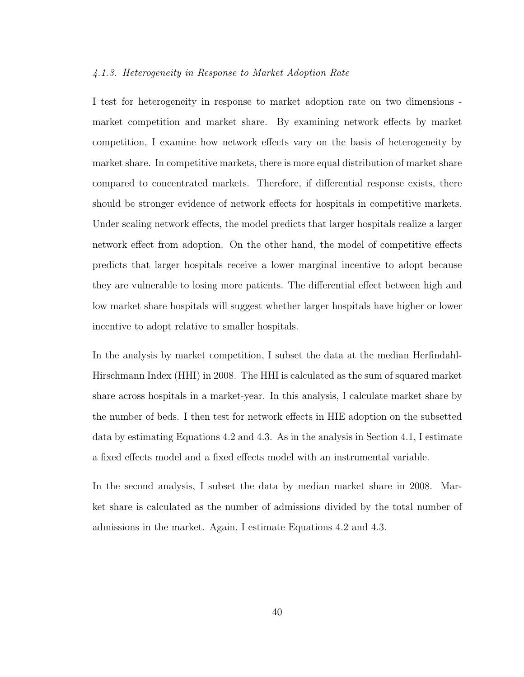#### 4.1.3. Heterogeneity in Response to Market Adoption Rate

I test for heterogeneity in response to market adoption rate on two dimensions market competition and market share. By examining network effects by market competition, I examine how network effects vary on the basis of heterogeneity by market share. In competitive markets, there is more equal distribution of market share compared to concentrated markets. Therefore, if differential response exists, there should be stronger evidence of network effects for hospitals in competitive markets. Under scaling network effects, the model predicts that larger hospitals realize a larger network effect from adoption. On the other hand, the model of competitive effects predicts that larger hospitals receive a lower marginal incentive to adopt because they are vulnerable to losing more patients. The differential effect between high and low market share hospitals will suggest whether larger hospitals have higher or lower incentive to adopt relative to smaller hospitals.

In the analysis by market competition, I subset the data at the median Herfindahl-Hirschmann Index (HHI) in 2008. The HHI is calculated as the sum of squared market share across hospitals in a market-year. In this analysis, I calculate market share by the number of beds. I then test for network effects in HIE adoption on the subsetted data by estimating Equations 4.2 and 4.3. As in the analysis in Section 4.1, I estimate a fixed effects model and a fixed effects model with an instrumental variable.

In the second analysis, I subset the data by median market share in 2008. Market share is calculated as the number of admissions divided by the total number of admissions in the market. Again, I estimate Equations 4.2 and 4.3.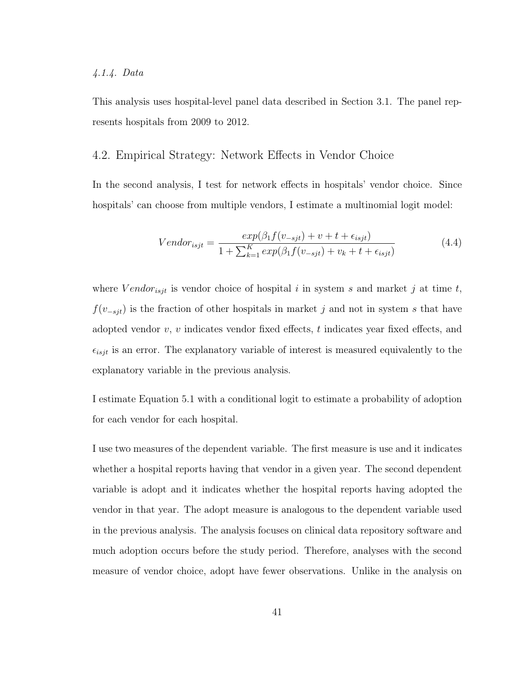### 4.1.4. Data

This analysis uses hospital-level panel data described in Section 3.1. The panel represents hospitals from 2009 to 2012.

# 4.2. Empirical Strategy: Network Effects in Vendor Choice

In the second analysis, I test for network effects in hospitals' vendor choice. Since hospitals' can choose from multiple vendors, I estimate a multinomial logit model:

$$
Vendor_{isjt} = \frac{exp(\beta_1 f(v_{-sjt}) + v + t + \epsilon_{isjt})}{1 + \sum_{k=1}^{K} exp(\beta_1 f(v_{-sjt}) + v_k + t + \epsilon_{isjt})}
$$
(4.4)

where  $Vendor_{isjt}$  is vendor choice of hospital i in system s and market j at time t,  $f(v_{-sjt})$  is the fraction of other hospitals in market j and not in system s that have adopted vendor  $v, v$  indicates vendor fixed effects, t indicates year fixed effects, and  $\epsilon_{isjt}$  is an error. The explanatory variable of interest is measured equivalently to the explanatory variable in the previous analysis.

I estimate Equation 5.1 with a conditional logit to estimate a probability of adoption for each vendor for each hospital.

I use two measures of the dependent variable. The first measure is use and it indicates whether a hospital reports having that vendor in a given year. The second dependent variable is adopt and it indicates whether the hospital reports having adopted the vendor in that year. The adopt measure is analogous to the dependent variable used in the previous analysis. The analysis focuses on clinical data repository software and much adoption occurs before the study period. Therefore, analyses with the second measure of vendor choice, adopt have fewer observations. Unlike in the analysis on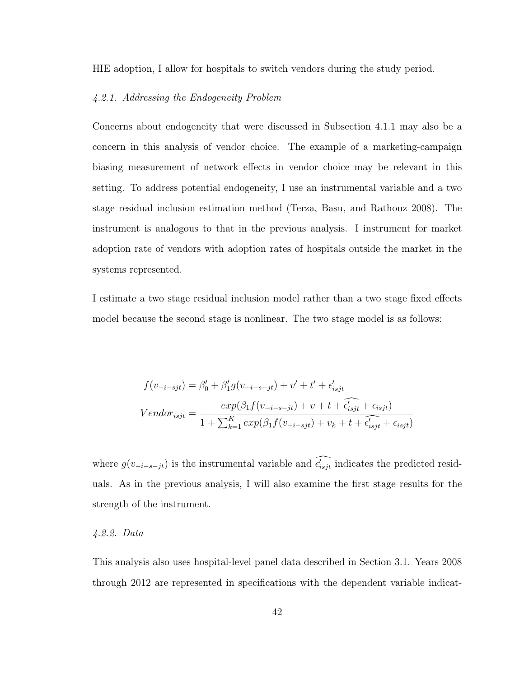HIE adoption, I allow for hospitals to switch vendors during the study period.

# 4.2.1. Addressing the Endogeneity Problem

Concerns about endogeneity that were discussed in Subsection 4.1.1 may also be a concern in this analysis of vendor choice. The example of a marketing-campaign biasing measurement of network effects in vendor choice may be relevant in this setting. To address potential endogeneity, I use an instrumental variable and a two stage residual inclusion estimation method (Terza, Basu, and Rathouz 2008). The instrument is analogous to that in the previous analysis. I instrument for market adoption rate of vendors with adoption rates of hospitals outside the market in the systems represented.

I estimate a two stage residual inclusion model rather than a two stage fixed effects model because the second stage is nonlinear. The two stage model is as follows:

$$
f(v_{-i-sjt}) = \beta'_0 + \beta'_1 g(v_{-i-s-jt}) + v' + t' + \epsilon'_{isjt}
$$

$$
Vendor_{isjt} = \frac{exp(\beta_1 f(v_{-i-s-jt}) + v + t + \widehat{\epsilon'_{isjt}} + \epsilon_{isjt})}{1 + \sum_{k=1}^K exp(\beta_1 f(v_{-i-sjt}) + v_k + t + \widehat{\epsilon'_{isjt}} + \epsilon_{isjt})}
$$

where  $g(v_{-i-s-jt})$  is the instrumental variable and  $\epsilon'_{isjt}$  indicates the predicted residuals. As in the previous analysis, I will also examine the first stage results for the strength of the instrument.

### 4.2.2. Data

This analysis also uses hospital-level panel data described in Section 3.1. Years 2008 through 2012 are represented in specifications with the dependent variable indicat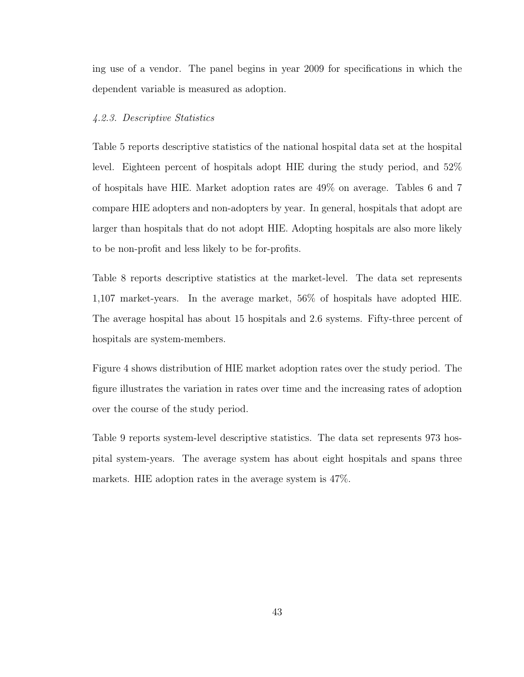ing use of a vendor. The panel begins in year 2009 for specifications in which the dependent variable is measured as adoption.

### 4.2.3. Descriptive Statistics

Table 5 reports descriptive statistics of the national hospital data set at the hospital level. Eighteen percent of hospitals adopt HIE during the study period, and 52% of hospitals have HIE. Market adoption rates are 49% on average. Tables 6 and 7 compare HIE adopters and non-adopters by year. In general, hospitals that adopt are larger than hospitals that do not adopt HIE. Adopting hospitals are also more likely to be non-profit and less likely to be for-profits.

Table 8 reports descriptive statistics at the market-level. The data set represents 1,107 market-years. In the average market, 56% of hospitals have adopted HIE. The average hospital has about 15 hospitals and 2.6 systems. Fifty-three percent of hospitals are system-members.

Figure 4 shows distribution of HIE market adoption rates over the study period. The figure illustrates the variation in rates over time and the increasing rates of adoption over the course of the study period.

Table 9 reports system-level descriptive statistics. The data set represents 973 hospital system-years. The average system has about eight hospitals and spans three markets. HIE adoption rates in the average system is 47%.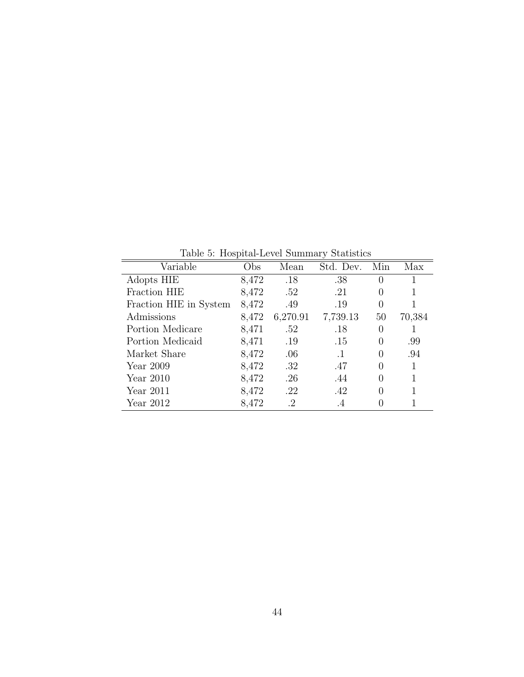Table 5: Hospital-Level Summary Statistics

| Variable               | Obs   | Mean     | Std. Dev. | Min              | Max    |
|------------------------|-------|----------|-----------|------------------|--------|
| Adopts HIE             | 8,472 | .18      | .38       | $\left( \right)$ |        |
| Fraction HIE           | 8,472 | .52      | .21       | 0                |        |
| Fraction HIE in System | 8,472 | .49      | .19       | 0                |        |
| Admissions             | 8,472 | 6,270.91 | 7,739.13  | 50               | 70,384 |
| Portion Medicare       | 8,471 | .52      | .18       | 0                | 1      |
| Portion Medicaid       | 8,471 | .19      | .15       | 0                | .99    |
| Market Share           | 8,472 | .06      | $\cdot$ 1 | $\left( \right)$ | .94    |
| Year 2009              | 8,472 | .32      | .47       | 0                | 1      |
| Year $2010$            | 8,472 | .26      | .44       | 0                | 1      |
| Year $2011$            | 8,472 | .22      | .42       | 0                | 1      |
| Year $2012$            | 8,472 | .2       | $\cdot$ 4 |                  |        |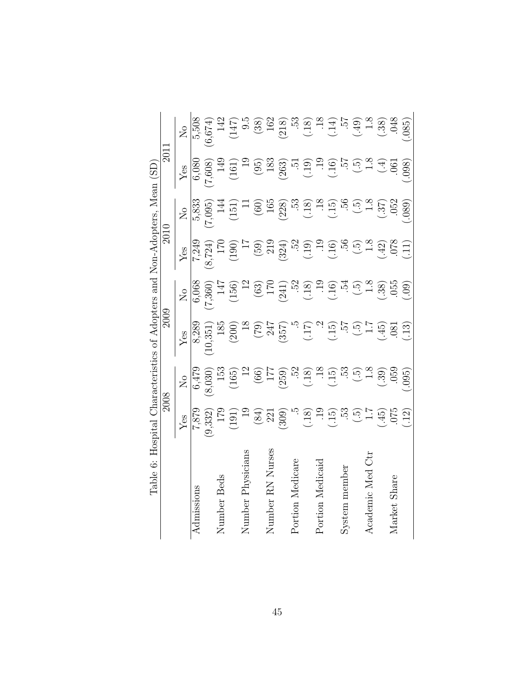| Table 6:             | Hospital                                                          |                                                                                    | Characteristics of Adopters and Non-Adopters, Mean (SD)                                                                           |                                                                                          |                                                                                                  |                                                     |                                                                                                                                                                                                                                                                                                                              |                                                                                                                        |
|----------------------|-------------------------------------------------------------------|------------------------------------------------------------------------------------|-----------------------------------------------------------------------------------------------------------------------------------|------------------------------------------------------------------------------------------|--------------------------------------------------------------------------------------------------|-----------------------------------------------------|------------------------------------------------------------------------------------------------------------------------------------------------------------------------------------------------------------------------------------------------------------------------------------------------------------------------------|------------------------------------------------------------------------------------------------------------------------|
|                      | 2008                                                              |                                                                                    | <b>2009</b>                                                                                                                       |                                                                                          | 2010                                                                                             |                                                     | 201                                                                                                                                                                                                                                                                                                                          |                                                                                                                        |
|                      | ${\rm Yes}$                                                       | $\mathcal{L}_{\mathsf{O}}$                                                         | ${\rm Yes}$                                                                                                                       | $\overline{R}$                                                                           | Yes                                                                                              | $\overline{S}$                                      | ${\rm Yes}$                                                                                                                                                                                                                                                                                                                  | $\overline{N}$                                                                                                         |
| Admissions           |                                                                   |                                                                                    |                                                                                                                                   |                                                                                          |                                                                                                  | 5,833                                               |                                                                                                                                                                                                                                                                                                                              | $\frac{5}{6}$ , 674)                                                                                                   |
|                      | (9,332)                                                           |                                                                                    |                                                                                                                                   |                                                                                          |                                                                                                  | (7,095)                                             | $\frac{6,080}{7,608}$                                                                                                                                                                                                                                                                                                        |                                                                                                                        |
| Number Beds          |                                                                   |                                                                                    |                                                                                                                                   |                                                                                          |                                                                                                  | 14                                                  | 149                                                                                                                                                                                                                                                                                                                          |                                                                                                                        |
|                      | $^{175}_{171}$                                                    | $\begin{array}{c} 6,479 \\ (8,030) \\ 153 \\ (165) \end{array}$                    |                                                                                                                                   |                                                                                          | $7,249$<br>(8,724)<br>170<br>170<br>190)                                                         | $(151)$                                             | (161)                                                                                                                                                                                                                                                                                                                        | $\frac{142}{(147)}$<br>$\frac{9.5}{9.5}$<br>$\frac{38}{162}$                                                           |
| Physicians<br>Number |                                                                   |                                                                                    |                                                                                                                                   |                                                                                          |                                                                                                  |                                                     |                                                                                                                                                                                                                                                                                                                              |                                                                                                                        |
|                      | $(84)$<br>$221$<br>$(309)$                                        |                                                                                    |                                                                                                                                   |                                                                                          |                                                                                                  | $(60)$<br>165<br>(228)                              |                                                                                                                                                                                                                                                                                                                              |                                                                                                                        |
| Number RN Nurses     |                                                                   |                                                                                    |                                                                                                                                   |                                                                                          |                                                                                                  |                                                     |                                                                                                                                                                                                                                                                                                                              |                                                                                                                        |
|                      |                                                                   |                                                                                    |                                                                                                                                   |                                                                                          |                                                                                                  |                                                     |                                                                                                                                                                                                                                                                                                                              | $(218)$                                                                                                                |
| Portion Medicare     |                                                                   |                                                                                    |                                                                                                                                   |                                                                                          |                                                                                                  |                                                     |                                                                                                                                                                                                                                                                                                                              |                                                                                                                        |
|                      |                                                                   |                                                                                    |                                                                                                                                   |                                                                                          |                                                                                                  |                                                     |                                                                                                                                                                                                                                                                                                                              |                                                                                                                        |
| Portion Medicaid     |                                                                   |                                                                                    |                                                                                                                                   |                                                                                          |                                                                                                  |                                                     |                                                                                                                                                                                                                                                                                                                              |                                                                                                                        |
|                      | $\begin{array}{c} 5.53 \\ -0.53 \\ -0.53 \\ -0.53 \\ \end{array}$ | $(66)$<br>$177$<br>$(259)$<br>$32$<br>$32$<br>$39$<br>$35$<br>$35$<br>$35$<br>$35$ | $\begin{array}{c} 8,289 \\ (10,351) \\ (200) \\ (350) \\ (351) \\ (351) \\ (357) \\ (357) \\ (15) \\ (15) \\ (15) \\ \end{array}$ | 6,068<br>(7,360)<br>147<br>(156)<br>120<br>120<br>120<br>130<br>140<br>150<br>154<br>154 | $(59)$<br>$219$<br>$234$<br>$324$<br>$324$<br>$329$<br>$329$<br>$329$<br>$359$<br>$359$<br>$359$ | $\begin{array}{c} .53 \\ .18 \\ .15 \end{array}$    | $\begin{array}{c} (95) \\[-4pt] 263) \\[-4pt] 263) \\[-4pt] 263) \\[-4pt] 263) \\[-4pt] 263) \\[-4pt] 263) \\[-4pt] 263) \\[-4pt] 263) \\[-4pt] 263) \\[-4pt] 263) \\[-4pt] 263) \\[-4pt] 263) \\[-4pt] 263) \\[-4pt] 263) \\[-4pt] 263) \\[-4pt] 263) \\[-4pt] 263) \\[-4pt] 263) \\[-4pt] 263) \\[-4pt] 263) \\[-4pt] 263$ | $380.38$<br>$3.57$<br>$3.57$<br>$3.57$<br>$3.57$<br>$3.57$<br>$3.57$<br>$3.57$<br>$3.57$<br>$3.57$<br>$3.57$<br>$3.57$ |
| System member        |                                                                   |                                                                                    |                                                                                                                                   |                                                                                          |                                                                                                  |                                                     |                                                                                                                                                                                                                                                                                                                              |                                                                                                                        |
|                      | $\frac{17}{17}$                                                   | $\widetilde{\mathbb{G}}$ )                                                         | $\frac{1}{2}$                                                                                                                     | $\left(\begin{matrix} .5 \\ .3 \end{matrix}\right)$                                      | $\begin{array}{c} \boxed{.5} \\ 1.8 \end{array}$                                                 | $\left(\begin{matrix} .5 \\ .3 \end{matrix}\right)$ |                                                                                                                                                                                                                                                                                                                              |                                                                                                                        |
| Jir<br>Academic Med  |                                                                   |                                                                                    |                                                                                                                                   |                                                                                          |                                                                                                  |                                                     |                                                                                                                                                                                                                                                                                                                              |                                                                                                                        |
|                      | $\frac{320}{10}$                                                  | $(.39)$<br>$.055$                                                                  | $(45)$<br>$(36)$                                                                                                                  | $\frac{38}{05}$                                                                          | $(42)$<br>078                                                                                    | (.37)                                               | $\widetilde{A}$                                                                                                                                                                                                                                                                                                              |                                                                                                                        |
| Market Share         |                                                                   |                                                                                    |                                                                                                                                   |                                                                                          |                                                                                                  |                                                     | $.06^{\text{-}}$                                                                                                                                                                                                                                                                                                             |                                                                                                                        |
|                      | $\overline{.12}$                                                  | (095)                                                                              | $\left( \frac{3}{2} \right)$                                                                                                      | $\overline{.09}$                                                                         | $\Xi$                                                                                            | (089)                                               | (98)                                                                                                                                                                                                                                                                                                                         | .085                                                                                                                   |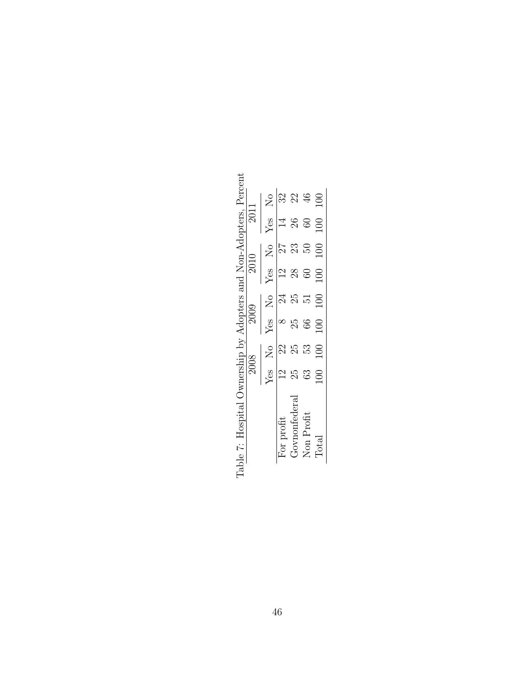| Table 7: Hospital Ownership by Adopters and Non-Adopters, Percent |                |                  |    |                                                                                       |                   |                     |                 |                                                                    |
|-------------------------------------------------------------------|----------------|------------------|----|---------------------------------------------------------------------------------------|-------------------|---------------------|-----------------|--------------------------------------------------------------------|
|                                                                   |                | 2008             |    |                                                                                       | $\overline{2010}$ |                     | 2011            |                                                                    |
|                                                                   |                | Yes No           |    | $Yes$ No                                                                              |                   | $\frac{Yes}{No}$ No |                 | $Yes$ No                                                           |
| or profit                                                         |                | $23$             |    |                                                                                       | $\frac{2}{3}$     | $\overline{27}$     | $\overline{14}$ | 32                                                                 |
| Fovnonfedera                                                      | 25             |                  | 25 |                                                                                       | 28                | 23                  | 26              | 22                                                                 |
| $\rm{Non}$ Profit                                                 | $\mathbb{S}^3$ |                  |    | $\begin{array}{ccc} & 8 & 24 \\ 25 & 25 & \\ 66 & 51 & \\ 100 & 100 & \\ \end{array}$ | $\overline{60}$   | $\frac{50}{2}$      |                 |                                                                    |
| $\mbox{Total}$                                                    | $\overline{0}$ | $\frac{53}{100}$ |    |                                                                                       | 100               | 100                 |                 | $\begin{array}{cc}\n 60 & 46 \\  \hline\n 100 & 100\n \end{array}$ |

 $\overline{\text{F}}$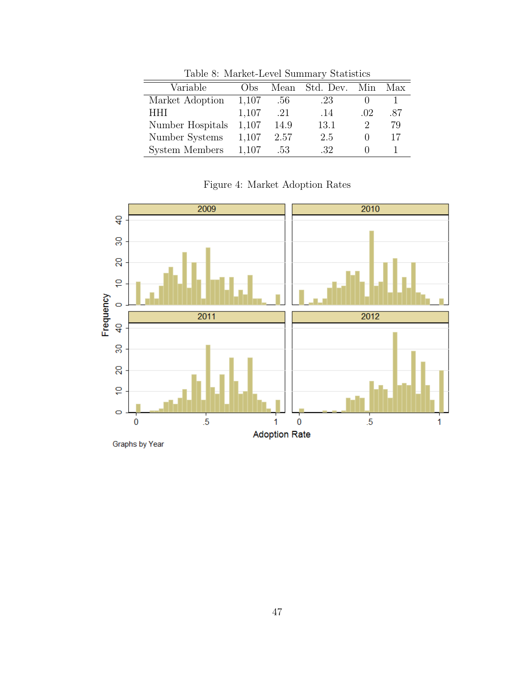| $10000$ $\sigma$ . Married Hover Duminical, Decembered |      |           |     |     |  |
|--------------------------------------------------------|------|-----------|-----|-----|--|
| $_{\rm obs}$                                           | Mean | Std. Dev. | Min | Max |  |
| 1,107                                                  | .56  | .23       |     |     |  |
| 1,107                                                  | .21  | .14       | .02 | .87 |  |
| 1,107                                                  | 14.9 | 13.1      | 2   | 79  |  |
| 1,107                                                  | 2.57 | 2.5       |     | 17  |  |
| 1,107                                                  | .53  | .32       |     |     |  |
|                                                        |      |           |     |     |  |

Table 8: Market-Level Summary Statistics

Figure 4: Market Adoption Rates

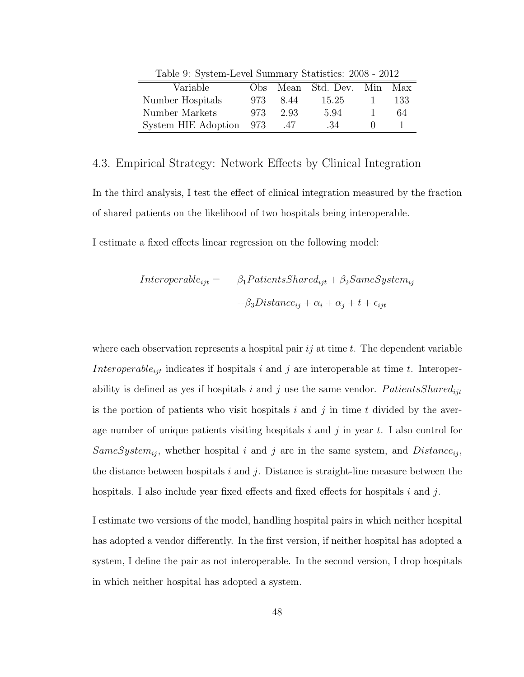| Table 9. Dybicht Level Dummary Diamones. 2000 2012 |     |      |                            |      |
|----------------------------------------------------|-----|------|----------------------------|------|
| Variable                                           |     |      | Obs Mean Std. Dev. Min Max |      |
| Number Hospitals                                   | 973 | 8.44 | 15.25                      | -133 |
| Number Markets                                     | 973 | 2.93 | 5.94                       | 64   |
| System HIE Adoption 973                            |     | .47  | -34                        |      |

Table 9: System-Level Summary Statistics: 2008 - 2012

### 4.3. Empirical Strategy: Network Effects by Clinical Integration

In the third analysis, I test the effect of clinical integration measured by the fraction of shared patients on the likelihood of two hospitals being interoperable.

I estimate a fixed effects linear regression on the following model:

Interoperable<sub>ijt</sub> = 
$$
\beta_1
$$
 PatientsShared<sub>ijt</sub> +  $\beta_2$ SameSystem<sub>ij</sub>  
+ $\beta_3$ Distance<sub>ij</sub> +  $\alpha_i$  +  $\alpha_j$  + t +  $\epsilon_{ijt}$ 

where each observation represents a hospital pair  $ij$  at time t. The dependent variable Interoperable<sub>ijt</sub> indicates if hospitals i and j are interoperable at time t. Interoperability is defined as yes if hospitals i and j use the same vendor.  $Patients Shared_{ijt}$ is the portion of patients who visit hospitals i and j in time t divided by the average number of unique patients visiting hospitals  $i$  and  $j$  in year  $t$ . I also control for SameSystem<sub>ij</sub>, whether hospital i and j are in the same system, and  $Distance_{ij}$ , the distance between hospitals  $i$  and  $j$ . Distance is straight-line measure between the hospitals. I also include year fixed effects and fixed effects for hospitals i and j.

I estimate two versions of the model, handling hospital pairs in which neither hospital has adopted a vendor differently. In the first version, if neither hospital has adopted a system, I define the pair as not interoperable. In the second version, I drop hospitals in which neither hospital has adopted a system.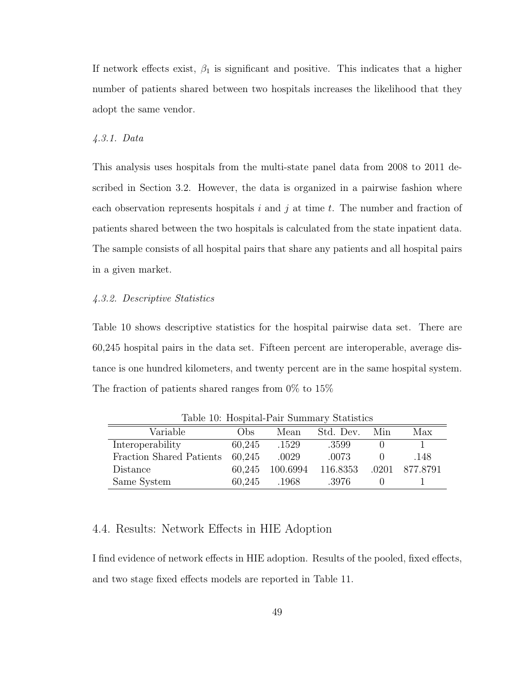If network effects exist,  $\beta_1$  is significant and positive. This indicates that a higher number of patients shared between two hospitals increases the likelihood that they adopt the same vendor.

### 4.3.1. Data

This analysis uses hospitals from the multi-state panel data from 2008 to 2011 described in Section 3.2. However, the data is organized in a pairwise fashion where each observation represents hospitals i and j at time t. The number and fraction of patients shared between the two hospitals is calculated from the state inpatient data. The sample consists of all hospital pairs that share any patients and all hospital pairs in a given market.

### 4.3.2. Descriptive Statistics

Table 10 shows descriptive statistics for the hospital pairwise data set. There are 60,245 hospital pairs in the data set. Fifteen percent are interoperable, average distance is one hundred kilometers, and twenty percent are in the same hospital system. The fraction of patients shared ranges from 0% to 15%

|                          |        |          | Table 10. Hoppital I all Dallillary Diamonds |       |          |
|--------------------------|--------|----------|----------------------------------------------|-------|----------|
| Variable                 | Obs.   | Mean     | Std. Dev.                                    | Min   | Max      |
| Interoperability         | 60,245 | .1529    | .3599                                        |       |          |
| Fraction Shared Patients | 60.245 | .0029    | .0073                                        |       | .148     |
| Distance                 | 60.245 | 100.6994 | 116.8353                                     | .0201 | 877.8791 |
| Same System              | 60,245 | .1968    | .3976                                        |       |          |

Table 10: Hospital-Pair Summary Statistics

# 4.4. Results: Network Effects in HIE Adoption

I find evidence of network effects in HIE adoption. Results of the pooled, fixed effects, and two stage fixed effects models are reported in Table 11.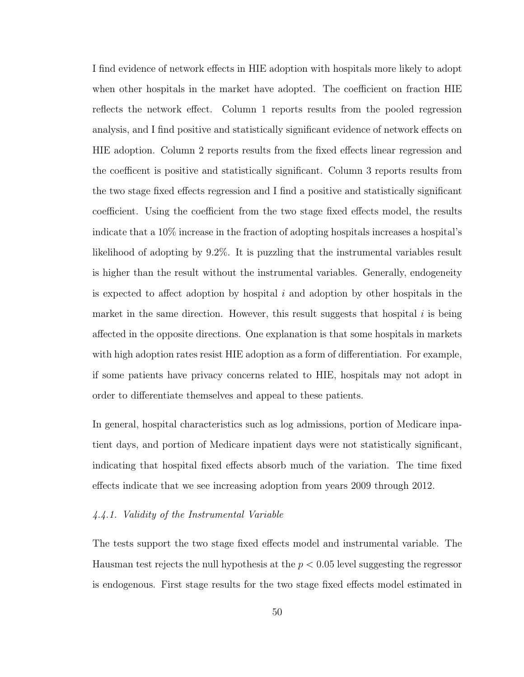I find evidence of network effects in HIE adoption with hospitals more likely to adopt when other hospitals in the market have adopted. The coefficient on fraction HIE reflects the network effect. Column 1 reports results from the pooled regression analysis, and I find positive and statistically significant evidence of network effects on HIE adoption. Column 2 reports results from the fixed effects linear regression and the coefficent is positive and statistically significant. Column 3 reports results from the two stage fixed effects regression and I find a positive and statistically significant coefficient. Using the coefficient from the two stage fixed effects model, the results indicate that a 10% increase in the fraction of adopting hospitals increases a hospital's likelihood of adopting by 9.2%. It is puzzling that the instrumental variables result is higher than the result without the instrumental variables. Generally, endogeneity is expected to affect adoption by hospital  $i$  and adoption by other hospitals in the market in the same direction. However, this result suggests that hospital  $i$  is being affected in the opposite directions. One explanation is that some hospitals in markets with high adoption rates resist HIE adoption as a form of differentiation. For example, if some patients have privacy concerns related to HIE, hospitals may not adopt in order to differentiate themselves and appeal to these patients.

In general, hospital characteristics such as log admissions, portion of Medicare inpatient days, and portion of Medicare inpatient days were not statistically significant, indicating that hospital fixed effects absorb much of the variation. The time fixed effects indicate that we see increasing adoption from years 2009 through 2012.

### 4.4.1. Validity of the Instrumental Variable

The tests support the two stage fixed effects model and instrumental variable. The Hausman test rejects the null hypothesis at the  $p < 0.05$  level suggesting the regressor is endogenous. First stage results for the two stage fixed effects model estimated in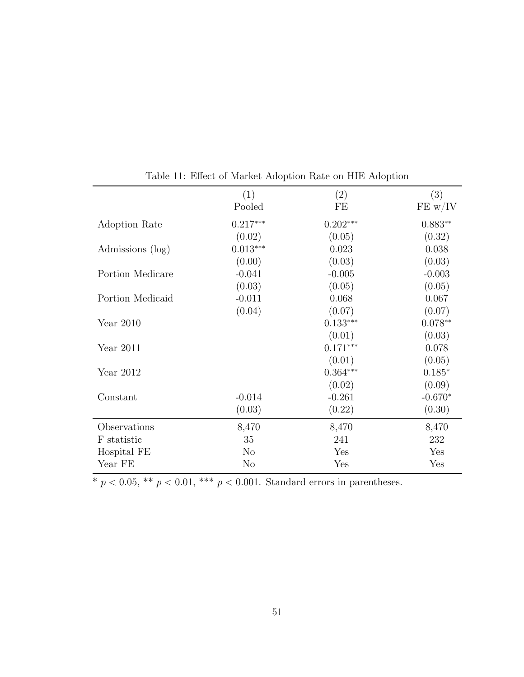|                  | (1)            | (2)        | (3)       |
|------------------|----------------|------------|-----------|
|                  | Pooled         | FE         | FE w/IV   |
| Adoption Rate    | $0.217***$     | $0.202***$ | $0.883**$ |
|                  | (0.02)         | (0.05)     | (0.32)    |
| Admissions (log) | $0.013***$     | 0.023      | 0.038     |
|                  | (0.00)         | (0.03)     | (0.03)    |
| Portion Medicare | $-0.041$       | $-0.005$   | $-0.003$  |
|                  | (0.03)         | (0.05)     | (0.05)    |
| Portion Medicaid | $-0.011$       | 0.068      | 0.067     |
|                  | (0.04)         | (0.07)     | (0.07)    |
| Year $2010$      |                | $0.133***$ | $0.078**$ |
|                  |                | (0.01)     | (0.03)    |
| Year $2011$      |                | $0.171***$ | 0.078     |
|                  |                | (0.01)     | (0.05)    |
| Year $2012$      |                | $0.364***$ | $0.185*$  |
|                  |                | (0.02)     | (0.09)    |
| Constant         | $-0.014$       | $-0.261$   | $-0.670*$ |
|                  | (0.03)         | (0.22)     | (0.30)    |
| Observations     | 8,470          | 8,470      | 8,470     |
| F statistic      | 35             | 241        | 232       |
| Hospital FE      | $\rm No$       | Yes        | Yes       |
| Year FE          | N <sub>o</sub> | Yes        | Yes       |

Table 11: Effect of Market Adoption Rate on HIE Adoption

\*  $p < 0.05$ , \*\*  $p < 0.01$ , \*\*\*  $p < 0.001$ . Standard errors in parentheses.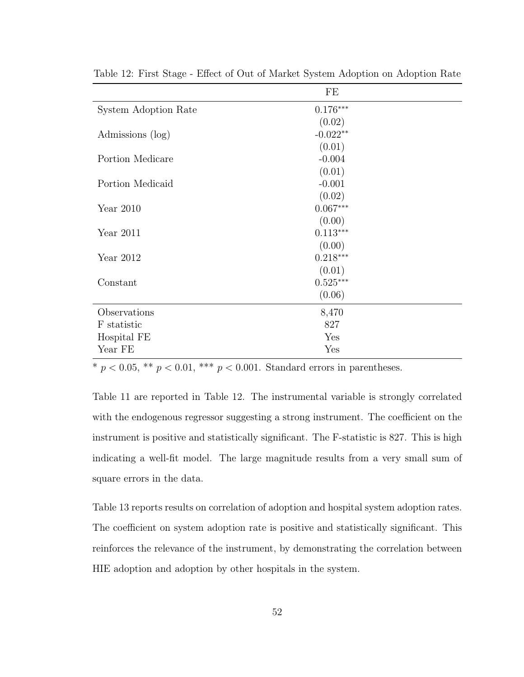|                      | FE         |
|----------------------|------------|
| System Adoption Rate | $0.176***$ |
|                      | (0.02)     |
| Admissions (log)     | $-0.022**$ |
|                      | (0.01)     |
| Portion Medicare     | $-0.004$   |
|                      | (0.01)     |
| Portion Medicaid     | $-0.001$   |
|                      | (0.02)     |
| Year $2010$          | $0.067***$ |
|                      | (0.00)     |
| Year 2011            | $0.113***$ |
|                      | (0.00)     |
| Year 2012            | $0.218***$ |
|                      | (0.01)     |
| Constant             | $0.525***$ |
|                      | (0.06)     |
| Observations         | 8,470      |
| F statistic          | 827        |
| Hospital FE          | Yes        |
| Year FE              | Yes        |

Table 12: First Stage - Effect of Out of Market System Adoption on Adoption Rate

 $\frac{1}{\sqrt[p]{p}} < 0.05$ , \*\*  $p < 0.01$ , \*\*\*  $p < 0.001$ . Standard errors in parentheses.

Table 11 are reported in Table 12. The instrumental variable is strongly correlated with the endogenous regressor suggesting a strong instrument. The coefficient on the instrument is positive and statistically significant. The F-statistic is 827. This is high indicating a well-fit model. The large magnitude results from a very small sum of square errors in the data.

Table 13 reports results on correlation of adoption and hospital system adoption rates. The coefficient on system adoption rate is positive and statistically significant. This reinforces the relevance of the instrument, by demonstrating the correlation between HIE adoption and adoption by other hospitals in the system.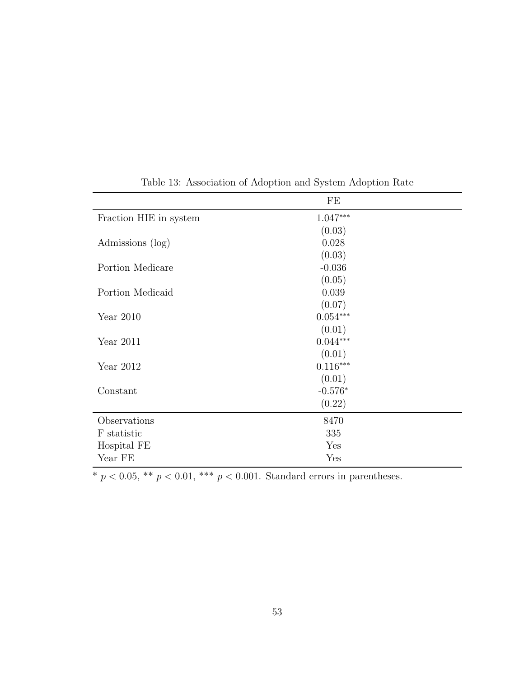|                        | FE         |
|------------------------|------------|
| Fraction HIE in system | $1.047***$ |
|                        | (0.03)     |
| Admissions (log)       | 0.028      |
|                        | (0.03)     |
| Portion Medicare       | $-0.036$   |
|                        | (0.05)     |
| Portion Medicaid       | 0.039      |
|                        | (0.07)     |
| Year $2010$            | $0.054***$ |
|                        | (0.01)     |
| Year $2011$            | $0.044***$ |
|                        | (0.01)     |
| Year 2012              | $0.116***$ |
|                        | (0.01)     |
| Constant               | $-0.576*$  |
|                        | (0.22)     |
| Observations           | 8470       |
| F statistic            | 335        |
| Hospital FE            | Yes        |
| Year FE                | Yes        |

Table 13: Association of Adoption and System Adoption Rate

\*  $p < 0.05$ , \*\*  $p < 0.01$ , \*\*\*  $p < 0.001$ . Standard errors in parentheses.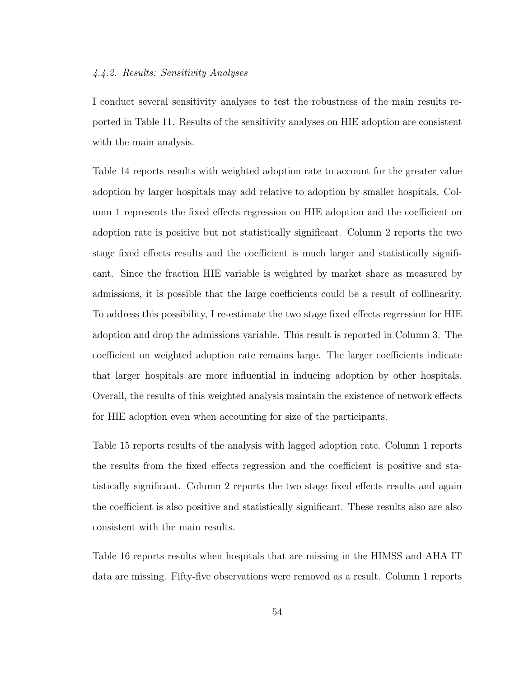### 4.4.2. Results: Sensitivity Analyses

I conduct several sensitivity analyses to test the robustness of the main results reported in Table 11. Results of the sensitivity analyses on HIE adoption are consistent with the main analysis.

Table 14 reports results with weighted adoption rate to account for the greater value adoption by larger hospitals may add relative to adoption by smaller hospitals. Column 1 represents the fixed effects regression on HIE adoption and the coefficient on adoption rate is positive but not statistically significant. Column 2 reports the two stage fixed effects results and the coefficient is much larger and statistically significant. Since the fraction HIE variable is weighted by market share as measured by admissions, it is possible that the large coefficients could be a result of collinearity. To address this possibility, I re-estimate the two stage fixed effects regression for HIE adoption and drop the admissions variable. This result is reported in Column 3. The coefficient on weighted adoption rate remains large. The larger coefficients indicate that larger hospitals are more influential in inducing adoption by other hospitals. Overall, the results of this weighted analysis maintain the existence of network effects for HIE adoption even when accounting for size of the participants.

Table 15 reports results of the analysis with lagged adoption rate. Column 1 reports the results from the fixed effects regression and the coefficient is positive and statistically significant. Column 2 reports the two stage fixed effects results and again the coefficient is also positive and statistically significant. These results also are also consistent with the main results.

Table 16 reports results when hospitals that are missing in the HIMSS and AHA IT data are missing. Fifty-five observations were removed as a result. Column 1 reports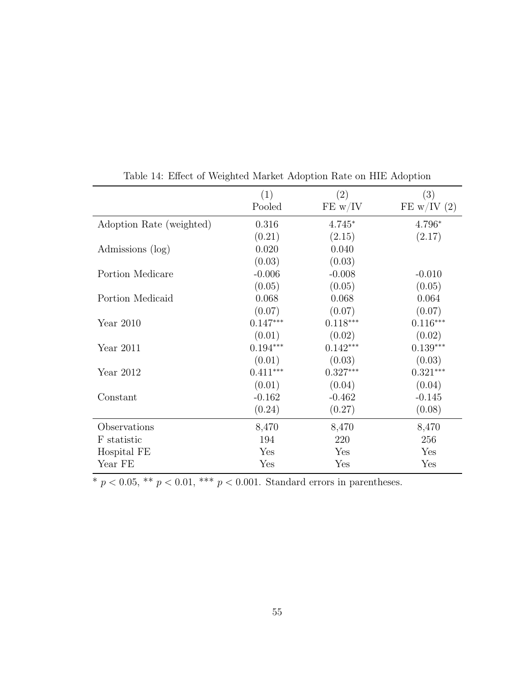|                          | (1)        | (2)        | (3)         |
|--------------------------|------------|------------|-------------|
|                          | Pooled     | FE w/IV    | FE w/IV (2) |
| Adoption Rate (weighted) | 0.316      | $4.745*$   | 4.796*      |
|                          | (0.21)     | (2.15)     | (2.17)      |
| Admissions (log)         | 0.020      | 0.040      |             |
|                          | (0.03)     | (0.03)     |             |
| Portion Medicare         | $-0.006$   | $-0.008$   | $-0.010$    |
|                          | (0.05)     | (0.05)     | (0.05)      |
| Portion Medicaid         | 0.068      | 0.068      | 0.064       |
|                          | (0.07)     | (0.07)     | (0.07)      |
| Year $2010$              | $0.147***$ | $0.118***$ | $0.116***$  |
|                          | (0.01)     | (0.02)     | (0.02)      |
| Year $2011$              | $0.194***$ | $0.142***$ | $0.139***$  |
|                          | (0.01)     | (0.03)     | (0.03)      |
| Year 2012                | $0.411***$ | $0.327***$ | $0.321***$  |
|                          | (0.01)     | (0.04)     | (0.04)      |
| Constant                 | $-0.162$   | $-0.462$   | $-0.145$    |
|                          | (0.24)     | (0.27)     | (0.08)      |
| Observations             | 8,470      | 8,470      | 8,470       |
| F statistic              | 194        | 220        | 256         |
| Hospital FE              | Yes        | Yes        | Yes         |
| Year FE                  | Yes        | Yes        | Yes         |

Table 14: Effect of Weighted Market Adoption Rate on HIE Adoption

\*  $p < 0.05$ , \*\*  $p < 0.01$ , \*\*\*  $p < 0.001$ . Standard errors in parentheses.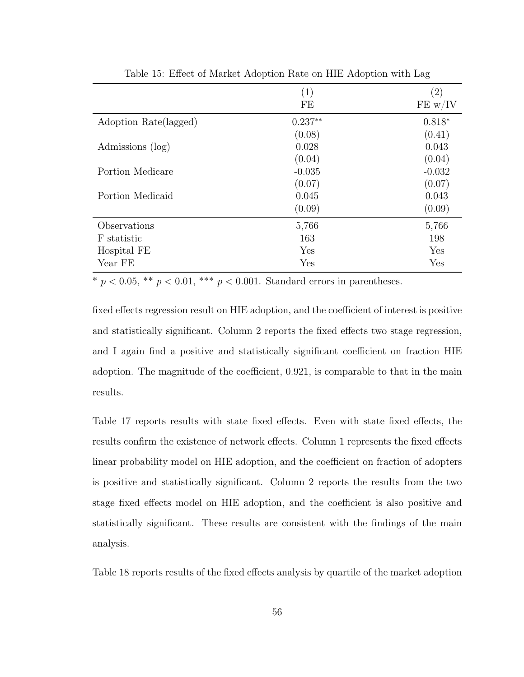|                       | (1)<br>FE | $\left( 2\right)$<br>FE w/IV |
|-----------------------|-----------|------------------------------|
| Adoption Rate(lagged) | $0.237**$ | $0.818*$                     |
|                       | (0.08)    | (0.41)                       |
| Admissions (log)      | 0.028     | 0.043                        |
|                       | (0.04)    | (0.04)                       |
| Portion Medicare      | $-0.035$  | $-0.032$                     |
|                       | (0.07)    | (0.07)                       |
| Portion Medicaid      | 0.045     | 0.043                        |
|                       | (0.09)    | (0.09)                       |
| Observations          | 5,766     | 5,766                        |
| F statistic           | 163       | 198                          |
| Hospital FE           | Yes       | Yes                          |
| Year FE               | Yes       | Yes                          |

Table 15: Effect of Market Adoption Rate on HIE Adoption with Lag

 $\overline{\text{A}}^* p < 0.05$ ,  $\overline{\text{A}}^* p < 0.01$ ,  $\overline{\text{A}}^* p < 0.001$ . Standard errors in parentheses.

fixed effects regression result on HIE adoption, and the coefficient of interest is positive and statistically significant. Column 2 reports the fixed effects two stage regression, and I again find a positive and statistically significant coefficient on fraction HIE adoption. The magnitude of the coefficient, 0.921, is comparable to that in the main results.

Table 17 reports results with state fixed effects. Even with state fixed effects, the results confirm the existence of network effects. Column 1 represents the fixed effects linear probability model on HIE adoption, and the coefficient on fraction of adopters is positive and statistically significant. Column 2 reports the results from the two stage fixed effects model on HIE adoption, and the coefficient is also positive and statistically significant. These results are consistent with the findings of the main analysis.

Table 18 reports results of the fixed effects analysis by quartile of the market adoption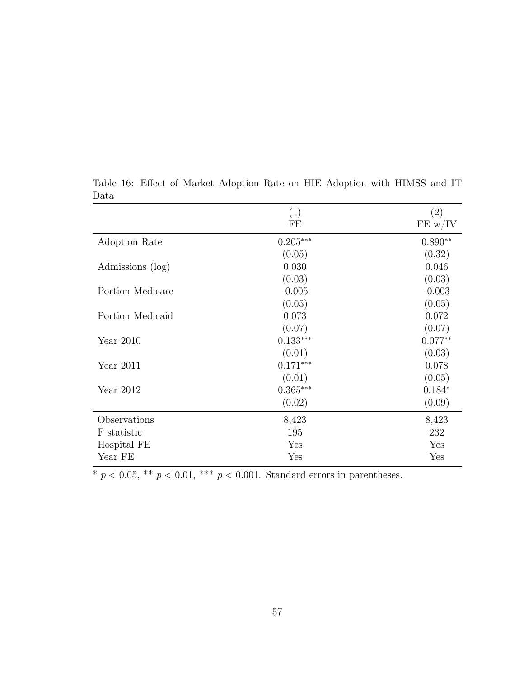|                  | (1)        | (2)       |
|------------------|------------|-----------|
|                  | FE         | FE w/IV   |
| Adoption Rate    | $0.205***$ | $0.890**$ |
|                  | (0.05)     | (0.32)    |
| Admissions (log) | 0.030      | 0.046     |
|                  | (0.03)     | (0.03)    |
| Portion Medicare | $-0.005$   | $-0.003$  |
|                  | (0.05)     | (0.05)    |
| Portion Medicaid | 0.073      | 0.072     |
|                  | (0.07)     | (0.07)    |
| Year $2010$      | $0.133***$ | $0.077**$ |
|                  | (0.01)     | (0.03)    |
| Year $2011$      | $0.171***$ | 0.078     |
|                  | (0.01)     | (0.05)    |
| Year $2012$      | $0.365***$ | $0.184*$  |
|                  | (0.02)     | (0.09)    |
| Observations     | 8,423      | 8,423     |
| F statistic      | 195        | 232       |
| Hospital FE      | Yes        | Yes       |
| Year FE          | Yes        | Yes       |

Table 16: Effect of Market Adoption Rate on HIE Adoption with HIMSS and IT Data

 $\overline{*}$   $p$   $<$  0.05,  $\overline{*}$   $p$   $<$  0.01,  $\overline{*}$   $\overline{*}$   $p$   $<$  0.001. Standard errors in parentheses.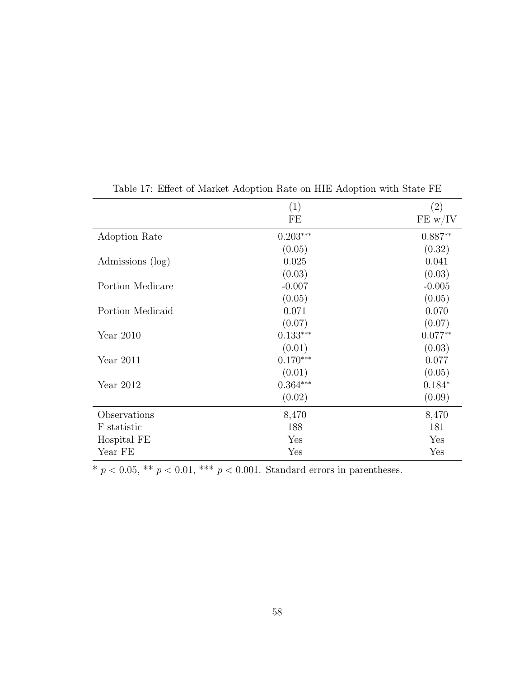|                  | (1)        | (2)       |
|------------------|------------|-----------|
|                  | FE         | FE w/IV   |
| Adoption Rate    | $0.203***$ | $0.887**$ |
|                  | (0.05)     | (0.32)    |
| Admissions (log) | 0.025      | 0.041     |
|                  | (0.03)     | (0.03)    |
| Portion Medicare | $-0.007$   | $-0.005$  |
|                  | (0.05)     | (0.05)    |
| Portion Medicaid | 0.071      | 0.070     |
|                  | (0.07)     | (0.07)    |
| Year $2010$      | $0.133***$ | $0.077**$ |
|                  | (0.01)     | (0.03)    |
| Year $2011$      | $0.170***$ | 0.077     |
|                  | (0.01)     | (0.05)    |
| Year $2012$      | $0.364***$ | $0.184*$  |
|                  | (0.02)     | (0.09)    |
| Observations     | 8,470      | 8,470     |
| F statistic      | 188        | 181       |
| Hospital FE      | Yes        | Yes       |
| Year FE          | Yes        | Yes       |

Table 17: Effect of Market Adoption Rate on HIE Adoption with State FE

 $\overline{\text{*}~p<0.05, \text{**}~p<0.01, \text{***}~p<0.001.}$  Standard errors in parentheses.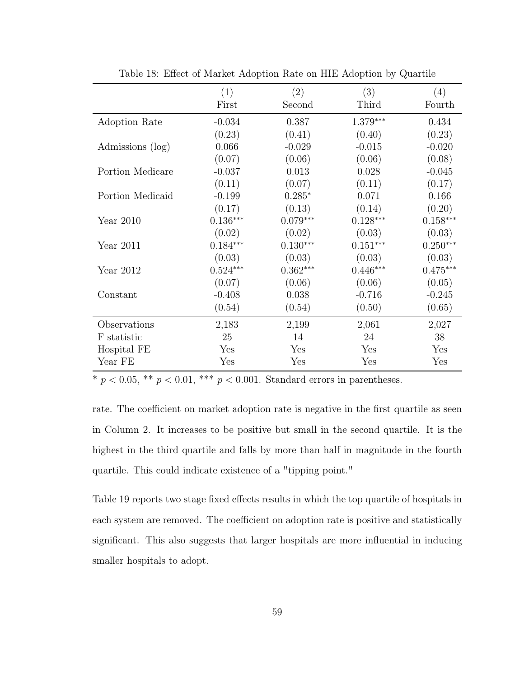|                  | (1)        | (2)        | (3)        | (4)        |
|------------------|------------|------------|------------|------------|
|                  | First      | Second     | Third      | Fourth     |
| Adoption Rate    | $-0.034$   | 0.387      | $1.379***$ | 0.434      |
|                  | (0.23)     | (0.41)     | (0.40)     | (0.23)     |
| Admissions (log) | 0.066      | $-0.029$   | $-0.015$   | $-0.020$   |
|                  | (0.07)     | (0.06)     | (0.06)     | (0.08)     |
| Portion Medicare | $-0.037$   | 0.013      | 0.028      | $-0.045$   |
|                  | (0.11)     | (0.07)     | (0.11)     | (0.17)     |
| Portion Medicaid | $-0.199$   | $0.285*$   | 0.071      | 0.166      |
|                  | (0.17)     | (0.13)     | (0.14)     | (0.20)     |
| Year $2010$      | $0.136***$ | $0.079***$ | $0.128***$ | $0.158***$ |
|                  | (0.02)     | (0.02)     | (0.03)     | (0.03)     |
| Year $2011$      | $0.184***$ | $0.130***$ | $0.151***$ | $0.250***$ |
|                  | (0.03)     | (0.03)     | (0.03)     | (0.03)     |
| Year $2012$      | $0.524***$ | $0.362***$ | $0.446***$ | $0.475***$ |
|                  | (0.07)     | (0.06)     | (0.06)     | (0.05)     |
| Constant         | $-0.408$   | 0.038      | $-0.716$   | $-0.245$   |
|                  | (0.54)     | (0.54)     | (0.50)     | (0.65)     |
| Observations     | 2,183      | 2,199      | 2,061      | 2,027      |
| F statistic      | 25         | 14         | 24         | 38         |
| Hospital FE      | Yes        | Yes        | Yes        | Yes        |
| Year FE          | Yes        | Yes        | Yes        | Yes        |

Table 18: Effect of Market Adoption Rate on HIE Adoption by Quartile

 $\overline{\text{A}} p \leq 0.05$ ,  $\overline{\text{A}} p \leq 0.01$ ,  $\overline{\text{A}} p \leq 0.001$ . Standard errors in parentheses.

rate. The coefficient on market adoption rate is negative in the first quartile as seen in Column 2. It increases to be positive but small in the second quartile. It is the highest in the third quartile and falls by more than half in magnitude in the fourth quartile. This could indicate existence of a "tipping point."

Table 19 reports two stage fixed effects results in which the top quartile of hospitals in each system are removed. The coefficient on adoption rate is positive and statistically significant. This also suggests that larger hospitals are more influential in inducing smaller hospitals to adopt.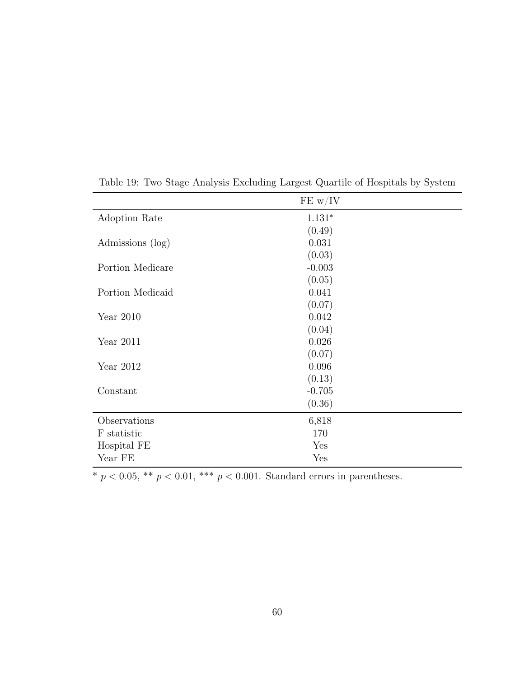|                  | FE w/IV  |
|------------------|----------|
| Adoption Rate    | $1.131*$ |
|                  | (0.49)   |
| Admissions (log) | 0.031    |
|                  | (0.03)   |
| Portion Medicare | $-0.003$ |
|                  | (0.05)   |
| Portion Medicaid | 0.041    |
|                  | (0.07)   |
| Year $2010$      | 0.042    |
|                  | (0.04)   |
| Year $2011$      | 0.026    |
|                  | (0.07)   |
| Year 2012        | 0.096    |
|                  | (0.13)   |
| Constant         | $-0.705$ |
|                  | (0.36)   |
| Observations     | 6,818    |
| F statistic      | 170      |
| Hospital FE      | Yes      |
| Year FE          | Yes      |

Table 19: Two Stage Analysis Excluding Largest Quartile of Hospitals by System

 $^{\ast}$   $p$  < 0.05,  $^{\ast\ast}$   $p$  < 0.01,  $^{\ast\ast\ast}$   $p$  < 0.001. Standard errors in parentheses.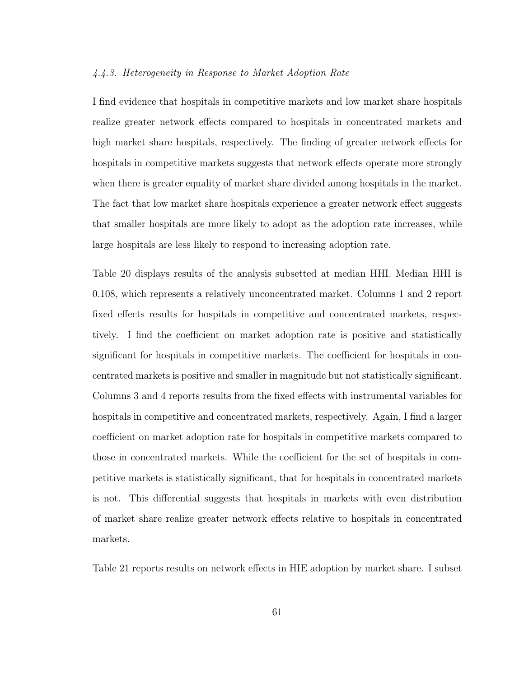#### 4.4.3. Heterogeneity in Response to Market Adoption Rate

I find evidence that hospitals in competitive markets and low market share hospitals realize greater network effects compared to hospitals in concentrated markets and high market share hospitals, respectively. The finding of greater network effects for hospitals in competitive markets suggests that network effects operate more strongly when there is greater equality of market share divided among hospitals in the market. The fact that low market share hospitals experience a greater network effect suggests that smaller hospitals are more likely to adopt as the adoption rate increases, while large hospitals are less likely to respond to increasing adoption rate.

Table 20 displays results of the analysis subsetted at median HHI. Median HHI is 0.108, which represents a relatively unconcentrated market. Columns 1 and 2 report fixed effects results for hospitals in competitive and concentrated markets, respectively. I find the coefficient on market adoption rate is positive and statistically significant for hospitals in competitive markets. The coefficient for hospitals in concentrated markets is positive and smaller in magnitude but not statistically significant. Columns 3 and 4 reports results from the fixed effects with instrumental variables for hospitals in competitive and concentrated markets, respectively. Again, I find a larger coefficient on market adoption rate for hospitals in competitive markets compared to those in concentrated markets. While the coefficient for the set of hospitals in competitive markets is statistically significant, that for hospitals in concentrated markets is not. This differential suggests that hospitals in markets with even distribution of market share realize greater network effects relative to hospitals in concentrated markets.

Table 21 reports results on network effects in HIE adoption by market share. I subset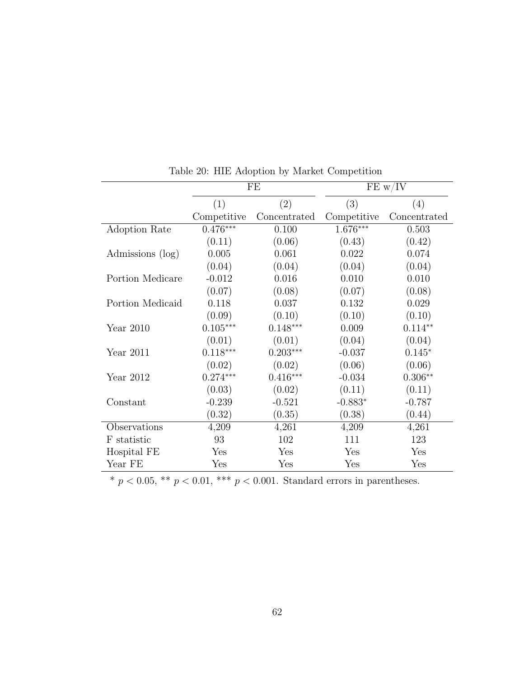|                  |             | FE           |             | FE w/IV      |
|------------------|-------------|--------------|-------------|--------------|
|                  | (1)         | (2)          | (3)         | (4)          |
|                  | Competitive | Concentrated | Competitive | Concentrated |
| Adoption Rate    | $0.476***$  | 0.100        | $1.676***$  | 0.503        |
|                  | (0.11)      | (0.06)       | (0.43)      | (0.42)       |
| Admissions (log) | 0.005       | 0.061        | 0.022       | 0.074        |
|                  | (0.04)      | (0.04)       | (0.04)      | (0.04)       |
| Portion Medicare | $-0.012$    | 0.016        | 0.010       | 0.010        |
|                  | (0.07)      | (0.08)       | (0.07)      | (0.08)       |
| Portion Medicaid | 0.118       | 0.037        | 0.132       | 0.029        |
|                  | (0.09)      | (0.10)       | (0.10)      | (0.10)       |
| Year $2010$      | $0.105***$  | $0.148***$   | 0.009       | $0.114**$    |
|                  | (0.01)      | (0.01)       | (0.04)      | (0.04)       |
| Year $2011$      | $0.118***$  | $0.203***$   | $-0.037$    | $0.145*$     |
|                  | (0.02)      | (0.02)       | (0.06)      | (0.06)       |
| Year $2012$      | $0.274***$  | $0.416***$   | $-0.034$    | $0.306**$    |
|                  | (0.03)      | (0.02)       | (0.11)      | (0.11)       |
| Constant         | $-0.239$    | $-0.521$     | $-0.883*$   | $-0.787$     |
|                  | (0.32)      | (0.35)       | (0.38)      | (0.44)       |
| Observations     | 4,209       | 4,261        | 4,209       | 4,261        |
| F statistic      | 93          | 102          | 111         | 123          |
| Hospital FE      | Yes         | Yes          | Yes         | Yes          |
| Year FE          | Yes         | Yes          | Yes         | Yes          |

Table 20: HIE Adoption by Market Competition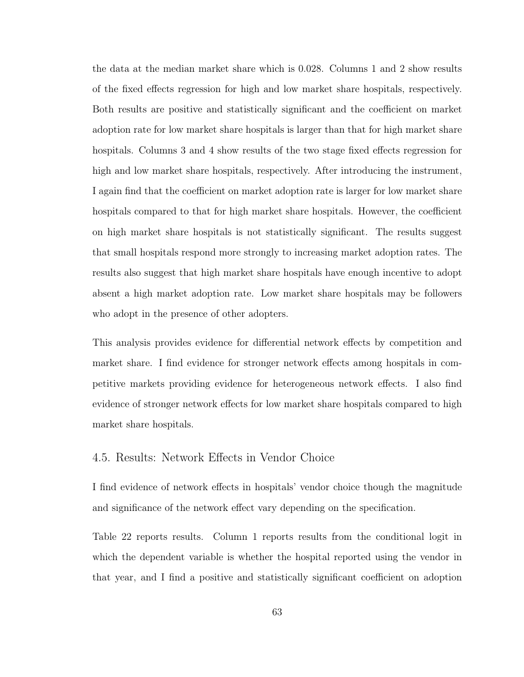the data at the median market share which is 0.028. Columns 1 and 2 show results of the fixed effects regression for high and low market share hospitals, respectively. Both results are positive and statistically significant and the coefficient on market adoption rate for low market share hospitals is larger than that for high market share hospitals. Columns 3 and 4 show results of the two stage fixed effects regression for high and low market share hospitals, respectively. After introducing the instrument, I again find that the coefficient on market adoption rate is larger for low market share hospitals compared to that for high market share hospitals. However, the coefficient on high market share hospitals is not statistically significant. The results suggest that small hospitals respond more strongly to increasing market adoption rates. The results also suggest that high market share hospitals have enough incentive to adopt absent a high market adoption rate. Low market share hospitals may be followers who adopt in the presence of other adopters.

This analysis provides evidence for differential network effects by competition and market share. I find evidence for stronger network effects among hospitals in competitive markets providing evidence for heterogeneous network effects. I also find evidence of stronger network effects for low market share hospitals compared to high market share hospitals.

## 4.5. Results: Network Effects in Vendor Choice

I find evidence of network effects in hospitals' vendor choice though the magnitude and significance of the network effect vary depending on the specification.

Table 22 reports results. Column 1 reports results from the conditional logit in which the dependent variable is whether the hospital reported using the vendor in that year, and I find a positive and statistically significant coefficient on adoption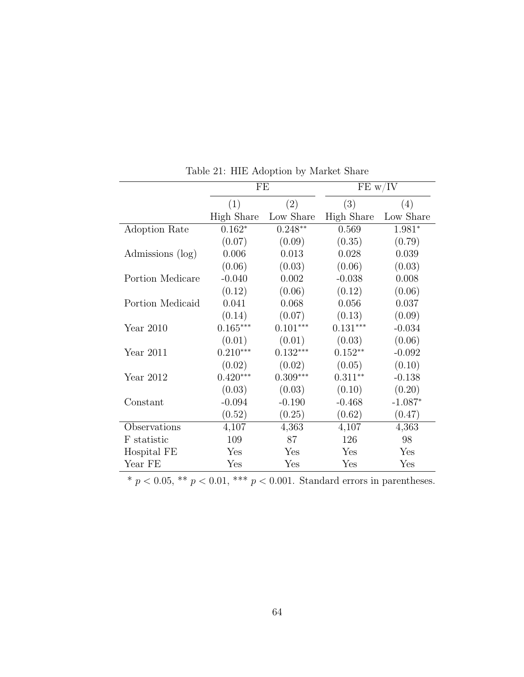|                  | FE                |            |                   | FE w/IV   |  |  |
|------------------|-------------------|------------|-------------------|-----------|--|--|
|                  | (1)               | (2)        | (3)               | (4)       |  |  |
|                  | <b>High Share</b> | Low Share  | <b>High Share</b> | Low Share |  |  |
| Adoption Rate    | $0.162*$          | $0.248**$  | 0.569             | $1.981*$  |  |  |
|                  | (0.07)            | (0.09)     | (0.35)            | (0.79)    |  |  |
| Admissions (log) | 0.006             | 0.013      | 0.028             | 0.039     |  |  |
|                  | (0.06)            | (0.03)     | (0.06)            | (0.03)    |  |  |
| Portion Medicare | $-0.040$          | 0.002      | $-0.038$          | 0.008     |  |  |
|                  | (0.12)            | (0.06)     | (0.12)            | (0.06)    |  |  |
| Portion Medicaid | 0.041             | 0.068      | 0.056             | 0.037     |  |  |
|                  | (0.14)            | (0.07)     | (0.13)            | (0.09)    |  |  |
| Year 2010        | $0.165***$        | $0.101***$ | $0.131***$        | $-0.034$  |  |  |
|                  | (0.01)            | (0.01)     | (0.03)            | (0.06)    |  |  |
| Year $2011$      | $0.210***$        | $0.132***$ | $0.152**$         | $-0.092$  |  |  |
|                  | (0.02)            | (0.02)     | (0.05)            | (0.10)    |  |  |
| Year $2012$      | $0.420***$        | $0.309***$ | $0.311**$         | $-0.138$  |  |  |
|                  | (0.03)            | (0.03)     | (0.10)            | (0.20)    |  |  |
| Constant         | $-0.094$          | $-0.190$   | $-0.468$          | $-1.087*$ |  |  |
|                  | (0.52)            | (0.25)     | (0.62)            | (0.47)    |  |  |
| Observations     | 4,107             | 4,363      | 4,107             | 4,363     |  |  |
| F statistic      | 109               | 87         | 126               | 98        |  |  |
| Hospital FE      | Yes               | Yes        | Yes               | Yes       |  |  |
| Year FE          | Yes               | Yes        | Yes               | Yes       |  |  |

Table 21: HIE Adoption by Market Share

 $^{\ast}$   $p$  < 0.05,  $^{\ast\ast}$   $p$  < 0.01,  $^{\ast\ast\ast}$   $p$  < 0.001. Standard errors in parentheses.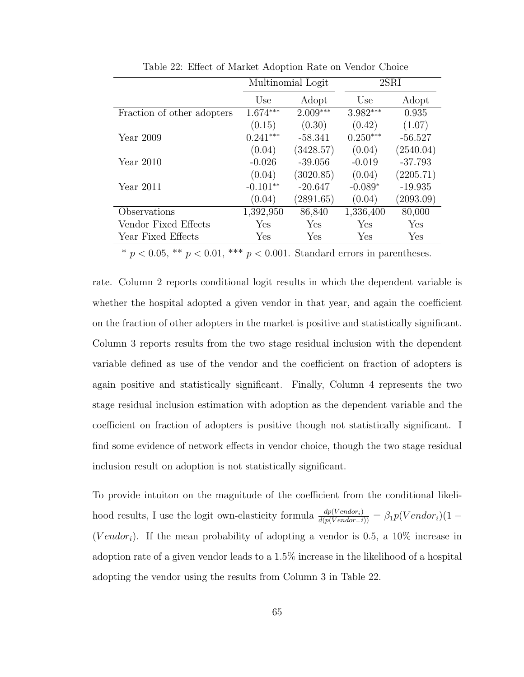|                            |            | Multinomial Logit |            | 2SRI      |
|----------------------------|------------|-------------------|------------|-----------|
|                            | Use        | Adopt             | Use        | Adopt     |
| Fraction of other adopters | $1.674***$ | $2.009***$        | $3.982***$ | 0.935     |
|                            | (0.15)     | (0.30)            | (0.42)     | (1.07)    |
| Year $2009$                | $0.241***$ | $-58.341$         | $0.250***$ | $-56.527$ |
|                            | (0.04)     | (3428.57)         | (0.04)     | (2540.04) |
| Year $2010$                | $-0.026$   | $-39.056$         | $-0.019$   | $-37.793$ |
|                            | (0.04)     | (3020.85)         | (0.04)     | (2205.71) |
| Year $2011$                | $-0.101**$ | $-20.647$         | $-0.089*$  | $-19.935$ |
|                            | (0.04)     | (2891.65)         | (0.04)     | (2093.09) |
| Observations               | 1,392,950  | 86,840            | 1,336,400  | 80,000    |
| Vendor Fixed Effects       | Yes        | Yes               | Yes        | Yes       |
| Year Fixed Effects         | Yes        | Yes               | Yes        | Yes       |

Table 22: Effect of Market Adoption Rate on Vendor Choice

rate. Column 2 reports conditional logit results in which the dependent variable is whether the hospital adopted a given vendor in that year, and again the coefficient on the fraction of other adopters in the market is positive and statistically significant. Column 3 reports results from the two stage residual inclusion with the dependent variable defined as use of the vendor and the coefficient on fraction of adopters is again positive and statistically significant. Finally, Column 4 represents the two stage residual inclusion estimation with adoption as the dependent variable and the coefficient on fraction of adopters is positive though not statistically significant. I find some evidence of network effects in vendor choice, though the two stage residual inclusion result on adoption is not statistically significant.

To provide intuiton on the magnitude of the coefficient from the conditional likelihood results, I use the logit own-elasticity formula  $\frac{dp(Vendor_i)}{d(p(Vendor_i))} = \beta_1 p(Vendor_i)(1 -$ (Vendor<sub>i</sub>). If the mean probability of adopting a vendor is 0.5, a 10% increase in adoption rate of a given vendor leads to a 1.5% increase in the likelihood of a hospital adopting the vendor using the results from Column 3 in Table 22.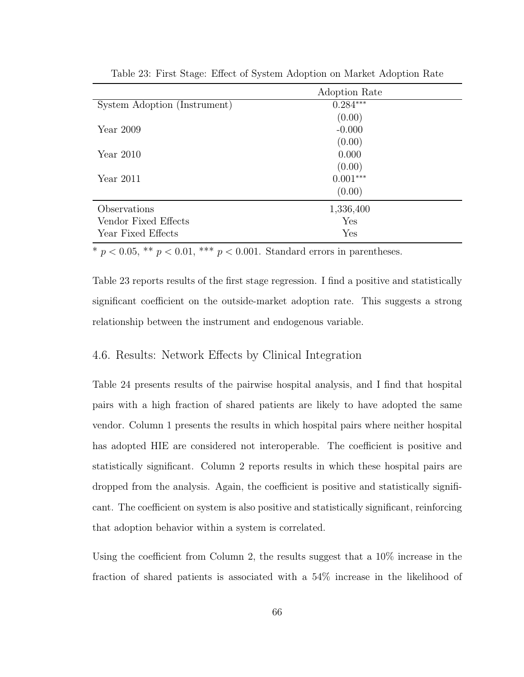|                              | Adoption Rate |
|------------------------------|---------------|
| System Adoption (Instrument) | $0.284***$    |
|                              | (0.00)        |
| Year $2009$                  | $-0.000$      |
|                              | (0.00)        |
| Year 2010                    | 0.000         |
|                              | (0.00)        |
| Year $2011$                  | $0.001***$    |
|                              | (0.00)        |
| Observations                 | 1,336,400     |
| Vendor Fixed Effects         | Yes           |
| Year Fixed Effects           | Yes           |

Table 23: First Stage: Effect of System Adoption on Market Adoption Rate

Table 23 reports results of the first stage regression. I find a positive and statistically significant coefficient on the outside-market adoption rate. This suggests a strong relationship between the instrument and endogenous variable.

#### 4.6. Results: Network Effects by Clinical Integration

Table 24 presents results of the pairwise hospital analysis, and I find that hospital pairs with a high fraction of shared patients are likely to have adopted the same vendor. Column 1 presents the results in which hospital pairs where neither hospital has adopted HIE are considered not interoperable. The coefficient is positive and statistically significant. Column 2 reports results in which these hospital pairs are dropped from the analysis. Again, the coefficient is positive and statistically significant. The coefficient on system is also positive and statistically significant, reinforcing that adoption behavior within a system is correlated.

Using the coefficient from Column 2, the results suggest that a 10% increase in the fraction of shared patients is associated with a 54% increase in the likelihood of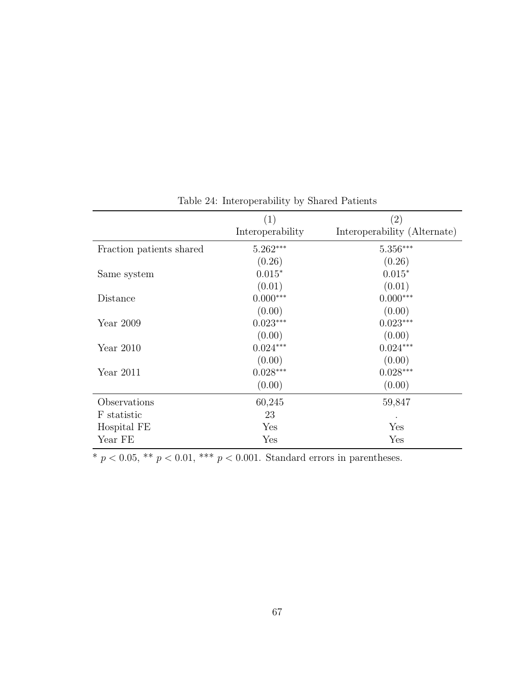|                          | (1)              | $\left( 2\right)$            |
|--------------------------|------------------|------------------------------|
|                          | Interoperability | Interoperability (Alternate) |
| Fraction patients shared | $5.262***$       | $5.356***$                   |
|                          | (0.26)           | (0.26)                       |
| Same system              | $0.015*$         | $0.015*$                     |
|                          | (0.01)           | (0.01)                       |
| Distance                 | $0.000***$       | $0.000***$                   |
|                          | (0.00)           | (0.00)                       |
| Year 2009                | $0.023***$       | $0.023***$                   |
|                          | (0.00)           | (0.00)                       |
| Year $2010$              | $0.024***$       | $0.024***$                   |
|                          | (0.00)           | (0.00)                       |
| Year $2011$              | $0.028***$       | $0.028***$                   |
|                          | (0.00)           | (0.00)                       |
| Observations             | 60,245           | 59,847                       |
| F statistic              | 23               |                              |
| Hospital FE              | Yes              | Yes                          |
| Year FE                  | Yes              | Yes                          |

Table 24: Interoperability by Shared Patients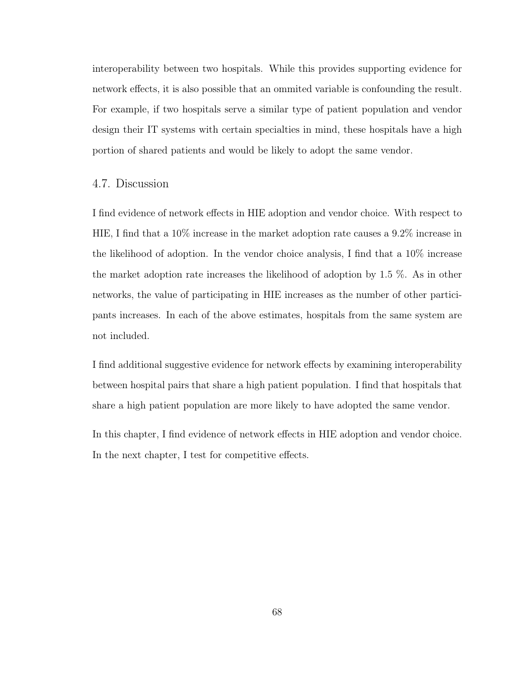interoperability between two hospitals. While this provides supporting evidence for network effects, it is also possible that an ommited variable is confounding the result. For example, if two hospitals serve a similar type of patient population and vendor design their IT systems with certain specialties in mind, these hospitals have a high portion of shared patients and would be likely to adopt the same vendor.

#### 4.7. Discussion

I find evidence of network effects in HIE adoption and vendor choice. With respect to HIE, I find that a 10% increase in the market adoption rate causes a 9.2% increase in the likelihood of adoption. In the vendor choice analysis, I find that a 10% increase the market adoption rate increases the likelihood of adoption by 1.5 %. As in other networks, the value of participating in HIE increases as the number of other participants increases. In each of the above estimates, hospitals from the same system are not included.

I find additional suggestive evidence for network effects by examining interoperability between hospital pairs that share a high patient population. I find that hospitals that share a high patient population are more likely to have adopted the same vendor.

In this chapter, I find evidence of network effects in HIE adoption and vendor choice. In the next chapter, I test for competitive effects.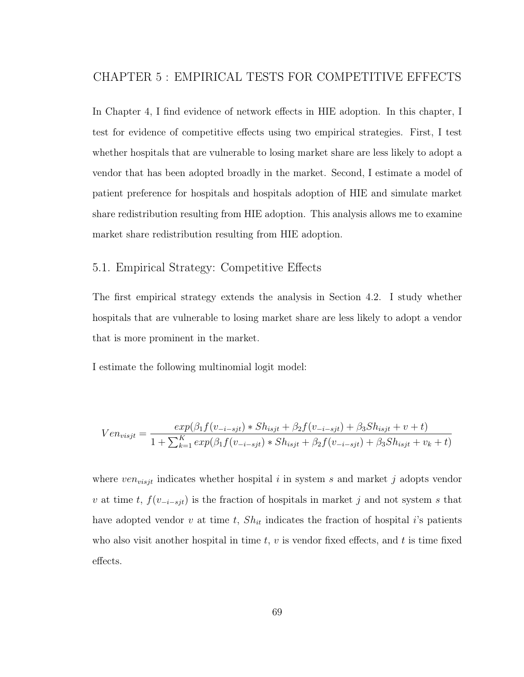In Chapter 4, I find evidence of network effects in HIE adoption. In this chapter, I test for evidence of competitive effects using two empirical strategies. First, I test whether hospitals that are vulnerable to losing market share are less likely to adopt a vendor that has been adopted broadly in the market. Second, I estimate a model of patient preference for hospitals and hospitals adoption of HIE and simulate market share redistribution resulting from HIE adoption. This analysis allows me to examine market share redistribution resulting from HIE adoption.

# 5.1. Empirical Strategy: Competitive Effects

The first empirical strategy extends the analysis in Section 4.2. I study whether hospitals that are vulnerable to losing market share are less likely to adopt a vendor that is more prominent in the market.

I estimate the following multinomial logit model:

$$
Ven_{visjt} = \frac{exp(\beta_1 f(v_{-i-sjt}) * Sh_{isjt} + \beta_2 f(v_{-i-sjt}) + \beta_3 Sh_{isjt} + v + t)}{1 + \sum_{k=1}^{K} exp(\beta_1 f(v_{-i-sjt}) * Sh_{isjt} + \beta_2 f(v_{-i-sjt}) + \beta_3 Sh_{isjt} + v_k + t)}
$$

where  $ven_{visjt}$  indicates whether hospital i in system s and market j adopts vendor v at time t,  $f(v_{-i-sjt})$  is the fraction of hospitals in market j and not system s that have adopted vendor v at time t,  $Sh_{it}$  indicates the fraction of hospital i's patients who also visit another hospital in time  $t, v$  is vendor fixed effects, and t is time fixed effects.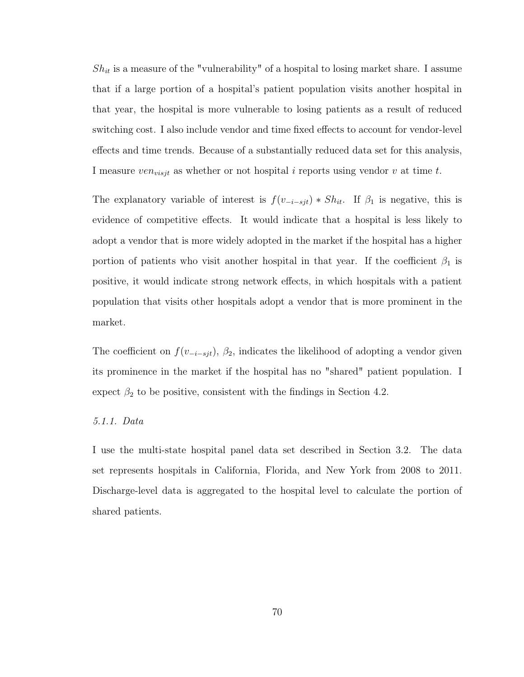$Sh_{it}$  is a measure of the "vulnerability" of a hospital to losing market share. I assume that if a large portion of a hospital's patient population visits another hospital in that year, the hospital is more vulnerable to losing patients as a result of reduced switching cost. I also include vendor and time fixed effects to account for vendor-level effects and time trends. Because of a substantially reduced data set for this analysis, I measure  $ven_{visjt}$  as whether or not hospital i reports using vendor v at time t.

The explanatory variable of interest is  $f(v_{-i-sjt}) * Sh_{it}$ . If  $\beta_1$  is negative, this is evidence of competitive effects. It would indicate that a hospital is less likely to adopt a vendor that is more widely adopted in the market if the hospital has a higher portion of patients who visit another hospital in that year. If the coefficient  $\beta_1$  is positive, it would indicate strong network effects, in which hospitals with a patient population that visits other hospitals adopt a vendor that is more prominent in the market.

The coefficient on  $f(v_{-i-sjt})$ ,  $\beta_2$ , indicates the likelihood of adopting a vendor given its prominence in the market if the hospital has no "shared" patient population. I expect  $\beta_2$  to be positive, consistent with the findings in Section 4.2.

#### 5.1.1. Data

I use the multi-state hospital panel data set described in Section 3.2. The data set represents hospitals in California, Florida, and New York from 2008 to 2011. Discharge-level data is aggregated to the hospital level to calculate the portion of shared patients.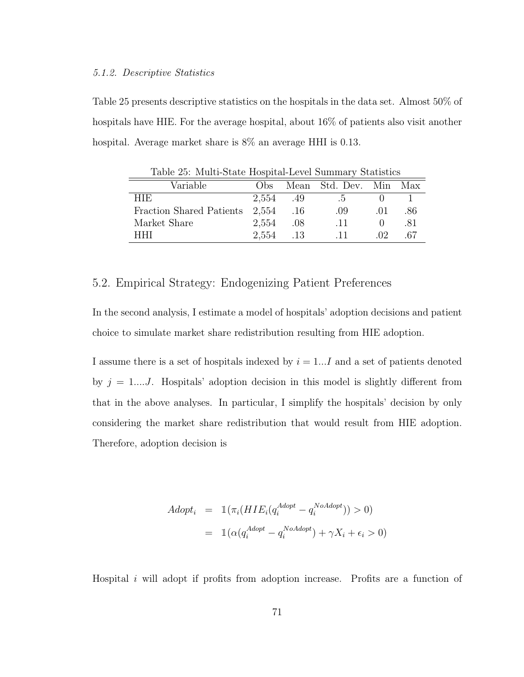#### 5.1.2. Descriptive Statistics

Table 25 presents descriptive statistics on the hospitals in the data set. Almost 50% of hospitals have HIE. For the average hospital, about 16% of patients also visit another hospital. Average market share is 8% an average HHI is 0.13.

| Variable                       | $_{\rm obs}$ |                              | Mean Std. Dev. Min Max |          |     |  |
|--------------------------------|--------------|------------------------------|------------------------|----------|-----|--|
| HIE.                           | 2.554 .49    |                              | $\mathbf{d}$ .         |          |     |  |
| Fraction Shared Patients 2,554 |              | .16                          | .09                    | (1)      | .86 |  |
| Market Share                   | 2,554        | .08                          | .11                    |          | -81 |  |
| HHI                            | 2.554        | $\overline{\phantom{0}}$ .13 | -11-                   | $\Omega$ | -67 |  |

Table 25: Multi-State Hospital-Level Summary Statistics

## 5.2. Empirical Strategy: Endogenizing Patient Preferences

In the second analysis, I estimate a model of hospitals' adoption decisions and patient choice to simulate market share redistribution resulting from HIE adoption.

I assume there is a set of hospitals indexed by  $i = 1...I$  and a set of patients denoted by  $j = 1...J$ . Hospitals' adoption decision in this model is slightly different from that in the above analyses. In particular, I simplify the hospitals' decision by only considering the market share redistribution that would result from HIE adoption. Therefore, adoption decision is

$$
Adopt_i = \mathbb{1}(\pi_i(HIE_i(q_i^{Adopt} - q_i^{NoAdopt})) > 0)
$$

$$
= \mathbb{1}(\alpha(q_i^{Adopt} - q_i^{NoAdopt}) + \gamma X_i + \epsilon_i > 0)
$$

Hospital i will adopt if profits from adoption increase. Profits are a function of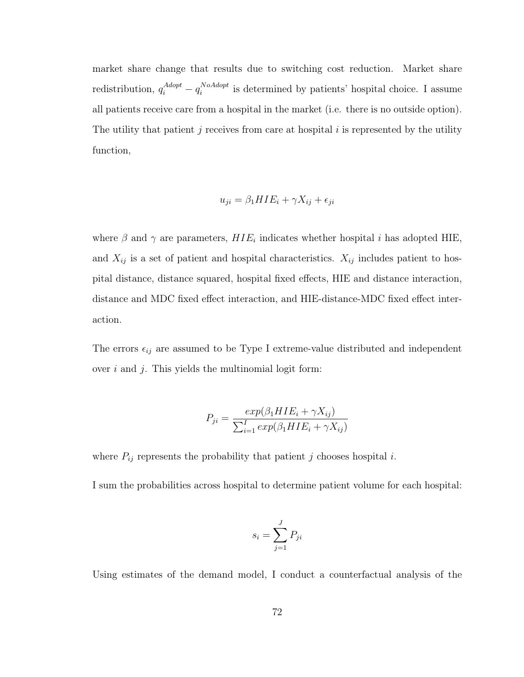market share change that results due to switching cost reduction. Market share redistribution,  $q_i^{Adopt} - q_i^{NoAdopt}$  $i<sub>i</sub><sup>NoAdopt</sup>$  is determined by patients' hospital choice. I assume all patients receive care from a hospital in the market (i.e. there is no outside option). The utility that patient j receives from care at hospital  $i$  is represented by the utility function,

$$
u_{ji} = \beta_1 H I E_i + \gamma X_{ij} + \epsilon_{ji}
$$

where  $\beta$  and  $\gamma$  are parameters,  $HIE_i$  indicates whether hospital i has adopted HIE, and  $X_{ij}$  is a set of patient and hospital characteristics.  $X_{ij}$  includes patient to hospital distance, distance squared, hospital fixed effects, HIE and distance interaction, distance and MDC fixed effect interaction, and HIE-distance-MDC fixed effect interaction.

The errors  $\epsilon_{ij}$  are assumed to be Type I extreme-value distributed and independent over  $i$  and  $j$ . This yields the multinomial logit form:

$$
P_{ji} = \frac{exp(\beta_1 HIE_i + \gamma X_{ij})}{\sum_{i=1}^{I} exp(\beta_1 HIE_i + \gamma X_{ij})}
$$

where  $P_{ij}$  represents the probability that patient j chooses hospital i.

I sum the probabilities across hospital to determine patient volume for each hospital:

$$
s_i = \sum_{j=1}^{J} P_{ji}
$$

Using estimates of the demand model, I conduct a counterfactual analysis of the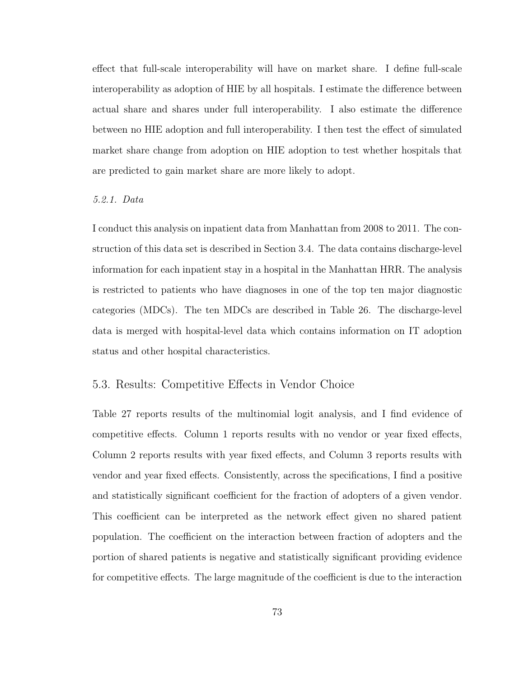effect that full-scale interoperability will have on market share. I define full-scale interoperability as adoption of HIE by all hospitals. I estimate the difference between actual share and shares under full interoperability. I also estimate the difference between no HIE adoption and full interoperability. I then test the effect of simulated market share change from adoption on HIE adoption to test whether hospitals that are predicted to gain market share are more likely to adopt.

#### 5.2.1. Data

I conduct this analysis on inpatient data from Manhattan from 2008 to 2011. The construction of this data set is described in Section 3.4. The data contains discharge-level information for each inpatient stay in a hospital in the Manhattan HRR. The analysis is restricted to patients who have diagnoses in one of the top ten major diagnostic categories (MDCs). The ten MDCs are described in Table 26. The discharge-level data is merged with hospital-level data which contains information on IT adoption status and other hospital characteristics.

# 5.3. Results: Competitive Effects in Vendor Choice

Table 27 reports results of the multinomial logit analysis, and I find evidence of competitive effects. Column 1 reports results with no vendor or year fixed effects, Column 2 reports results with year fixed effects, and Column 3 reports results with vendor and year fixed effects. Consistently, across the specifications, I find a positive and statistically significant coefficient for the fraction of adopters of a given vendor. This coefficient can be interpreted as the network effect given no shared patient population. The coefficient on the interaction between fraction of adopters and the portion of shared patients is negative and statistically significant providing evidence for competitive effects. The large magnitude of the coefficient is due to the interaction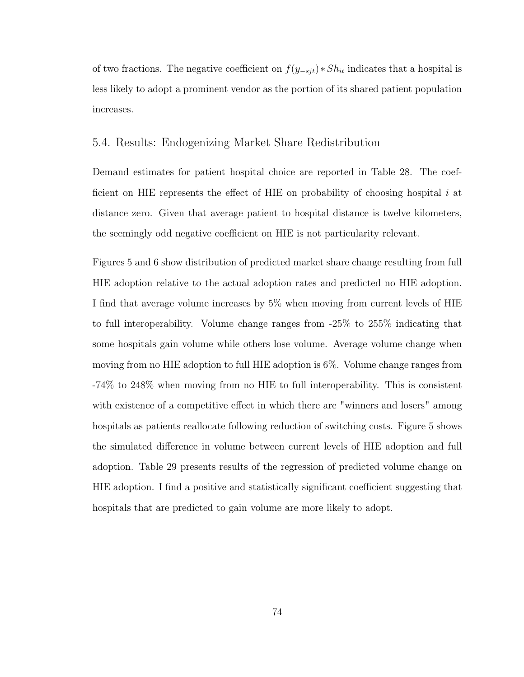of two fractions. The negative coefficient on  $f(y_{-sjt}) * Sh_{it}$  indicates that a hospital is less likely to adopt a prominent vendor as the portion of its shared patient population increases.

## 5.4. Results: Endogenizing Market Share Redistribution

Demand estimates for patient hospital choice are reported in Table 28. The coefficient on HIE represents the effect of HIE on probability of choosing hospital  $i$  at distance zero. Given that average patient to hospital distance is twelve kilometers, the seemingly odd negative coefficient on HIE is not particularity relevant.

Figures 5 and 6 show distribution of predicted market share change resulting from full HIE adoption relative to the actual adoption rates and predicted no HIE adoption. I find that average volume increases by 5% when moving from current levels of HIE to full interoperability. Volume change ranges from -25% to 255% indicating that some hospitals gain volume while others lose volume. Average volume change when moving from no HIE adoption to full HIE adoption is 6%. Volume change ranges from -74% to 248% when moving from no HIE to full interoperability. This is consistent with existence of a competitive effect in which there are "winners and losers" among hospitals as patients reallocate following reduction of switching costs. Figure 5 shows the simulated difference in volume between current levels of HIE adoption and full adoption. Table 29 presents results of the regression of predicted volume change on HIE adoption. I find a positive and statistically significant coefficient suggesting that hospitals that are predicted to gain volume are more likely to adopt.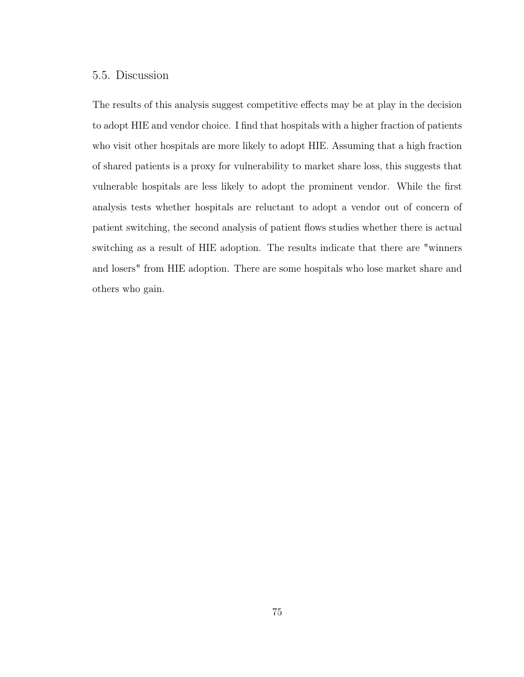# 5.5. Discussion

The results of this analysis suggest competitive effects may be at play in the decision to adopt HIE and vendor choice. I find that hospitals with a higher fraction of patients who visit other hospitals are more likely to adopt HIE. Assuming that a high fraction of shared patients is a proxy for vulnerability to market share loss, this suggests that vulnerable hospitals are less likely to adopt the prominent vendor. While the first analysis tests whether hospitals are reluctant to adopt a vendor out of concern of patient switching, the second analysis of patient flows studies whether there is actual switching as a result of HIE adoption. The results indicate that there are "winners and losers" from HIE adoption. There are some hospitals who lose market share and others who gain.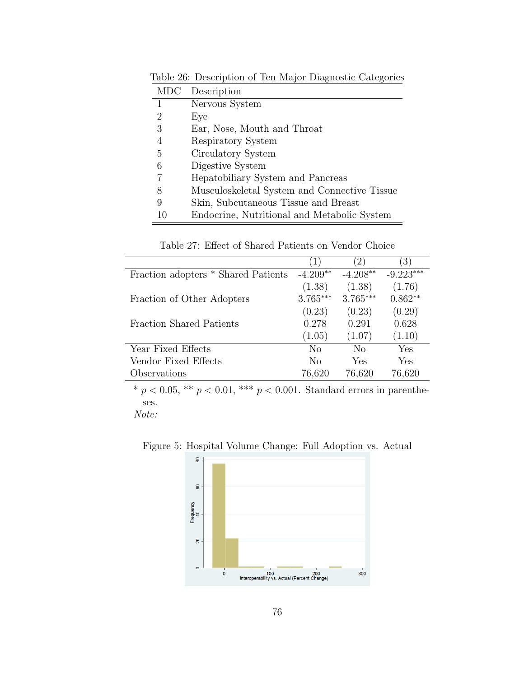| <b>MDC</b> | Description                                  |
|------------|----------------------------------------------|
| 1          | Nervous System                               |
| 2          | Eye                                          |
| 3          | Ear, Nose, Mouth and Throat                  |
| 4          | Respiratory System                           |
| 5          | Circulatory System                           |
| 6          | Digestive System                             |
| 7          | Hepatobiliary System and Pancreas            |
| 8          | Musculoskeletal System and Connective Tissue |
| 9          | Skin, Subcutaneous Tissue and Breast         |
| 10         | Endocrine, Nutritional and Metabolic System  |

Table 26: Description of Ten Major Diagnostic Categories

Table 27: Effect of Shared Patients on Vendor Choice

|                                     | (1)        | $\left(2\right)$ | $ 3\rangle$ |
|-------------------------------------|------------|------------------|-------------|
| Fraction adopters * Shared Patients | $-4.209**$ | $-4.208**$       | $-9.223***$ |
|                                     | (1.38)     | (1.38)           | (1.76)      |
| Fraction of Other Adopters          | $3.765***$ | $3.765***$       | $0.862**$   |
|                                     | (0.23)     | (0.23)           | (0.29)      |
| <b>Fraction Shared Patients</b>     | 0.278      | 0.291            | 0.628       |
|                                     | (1.05)     | (1.07)           | (1.10)      |
| Year Fixed Effects                  | $\rm No$   | No               | Yes         |
| Vendor Fixed Effects                | No         | Yes              | Yes         |
| Observations                        | 76,620     | 76,620           | 76,620      |

Note:

Figure 5: Hospital Volume Change: Full Adoption vs. Actual

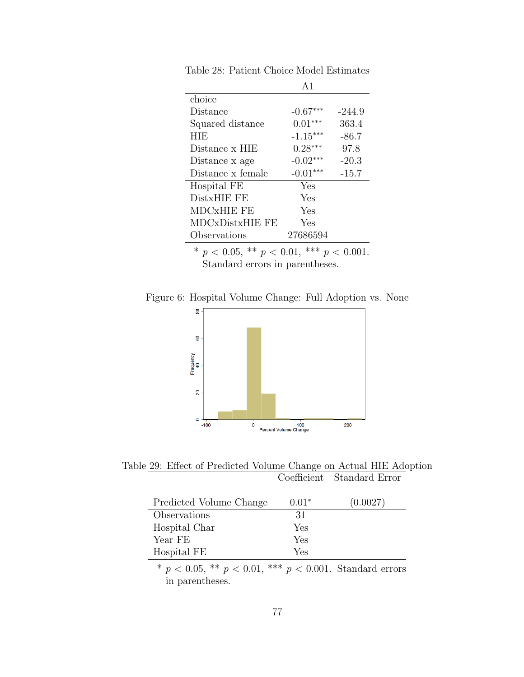|                   | $\Delta$ 1 |          |
|-------------------|------------|----------|
| choice            |            |          |
| Distance          | $-0.67***$ | $-244.9$ |
| Squared distance  | $0.01***$  | 363.4    |
| <b>HIE</b>        | $-1.15***$ | $-86.7$  |
| Distance x HIE    | $0.28***$  | 97.8     |
| Distance x age    | $-0.02***$ | $-20.3$  |
| Distance x female | $-0.01***$ | $-15.7$  |
| Hospital FE       | Yes        |          |
| DistxHIE FE       | Yes        |          |
| MDCxHIE FE        | Yes        |          |
| MDCxDistxHIE FE   | Yes        |          |
| Observations      | 27686594   |          |

Table 28: Patient Choice Model Estimates

Figure 6: Hospital Volume Change: Full Adoption vs. None



Table 29: Effect of Predicted Volume Change on Actual HIE Adoption Coefficient Standard Error

| Predicted Volume Change | $0.01*$ | (0.0027) |
|-------------------------|---------|----------|
| Observations            | 31      |          |
| Hospital Char           | Yes     |          |
| Year FE                 | Yes     |          |
| Hospital FE             | Yes     |          |
|                         |         |          |

\*  $p < 0.05$ , \*\*  $p < 0.01$ , \*\*\*  $p < 0.001$ . Standard errors in parentheses.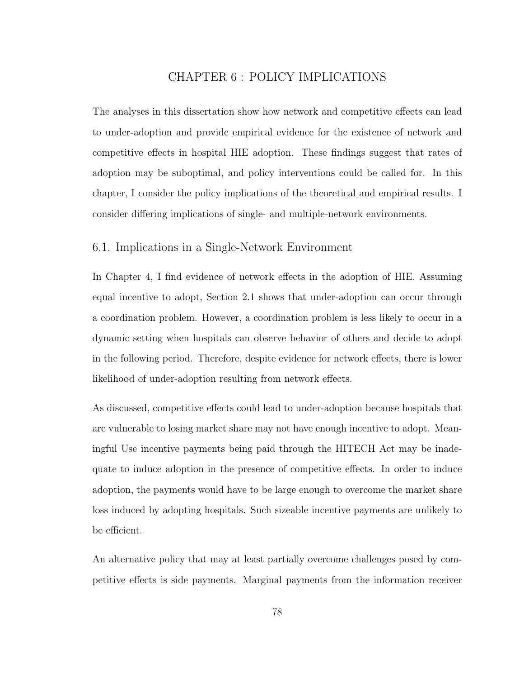# CHAPTER 6 : POLICY IMPLICATIONS

The analyses in this dissertation show how network and competitive effects can lead to under-adoption and provide empirical evidence for the existence of network and competitive effects in hospital HIE adoption. These findings suggest that rates of adoption may be suboptimal, and policy interventions could be called for. In this chapter, I consider the policy implications of the theoretical and empirical results. I consider differing implications of single- and multiple-network environments.

### 6.1. Implications in a Single-Network Environment

In Chapter 4, I find evidence of network effects in the adoption of HIE. Assuming equal incentive to adopt, Section 2.1 shows that under-adoption can occur through a coordination problem. However, a coordination problem is less likely to occur in a dynamic setting when hospitals can observe behavior of others and decide to adopt in the following period. Therefore, despite evidence for network effects, there is lower likelihood of under-adoption resulting from network effects.

As discussed, competitive effects could lead to under-adoption because hospitals that are vulnerable to losing market share may not have enough incentive to adopt. Meaningful Use incentive payments being paid through the HITECH Act may be inadequate to induce adoption in the presence of competitive effects. In order to induce adoption, the payments would have to be large enough to overcome the market share loss induced by adopting hospitals. Such sizeable incentive payments are unlikely to be efficient.

An alternative policy that may at least partially overcome challenges posed by competitive effects is side payments. Marginal payments from the information receiver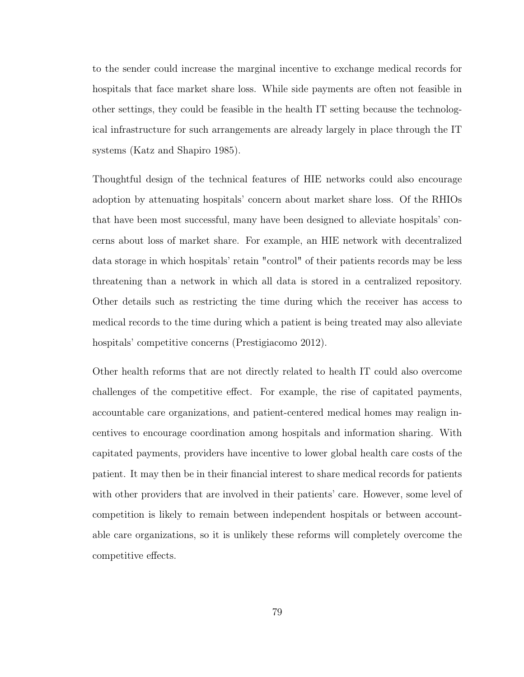to the sender could increase the marginal incentive to exchange medical records for hospitals that face market share loss. While side payments are often not feasible in other settings, they could be feasible in the health IT setting because the technological infrastructure for such arrangements are already largely in place through the IT systems (Katz and Shapiro 1985).

Thoughtful design of the technical features of HIE networks could also encourage adoption by attenuating hospitals' concern about market share loss. Of the RHIOs that have been most successful, many have been designed to alleviate hospitals' concerns about loss of market share. For example, an HIE network with decentralized data storage in which hospitals' retain "control" of their patients records may be less threatening than a network in which all data is stored in a centralized repository. Other details such as restricting the time during which the receiver has access to medical records to the time during which a patient is being treated may also alleviate hospitals' competitive concerns (Prestigiacomo 2012).

Other health reforms that are not directly related to health IT could also overcome challenges of the competitive effect. For example, the rise of capitated payments, accountable care organizations, and patient-centered medical homes may realign incentives to encourage coordination among hospitals and information sharing. With capitated payments, providers have incentive to lower global health care costs of the patient. It may then be in their financial interest to share medical records for patients with other providers that are involved in their patients' care. However, some level of competition is likely to remain between independent hospitals or between accountable care organizations, so it is unlikely these reforms will completely overcome the competitive effects.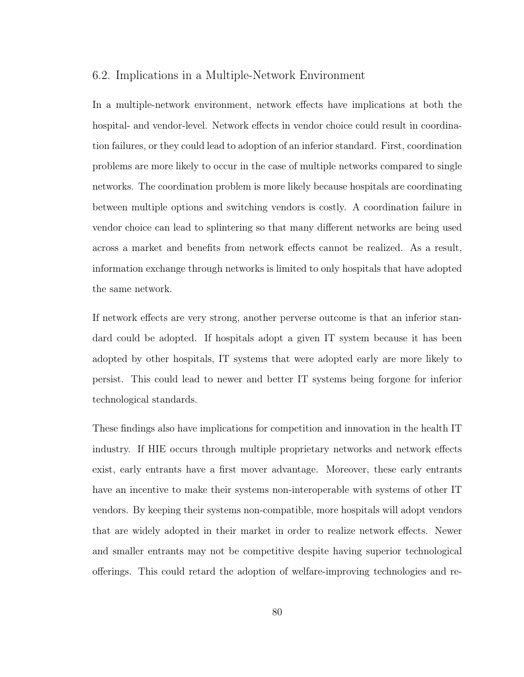#### 6.2. Implications in a Multiple-Network Environment

In a multiple-network environment, network effects have implications at both the hospital- and vendor-level. Network effects in vendor choice could result in coordination failures, or they could lead to adoption of an inferior standard. First, coordination problems are more likely to occur in the case of multiple networks compared to single networks. The coordination problem is more likely because hospitals are coordinating between multiple options and switching vendors is costly. A coordination failure in vendor choice can lead to splintering so that many different networks are being used across a market and benefits from network effects cannot be realized. As a result, information exchange through networks is limited to only hospitals that have adopted the same network.

If network effects are very strong, another perverse outcome is that an inferior standard could be adopted. If hospitals adopt a given IT system because it has been adopted by other hospitals, IT systems that were adopted early are more likely to persist. This could lead to newer and better IT systems being forgone for inferior technological standards.

These findings also have implications for competition and innovation in the health IT industry. If HIE occurs through multiple proprietary networks and network effects exist, early entrants have a first mover advantage. Moreover, these early entrants have an incentive to make their systems non-interoperable with systems of other IT vendors. By keeping their systems non-compatible, more hospitals will adopt vendors that are widely adopted in their market in order to realize network effects. Newer and smaller entrants may not be competitive despite having superior technological offerings. This could retard the adoption of welfare-improving technologies and re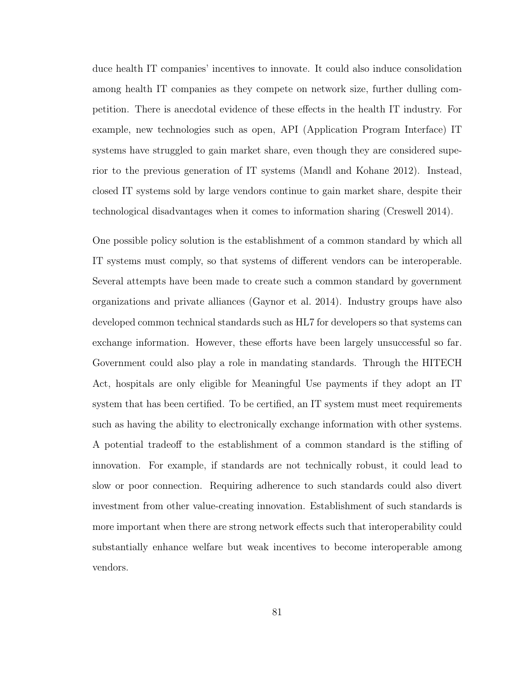duce health IT companies' incentives to innovate. It could also induce consolidation among health IT companies as they compete on network size, further dulling competition. There is anecdotal evidence of these effects in the health IT industry. For example, new technologies such as open, API (Application Program Interface) IT systems have struggled to gain market share, even though they are considered superior to the previous generation of IT systems (Mandl and Kohane 2012). Instead, closed IT systems sold by large vendors continue to gain market share, despite their technological disadvantages when it comes to information sharing (Creswell 2014).

One possible policy solution is the establishment of a common standard by which all IT systems must comply, so that systems of different vendors can be interoperable. Several attempts have been made to create such a common standard by government organizations and private alliances (Gaynor et al. 2014). Industry groups have also developed common technical standards such as HL7 for developers so that systems can exchange information. However, these efforts have been largely unsuccessful so far. Government could also play a role in mandating standards. Through the HITECH Act, hospitals are only eligible for Meaningful Use payments if they adopt an IT system that has been certified. To be certified, an IT system must meet requirements such as having the ability to electronically exchange information with other systems. A potential tradeoff to the establishment of a common standard is the stifling of innovation. For example, if standards are not technically robust, it could lead to slow or poor connection. Requiring adherence to such standards could also divert investment from other value-creating innovation. Establishment of such standards is more important when there are strong network effects such that interoperability could substantially enhance welfare but weak incentives to become interoperable among vendors.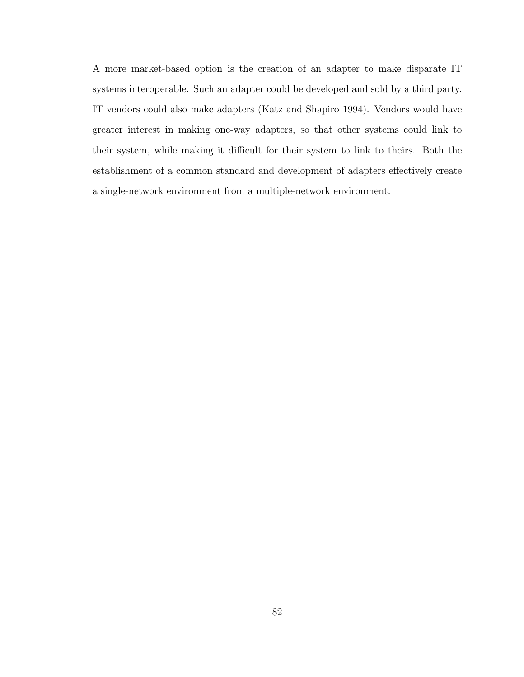A more market-based option is the creation of an adapter to make disparate IT systems interoperable. Such an adapter could be developed and sold by a third party. IT vendors could also make adapters (Katz and Shapiro 1994). Vendors would have greater interest in making one-way adapters, so that other systems could link to their system, while making it difficult for their system to link to theirs. Both the establishment of a common standard and development of adapters effectively create a single-network environment from a multiple-network environment.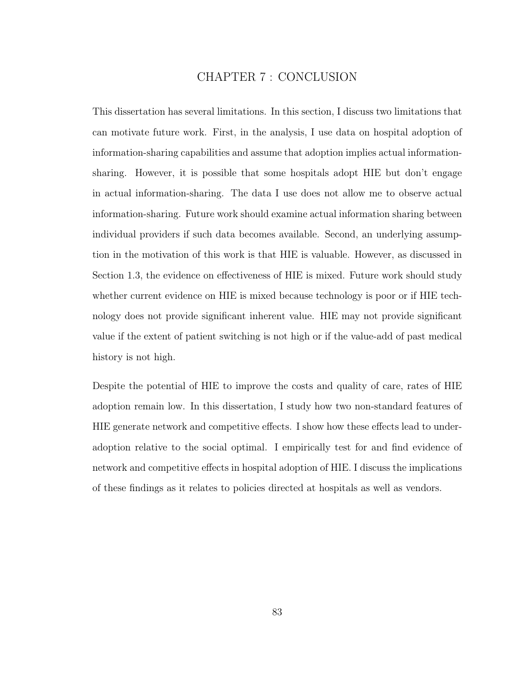# CHAPTER 7 : CONCLUSION

This dissertation has several limitations. In this section, I discuss two limitations that can motivate future work. First, in the analysis, I use data on hospital adoption of information-sharing capabilities and assume that adoption implies actual informationsharing. However, it is possible that some hospitals adopt HIE but don't engage in actual information-sharing. The data I use does not allow me to observe actual information-sharing. Future work should examine actual information sharing between individual providers if such data becomes available. Second, an underlying assumption in the motivation of this work is that HIE is valuable. However, as discussed in Section 1.3, the evidence on effectiveness of HIE is mixed. Future work should study whether current evidence on HIE is mixed because technology is poor or if HIE technology does not provide significant inherent value. HIE may not provide significant value if the extent of patient switching is not high or if the value-add of past medical history is not high.

Despite the potential of HIE to improve the costs and quality of care, rates of HIE adoption remain low. In this dissertation, I study how two non-standard features of HIE generate network and competitive effects. I show how these effects lead to underadoption relative to the social optimal. I empirically test for and find evidence of network and competitive effects in hospital adoption of HIE. I discuss the implications of these findings as it relates to policies directed at hospitals as well as vendors.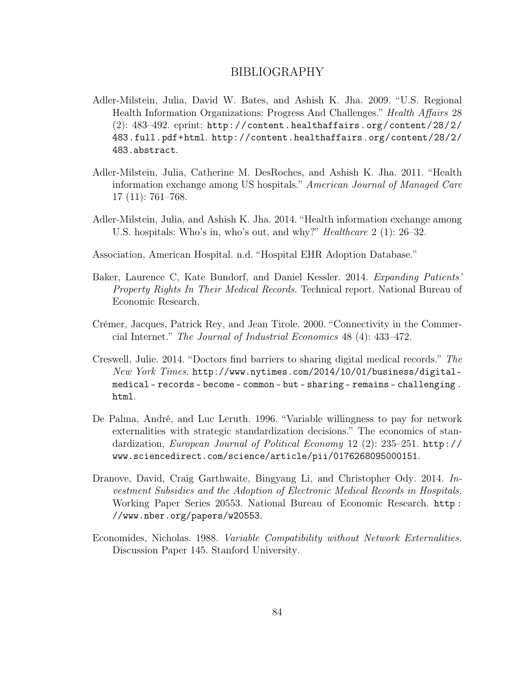# BIBLIOGRAPHY

- Adler-Milstein, Julia, David W. Bates, and Ashish K. Jha. 2009. "U.S. Regional Health Information Organizations: Progress And Challenges." Health Affairs 28 (2): 483–492. eprint: http://content.healthaffairs.org/content/28/2/ 483.full.pdf+html. http://content.healthaffairs.org/content/28/2/ 483.abstract.
- Adler-Milstein, Julia, Catherine M. DesRoches, and Ashish K. Jha. 2011. "Health information exchange among US hospitals." American Journal of Managed Care 17 (11): 761–768.
- Adler-Milstein, Julia, and Ashish K. Jha. 2014. "Health information exchange among U.S. hospitals: Who's in, who's out, and why?" Healthcare 2 (1): 26–32.
- Association, American Hospital. n.d. "Hospital EHR Adoption Database."
- Baker, Laurence C, Kate Bundorf, and Daniel Kessler. 2014. Expanding Patients' Property Rights In Their Medical Records. Technical report. National Bureau of Economic Research.
- Crémer, Jacques, Patrick Rey, and Jean Tirole. 2000. "Connectivity in the Commercial Internet." The Journal of Industrial Economics 48 (4): 433–472.
- Creswell, Julie. 2014. "Doctors find barriers to sharing digital medical records." The New York Times. http://www.nytimes.com/2014/10/01/business/digitalmedical - records - become - common - but - sharing - remains - challenging . html.
- De Palma, André, and Luc Leruth. 1996. "Variable willingness to pay for network externalities with strategic standardization decisions." The economics of standardization, European Journal of Political Economy 12 (2): 235–251. http:// www.sciencedirect.com/science/article/pii/0176268095000151.
- Dranove, David, Craig Garthwaite, Bingyang Li, and Christopher Ody. 2014. Investment Subsidies and the Adoption of Electronic Medical Records in Hospitals, Working Paper Series 20553. National Bureau of Economic Research. http : //www.nber.org/papers/w20553.
- Economides, Nicholas. 1988. Variable Compatibility without Network Externalities. Discussion Paper 145. Stanford University.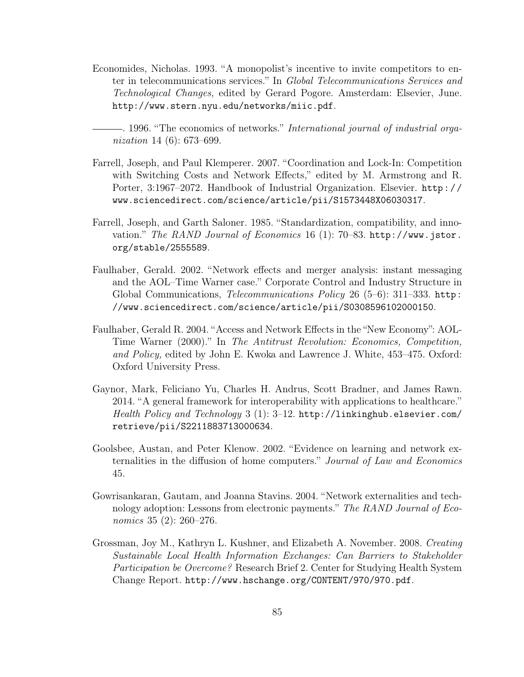- Economides, Nicholas. 1993. "A monopolist's incentive to invite competitors to enter in telecommunications services." In Global Telecommunications Services and Technological Changes, edited by Gerard Pogore. Amsterdam: Elsevier, June. http://www.stern.nyu.edu/networks/miic.pdf.
- . 1996. "The economics of networks." International journal of industrial organization 14 (6): 673–699.
- Farrell, Joseph, and Paul Klemperer. 2007. "Coordination and Lock-In: Competition with Switching Costs and Network Effects," edited by M. Armstrong and R. Porter, 3:1967–2072. Handbook of Industrial Organization. Elsevier. http : / / www.sciencedirect.com/science/article/pii/S1573448X06030317.
- Farrell, Joseph, and Garth Saloner. 1985. "Standardization, compatibility, and innovation." The RAND Journal of Economics 16 (1): 70–83. http://www.jstor. org/stable/2555589.
- Faulhaber, Gerald. 2002. "Network effects and merger analysis: instant messaging and the AOL–Time Warner case." Corporate Control and Industry Structure in Global Communications, Telecommunications Policy 26 (5–6): 311–333. http: //www.sciencedirect.com/science/article/pii/S0308596102000150.
- Faulhaber, Gerald R. 2004. "Access and Network Effects in the "New Economy": AOL-Time Warner (2000)." In The Antitrust Revolution: Economics, Competition, and Policy, edited by John E. Kwoka and Lawrence J. White, 453–475. Oxford: Oxford University Press.
- Gaynor, Mark, Feliciano Yu, Charles H. Andrus, Scott Bradner, and James Rawn. 2014. "A general framework for interoperability with applications to healthcare." Health Policy and Technology 3 (1): 3–12. http://linkinghub.elsevier.com/ retrieve/pii/S2211883713000634.
- Goolsbee, Austan, and Peter Klenow. 2002. "Evidence on learning and network externalities in the diffusion of home computers." Journal of Law and Economics 45.
- Gowrisankaran, Gautam, and Joanna Stavins. 2004. "Network externalities and technology adoption: Lessons from electronic payments." The RAND Journal of Economics 35 (2): 260–276.
- Grossman, Joy M., Kathryn L. Kushner, and Elizabeth A. November. 2008. Creating Sustainable Local Health Information Exchanges: Can Barriers to Stakeholder Participation be Overcome? Research Brief 2. Center for Studying Health System Change Report. http://www.hschange.org/CONTENT/970/970.pdf.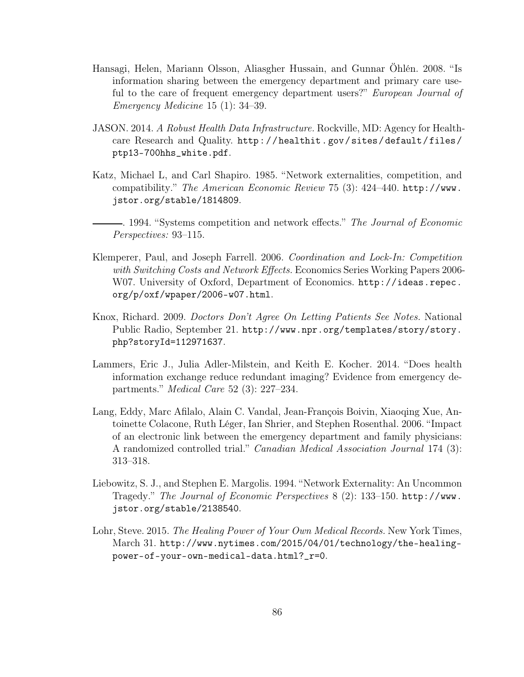- Hansagi, Helen, Mariann Olsson, Aliasgher Hussain, and Gunnar Öhlén. 2008. "Is information sharing between the emergency department and primary care useful to the care of frequent emergency department users?" European Journal of Emergency Medicine 15 (1): 34–39.
- JASON. 2014. A Robust Health Data Infrastructure. Rockville, MD: Agency for Healthcare Research and Quality. http : / / healthit . gov / sites / default / files / ptp13-700hhs\_white.pdf.
- Katz, Michael L, and Carl Shapiro. 1985. "Network externalities, competition, and compatibility." The American Economic Review 75 (3): 424–440. http://www. jstor.org/stable/1814809.
- . 1994. "Systems competition and network effects." The Journal of Economic Perspectives: 93–115.
- Klemperer, Paul, and Joseph Farrell. 2006. Coordination and Lock-In: Competition with Switching Costs and Network Effects. Economics Series Working Papers 2006-W07. University of Oxford, Department of Economics. http://ideas.repec. org/p/oxf/wpaper/2006-w07.html.
- Knox, Richard. 2009. Doctors Don't Agree On Letting Patients See Notes. National Public Radio, September 21. http://www.npr.org/templates/story/story. php?storyId=112971637.
- Lammers, Eric J., Julia Adler-Milstein, and Keith E. Kocher. 2014. "Does health information exchange reduce redundant imaging? Evidence from emergency departments." Medical Care 52 (3): 227–234.
- Lang, Eddy, Marc Afilalo, Alain C. Vandal, Jean-François Boivin, Xiaoqing Xue, Antoinette Colacone, Ruth Léger, Ian Shrier, and Stephen Rosenthal. 2006. "Impact of an electronic link between the emergency department and family physicians: A randomized controlled trial." Canadian Medical Association Journal 174 (3): 313–318.
- Liebowitz, S. J., and Stephen E. Margolis. 1994. "Network Externality: An Uncommon Tragedy." The Journal of Economic Perspectives 8 (2): 133–150. http://www. jstor.org/stable/2138540.
- Lohr, Steve. 2015. The Healing Power of Your Own Medical Records. New York Times, March 31. http://www.nytimes.com/2015/04/01/technology/the-healingpower-of-your-own-medical-data.html?\_r=0.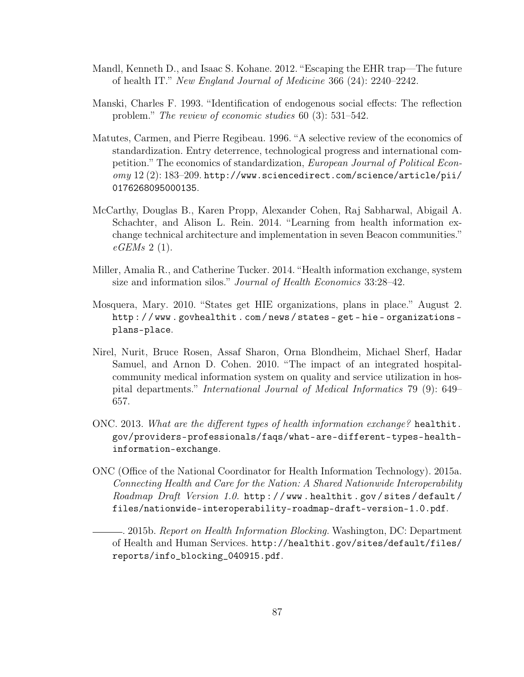- Mandl, Kenneth D., and Isaac S. Kohane. 2012. "Escaping the EHR trap—The future of health IT." New England Journal of Medicine 366 (24): 2240–2242.
- Manski, Charles F. 1993. "Identification of endogenous social effects: The reflection problem." The review of economic studies 60 (3): 531–542.
- Matutes, Carmen, and Pierre Regibeau. 1996. "A selective review of the economics of standardization. Entry deterrence, technological progress and international competition." The economics of standardization, European Journal of Political Economy 12 (2): 183–209. http://www.sciencedirect.com/science/article/pii/ 0176268095000135.
- McCarthy, Douglas B., Karen Propp, Alexander Cohen, Raj Sabharwal, Abigail A. Schachter, and Alison L. Rein. 2014. "Learning from health information exchange technical architecture and implementation in seven Beacon communities."  $eGEMs$  2 (1).
- Miller, Amalia R., and Catherine Tucker. 2014. "Health information exchange, system size and information silos." Journal of Health Economics 33:28–42.
- Mosquera, Mary. 2010. "States get HIE organizations, plans in place." August 2. http : / / www . govhealthit . com / news / states - get - hie - organizations plans-place.
- Nirel, Nurit, Bruce Rosen, Assaf Sharon, Orna Blondheim, Michael Sherf, Hadar Samuel, and Arnon D. Cohen. 2010. "The impact of an integrated hospitalcommunity medical information system on quality and service utilization in hospital departments." International Journal of Medical Informatics 79 (9): 649– 657.
- ONC. 2013. What are the different types of health information exchange? healthit. gov/providers-professionals/faqs/what-are-different-types-healthinformation-exchange.
- ONC (Office of the National Coordinator for Health Information Technology). 2015a. Connecting Health and Care for the Nation: A Shared Nationwide Interoperability Roadmap Draft Version 1.0. http : / / www . healthit . gov / sites / default / files/nationwide-interoperability-roadmap-draft-version-1.0.pdf.

. 2015b. Report on Health Information Blocking. Washington, DC: Department of Health and Human Services. http://healthit.gov/sites/default/files/ reports/info\_blocking\_040915.pdf.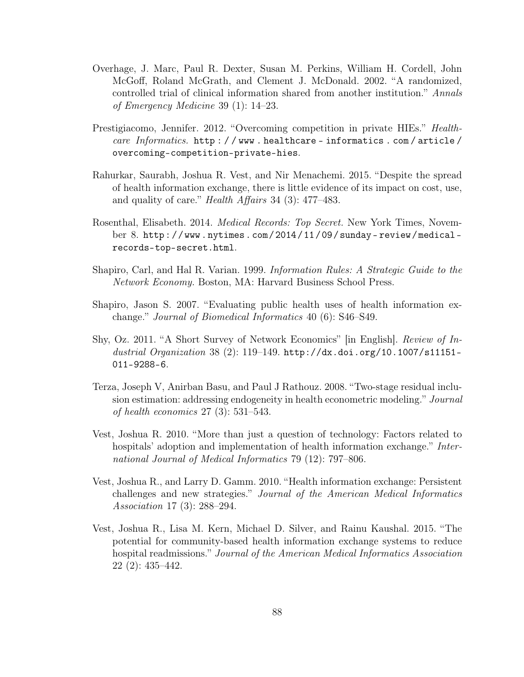- Overhage, J. Marc, Paul R. Dexter, Susan M. Perkins, William H. Cordell, John McGoff, Roland McGrath, and Clement J. McDonald. 2002. "A randomized, controlled trial of clinical information shared from another institution." Annals of Emergency Medicine 39 (1): 14–23.
- Prestigiacomo, Jennifer. 2012. "Overcoming competition in private HIEs." Healthcare Informatics. http://www.healthcare-informatics.com/article/ overcoming-competition-private-hies.
- Rahurkar, Saurabh, Joshua R. Vest, and Nir Menachemi. 2015. "Despite the spread of health information exchange, there is little evidence of its impact on cost, use, and quality of care." Health Affairs 34 (3): 477–483.
- Rosenthal, Elisabeth. 2014. Medical Records: Top Secret. New York Times, November 8. http : / / www . nytimes . com / 2014 / 11 / 09 / sunday - review / medical records-top-secret.html.
- Shapiro, Carl, and Hal R. Varian. 1999. Information Rules: A Strategic Guide to the Network Economy. Boston, MA: Harvard Business School Press.
- Shapiro, Jason S. 2007. "Evaluating public health uses of health information exchange." Journal of Biomedical Informatics 40 (6): S46–S49.
- Shy, Oz. 2011. "A Short Survey of Network Economics" [in English]. Review of Industrial Organization 38 (2): 119–149. http://dx.doi.org/10.1007/s11151-011-9288-6.
- Terza, Joseph V, Anirban Basu, and Paul J Rathouz. 2008. "Two-stage residual inclusion estimation: addressing endogeneity in health econometric modeling." Journal of health economics 27 (3): 531–543.
- Vest, Joshua R. 2010. "More than just a question of technology: Factors related to hospitals' adoption and implementation of health information exchange." International Journal of Medical Informatics 79 (12): 797–806.
- Vest, Joshua R., and Larry D. Gamm. 2010. "Health information exchange: Persistent challenges and new strategies." Journal of the American Medical Informatics Association 17 (3): 288–294.
- Vest, Joshua R., Lisa M. Kern, Michael D. Silver, and Rainu Kaushal. 2015. "The potential for community-based health information exchange systems to reduce hospital readmissions." Journal of the American Medical Informatics Association 22 (2): 435–442.